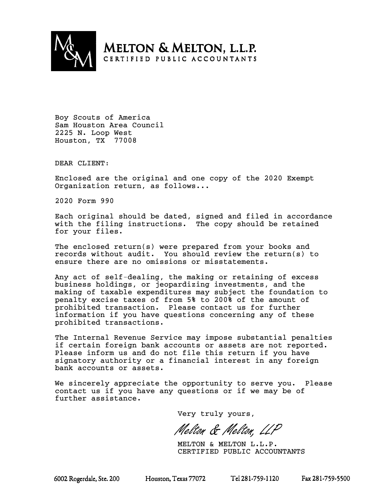

**MELTON & MELTON, L.L.P.** CERTIFIED PUBLIC ACCOUNTANTS

Boy Scouts of America Sam Houston Area Council 2225 N. Loop West Houston, TX 77008

DEAR CLIENT:

Enclosed are the original and one copy of the 2020 Exempt Organization return, as follows...

2020 Form 990

Each original should be dated, signed and filed in accordance with the filing instructions. The copy should be retained for your files.

The enclosed return(s) were prepared from your books and records without audit. You should review the return(s) to ensure there are no omissions or misstatements.

Any act of self-dealing, the making or retaining of excess business holdings, or jeopardizing investments, and the making of taxable expenditures may subject the foundation to penalty excise taxes of from 5% to 200% of the amount of prohibited transaction. Please contact us for further information if you have questions concerning any of these prohibited transactions.

The Internal Revenue Service may impose substantial penalties if certain foreign bank accounts or assets are not reported. Please inform us and do not file this return if you have signatory authority or a financial interest in any foreign bank accounts or assets.

We sincerely appreciate the opportunity to serve you. Please contact us if you have any questions or if we may be of further assistance.

Very truly yours,

Melton & Melton, LLP

MELTON & MELTON L.L.P. CERTIFIED PUBLIC ACCOUNTANTS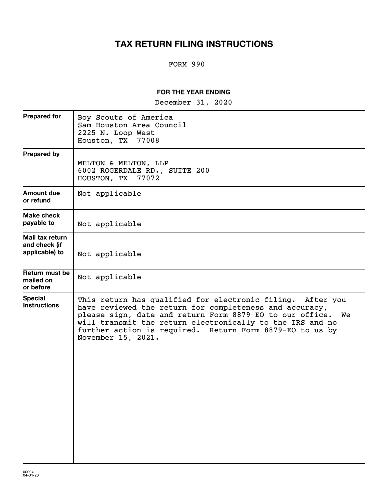# **TAX RETURN FILING INSTRUCTIONS**

# FORM 990

## **FOR THE YEAR ENDING**

~~~~~~~~~~~~~~~~~ December 31, 2020

| <b>Prepared for</b>                                | Boy Scouts of America<br>Sam Houston Area Council<br>2225 N. Loop West<br>Houston, TX<br>77008                                                                                                                                                                                                                                         |
|----------------------------------------------------|----------------------------------------------------------------------------------------------------------------------------------------------------------------------------------------------------------------------------------------------------------------------------------------------------------------------------------------|
| <b>Prepared by</b>                                 | MELTON & MELTON, LLP<br>6002 ROGERDALE RD., SUITE 200<br>HOUSTON, TX 77072                                                                                                                                                                                                                                                             |
| Amount due<br>or refund                            | Not applicable                                                                                                                                                                                                                                                                                                                         |
| Make check<br>payable to                           | Not applicable                                                                                                                                                                                                                                                                                                                         |
| Mail tax return<br>and check (if<br>applicable) to | Not applicable                                                                                                                                                                                                                                                                                                                         |
| Return must be<br>mailed on<br>or before           | Not applicable                                                                                                                                                                                                                                                                                                                         |
| <b>Special</b><br><b>Instructions</b>              | This return has qualified for electronic filing. After you<br>have reviewed the return for completeness and accuracy,<br>please sign, date and return Form 8879-EO to our office.<br>We<br>will transmit the return electronically to the IRS and no<br>further action is required. Return Form 8879-EO to us by<br>November 15, 2021. |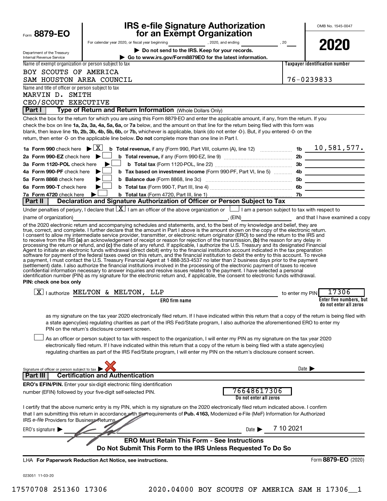| Form 8879-EO                                                          |                                                                                                                                              | <b>IRS e-file Signature Authorization</b><br>for an Exempt Organization                                                                                                                                                                                                                                                                                                                                                                                                                                                                                                                                                                                                                                                                                                                                                                                                                                                                                                                         |                                       | OMB No. 1545-0047                                                                                                                                      |
|-----------------------------------------------------------------------|----------------------------------------------------------------------------------------------------------------------------------------------|-------------------------------------------------------------------------------------------------------------------------------------------------------------------------------------------------------------------------------------------------------------------------------------------------------------------------------------------------------------------------------------------------------------------------------------------------------------------------------------------------------------------------------------------------------------------------------------------------------------------------------------------------------------------------------------------------------------------------------------------------------------------------------------------------------------------------------------------------------------------------------------------------------------------------------------------------------------------------------------------------|---------------------------------------|--------------------------------------------------------------------------------------------------------------------------------------------------------|
|                                                                       |                                                                                                                                              | For calendar year 2020, or fiscal year beginning 2020, and ending 30 2020, and ending                                                                                                                                                                                                                                                                                                                                                                                                                                                                                                                                                                                                                                                                                                                                                                                                                                                                                                           |                                       | 2020                                                                                                                                                   |
| Department of the Treasury<br><b>Internal Revenue Service</b>         |                                                                                                                                              | Do not send to the IRS. Keep for your records.<br>Go to www.irs.gov/Form8879EO for the latest information.                                                                                                                                                                                                                                                                                                                                                                                                                                                                                                                                                                                                                                                                                                                                                                                                                                                                                      |                                       |                                                                                                                                                        |
| Name of exempt organization or person subject to tax                  |                                                                                                                                              |                                                                                                                                                                                                                                                                                                                                                                                                                                                                                                                                                                                                                                                                                                                                                                                                                                                                                                                                                                                                 |                                       | <b>Taxpayer identification number</b>                                                                                                                  |
| BOY SCOUTS OF AMERICA                                                 |                                                                                                                                              |                                                                                                                                                                                                                                                                                                                                                                                                                                                                                                                                                                                                                                                                                                                                                                                                                                                                                                                                                                                                 |                                       |                                                                                                                                                        |
| SAM HOUSTON AREA COUNCIL                                              |                                                                                                                                              |                                                                                                                                                                                                                                                                                                                                                                                                                                                                                                                                                                                                                                                                                                                                                                                                                                                                                                                                                                                                 |                                       | 76-0239833                                                                                                                                             |
| Name and title of officer or person subject to tax<br>MARVIN D. SMITH |                                                                                                                                              |                                                                                                                                                                                                                                                                                                                                                                                                                                                                                                                                                                                                                                                                                                                                                                                                                                                                                                                                                                                                 |                                       |                                                                                                                                                        |
| CEO/SCOUT EXECUTIVE                                                   |                                                                                                                                              |                                                                                                                                                                                                                                                                                                                                                                                                                                                                                                                                                                                                                                                                                                                                                                                                                                                                                                                                                                                                 |                                       |                                                                                                                                                        |
| <b>Part I</b>                                                         |                                                                                                                                              | Type of Return and Return Information (Whole Dollars Only)                                                                                                                                                                                                                                                                                                                                                                                                                                                                                                                                                                                                                                                                                                                                                                                                                                                                                                                                      |                                       |                                                                                                                                                        |
|                                                                       |                                                                                                                                              | Check the box for the return for which you are using this Form 8879-EO and enter the applicable amount, if any, from the return. If you<br>check the box on line 1a, 2a, 3a, 4a, 5a, 6a, or 7a below, and the amount on that line for the return being filed with this form was<br>blank, then leave line 1b, 2b, 3b, 4b, 5b, 6b, or 7b, whichever is applicable, blank (do not enter -0-). But, if you entered -0- on the<br>return, then enter -0- on the applicable line below. Do not complete more than one line in Part I.                                                                                                                                                                                                                                                                                                                                                                                                                                                                |                                       |                                                                                                                                                        |
|                                                                       |                                                                                                                                              |                                                                                                                                                                                                                                                                                                                                                                                                                                                                                                                                                                                                                                                                                                                                                                                                                                                                                                                                                                                                 |                                       |                                                                                                                                                        |
| 2a Form 990-EZ check here $\blacktriangleright$                       |                                                                                                                                              |                                                                                                                                                                                                                                                                                                                                                                                                                                                                                                                                                                                                                                                                                                                                                                                                                                                                                                                                                                                                 |                                       |                                                                                                                                                        |
| 3a Form 1120-POL check here<br>4a Form 990-PF check here              |                                                                                                                                              |                                                                                                                                                                                                                                                                                                                                                                                                                                                                                                                                                                                                                                                                                                                                                                                                                                                                                                                                                                                                 |                                       |                                                                                                                                                        |
| 5a Form 8868 check here                                               |                                                                                                                                              |                                                                                                                                                                                                                                                                                                                                                                                                                                                                                                                                                                                                                                                                                                                                                                                                                                                                                                                                                                                                 |                                       |                                                                                                                                                        |
| 6a Form 990-T check here                                              |                                                                                                                                              |                                                                                                                                                                                                                                                                                                                                                                                                                                                                                                                                                                                                                                                                                                                                                                                                                                                                                                                                                                                                 |                                       |                                                                                                                                                        |
| 7a Form 4720 check here                                               |                                                                                                                                              |                                                                                                                                                                                                                                                                                                                                                                                                                                                                                                                                                                                                                                                                                                                                                                                                                                                                                                                                                                                                 |                                       |                                                                                                                                                        |
| Part II                                                               |                                                                                                                                              | Declaration and Signature Authorization of Officer or Person Subject to Tax                                                                                                                                                                                                                                                                                                                                                                                                                                                                                                                                                                                                                                                                                                                                                                                                                                                                                                                     |                                       |                                                                                                                                                        |
|                                                                       |                                                                                                                                              | Under penalties of perjury, I declare that $\lfloor x \rfloor$ am an officer of the above organization or $\lfloor$ am a person subject to tax with respect to                                                                                                                                                                                                                                                                                                                                                                                                                                                                                                                                                                                                                                                                                                                                                                                                                                  |                                       |                                                                                                                                                        |
| (name of organization)                                                |                                                                                                                                              | of the 2020 electronic return and accompanying schedules and statements, and, to the best of my knowledge and belief, they are                                                                                                                                                                                                                                                                                                                                                                                                                                                                                                                                                                                                                                                                                                                                                                                                                                                                  |                                       |                                                                                                                                                        |
|                                                                       |                                                                                                                                              | processing the return or refund, and (c) the date of any refund. If applicable, I authorize the U.S. Treasury and its designated Financial<br>Agent to initiate an electronic funds withdrawal (direct debit) entry to the financial institution account indicated in the tax preparation<br>software for payment of the federal taxes owed on this return, and the financial institution to debit the entry to this account. To revoke<br>a payment, I must contact the U.S. Treasury Financial Agent at 1-888-353-4537 no later than 2 business days prior to the payment<br>(settlement) date. I also authorize the financial institutions involved in the processing of the electronic payment of taxes to receive<br>confidential information necessary to answer inquiries and resolve issues related to the payment. I have selected a personal<br>identification number (PIN) as my signature for the electronic return and, if applicable, the consent to electronic funds withdrawal. |                                       |                                                                                                                                                        |
| PIN: check one box only                                               |                                                                                                                                              |                                                                                                                                                                                                                                                                                                                                                                                                                                                                                                                                                                                                                                                                                                                                                                                                                                                                                                                                                                                                 |                                       |                                                                                                                                                        |
|                                                                       | $\boxed{\text{X}}$   authorize MELTON & MELTON, LLP                                                                                          |                                                                                                                                                                                                                                                                                                                                                                                                                                                                                                                                                                                                                                                                                                                                                                                                                                                                                                                                                                                                 | to enter my PIN                       | 17306                                                                                                                                                  |
|                                                                       |                                                                                                                                              | <b>ERO</b> firm name                                                                                                                                                                                                                                                                                                                                                                                                                                                                                                                                                                                                                                                                                                                                                                                                                                                                                                                                                                            |                                       | Enter five numbers, but<br>do not enter all zeros                                                                                                      |
|                                                                       | PIN on the return's disclosure consent screen.                                                                                               | a state agency(ies) regulating charities as part of the IRS Fed/State program, I also authorize the aforementioned ERO to enter my<br>As an officer or person subject to tax with respect to the organization, I will enter my PIN as my signature on the tax year 2020<br>electronically filed return. If I have indicated within this return that a copy of the return is being filed with a state agency(ies)<br>regulating charities as part of the IRS Fed/State program, I will enter my PIN on the return's disclosure consent screen.                                                                                                                                                                                                                                                                                                                                                                                                                                                   |                                       | as my signature on the tax year 2020 electronically filed return. If I have indicated within this return that a copy of the return is being filed with |
| Signature of officer or person subject to tax                         |                                                                                                                                              |                                                                                                                                                                                                                                                                                                                                                                                                                                                                                                                                                                                                                                                                                                                                                                                                                                                                                                                                                                                                 |                                       | Date $\blacksquare$                                                                                                                                    |
| <b>Part III</b>                                                       | <b>Certification and Authentication</b>                                                                                                      |                                                                                                                                                                                                                                                                                                                                                                                                                                                                                                                                                                                                                                                                                                                                                                                                                                                                                                                                                                                                 |                                       |                                                                                                                                                        |
|                                                                       | <b>ERO's EFIN/PIN.</b> Enter your six-digit electronic filing identification<br>number (EFIN) followed by your five-digit self-selected PIN. |                                                                                                                                                                                                                                                                                                                                                                                                                                                                                                                                                                                                                                                                                                                                                                                                                                                                                                                                                                                                 | 76648617306<br>Do not enter all zeros |                                                                                                                                                        |
| IRS e-file Providers for Business Returns                             |                                                                                                                                              | I certify that the above numeric entry is my PIN, which is my signature on the 2020 electronically filed return indicated above. I confirm<br>that I am submitting this return in accordance with the requirements of Pub. 4163, Modernized e-File (MeF) Information for Authorized                                                                                                                                                                                                                                                                                                                                                                                                                                                                                                                                                                                                                                                                                                             |                                       |                                                                                                                                                        |
| ERO's signature $\Box$                                                |                                                                                                                                              |                                                                                                                                                                                                                                                                                                                                                                                                                                                                                                                                                                                                                                                                                                                                                                                                                                                                                                                                                                                                 | Date $\blacksquare$                   | 7 10 2021                                                                                                                                              |
|                                                                       |                                                                                                                                              | <b>ERO Must Retain This Form - See Instructions</b><br>Do Not Submit This Form to the IRS Unless Requested To Do So                                                                                                                                                                                                                                                                                                                                                                                                                                                                                                                                                                                                                                                                                                                                                                                                                                                                             |                                       |                                                                                                                                                        |
|                                                                       | LHA For Paperwork Reduction Act Notice, see instructions.                                                                                    |                                                                                                                                                                                                                                                                                                                                                                                                                                                                                                                                                                                                                                                                                                                                                                                                                                                                                                                                                                                                 |                                       | Form 8879-EO (2020)                                                                                                                                    |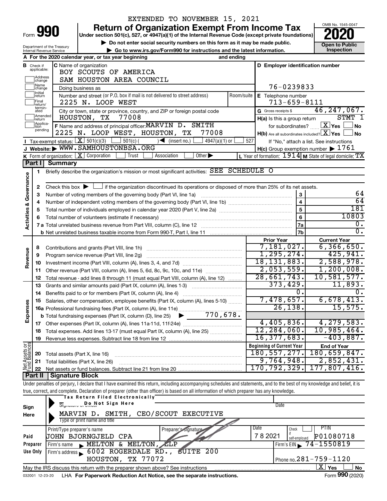| orm |  |  |
|-----|--|--|

# EXTENDED TO NOVEMBER 15, 2021

**990** Return of Organization Exempt From Income Tax <br>
Under section 501(c), 527, or 4947(a)(1) of the Internal Revenue Code (except private foundations)<br> **PO20** 

▶ Do not enter social security numbers on this form as it may be made public. **Dependent Open to Public Dependent Open to Public and the latest information.** Inspection **| Go to www.irs.gov/Form990 for instructions and the latest information. Inspection**



|                                |                               | Department of the Treasury<br>Internal Revenue Service | ► Go to www.irs.gov/Form990 for instructions and the latest information.                                                                                                   |            |                                               |                         | יטוו נט ו טאווע<br>Inspection                             |  |  |  |
|--------------------------------|-------------------------------|--------------------------------------------------------|----------------------------------------------------------------------------------------------------------------------------------------------------------------------------|------------|-----------------------------------------------|-------------------------|-----------------------------------------------------------|--|--|--|
|                                |                               |                                                        | A For the 2020 calendar year, or tax year beginning                                                                                                                        | and ending |                                               |                         |                                                           |  |  |  |
|                                | <b>B</b> Check if applicable: |                                                        | C Name of organization<br>D Employer identification number                                                                                                                 |            |                                               |                         |                                                           |  |  |  |
|                                |                               | BOY SCOUTS OF AMERICA                                  |                                                                                                                                                                            |            |                                               |                         |                                                           |  |  |  |
|                                | Address<br>change             | SAM HOUSTON AREA COUNCIL                               |                                                                                                                                                                            |            |                                               |                         |                                                           |  |  |  |
|                                | ]Name<br>]change              | Doing business as                                      | 76-0239833                                                                                                                                                                 |            |                                               |                         |                                                           |  |  |  |
|                                | ]Initial<br>]return           |                                                        |                                                                                                                                                                            |            |                                               |                         |                                                           |  |  |  |
|                                | Final<br>return/              |                                                        | Number and street (or P.O. box if mail is not delivered to street address)<br>2225 N. LOOP WEST                                                                            | Room/suite | E Telephone number<br>$713 - 659 - 8111$      |                         |                                                           |  |  |  |
|                                | termin-<br>ated               |                                                        | City or town, state or province, country, and ZIP or foreign postal code                                                                                                   |            | G Gross receipts \$                           |                         | 46, 247, 067.                                             |  |  |  |
|                                | Amended <br>Ireturn           |                                                        | HOUSTON, TX<br>77008                                                                                                                                                       |            | H(a) Is this a group return                   |                         | $STMT$ $1$                                                |  |  |  |
|                                | Applica-<br>tion              |                                                        | F Name and address of principal officer: MARVIN D. SMITH                                                                                                                   |            |                                               |                         | for subordinates? $X$ $Y$ es [<br>No                      |  |  |  |
|                                | pending                       |                                                        | 77008<br>2225 N. LOOP WEST, HOUSTON, TX                                                                                                                                    |            | $H(b)$ Are all subordinates included? $X$ Yes |                         | <b>No</b>                                                 |  |  |  |
|                                |                               |                                                        | <b>I</b> Tax-exempt status: $\boxed{\mathbf{X}}$ 501(c)(3) $\boxed{\phantom{0}}$ 501(c)(<br>$\sqrt{\phantom{a}}$ (insert no.)<br>4947(a)(1) or                             | 527        |                                               |                         | If "No," attach a list. See instructions                  |  |  |  |
|                                |                               |                                                        | J Website: WWW.SAMHOUSTONBSA.ORG                                                                                                                                           |            |                                               |                         | $H(c)$ Group exemption number $\triangleright$ 1761       |  |  |  |
|                                |                               |                                                        | K Form of organization: $X$ Corporation<br>Trust<br>Association<br>Other $\blacktriangleright$                                                                             |            |                                               |                         | L Year of formation: $1914$ M State of legal domicile: TX |  |  |  |
|                                | Part I                        | <b>Summary</b>                                         |                                                                                                                                                                            |            |                                               |                         |                                                           |  |  |  |
|                                | 1                             |                                                        | Briefly describe the organization's mission or most significant activities: SEE SCHEDULE O                                                                                 |            |                                               |                         |                                                           |  |  |  |
|                                |                               |                                                        |                                                                                                                                                                            |            |                                               |                         |                                                           |  |  |  |
| Governance                     | 2                             |                                                        | Check this box $\blacktriangleright \Box$ if the organization discontinued its operations or disposed of more than 25% of its net assets.                                  |            |                                               |                         |                                                           |  |  |  |
|                                | З                             |                                                        | Number of voting members of the governing body (Part VI, line 1a)                                                                                                          |            |                                               | 3                       | 64                                                        |  |  |  |
| જ                              | 4                             |                                                        |                                                                                                                                                                            |            |                                               | $\overline{\mathbf{4}}$ | 64                                                        |  |  |  |
|                                | 5                             |                                                        |                                                                                                                                                                            |            |                                               | $\overline{5}$          | 181                                                       |  |  |  |
|                                | 6                             |                                                        |                                                                                                                                                                            |            |                                               | $6\phantom{a}$          | 10803                                                     |  |  |  |
| Activities                     |                               |                                                        |                                                                                                                                                                            |            |                                               | 7a                      | 0.                                                        |  |  |  |
|                                |                               |                                                        |                                                                                                                                                                            |            |                                               | 7b                      | $0$ .                                                     |  |  |  |
|                                |                               |                                                        |                                                                                                                                                                            |            | <b>Prior Year</b>                             |                         | <b>Current Year</b>                                       |  |  |  |
|                                | 8                             |                                                        |                                                                                                                                                                            |            | 7,181,027.                                    |                         | 6, 366, 650.                                              |  |  |  |
|                                | 9                             |                                                        | Program service revenue (Part VIII, line 2g)                                                                                                                               |            | 1, 295, 274.                                  |                         | 425,941.                                                  |  |  |  |
| Revenue                        | 10                            |                                                        |                                                                                                                                                                            |            | 18, 131, 883.                                 |                         | 2,588,978.                                                |  |  |  |
|                                | 11                            |                                                        | Other revenue (Part VIII, column (A), lines 5, 6d, 8c, 9c, 10c, and 11e)                                                                                                   |            | 2,053,559.                                    |                         | 1,200,008.                                                |  |  |  |
|                                | 12                            |                                                        | Total revenue - add lines 8 through 11 (must equal Part VIII, column (A), line 12)                                                                                         |            | 28,661,743.                                   |                         | 10,581,577.                                               |  |  |  |
|                                | 13                            |                                                        | Grants and similar amounts paid (Part IX, column (A), lines 1-3)                                                                                                           |            | 373,429.                                      |                         | 11,893.                                                   |  |  |  |
|                                | 14                            |                                                        | Benefits paid to or for members (Part IX, column (A), line 4)                                                                                                              |            |                                               | 0.                      | $\overline{0}$ .                                          |  |  |  |
|                                | 15                            |                                                        | Salaries, other compensation, employee benefits (Part IX, column (A), lines 5-10)                                                                                          |            | 7,478,657.                                    |                         | 6,678,413.                                                |  |  |  |
|                                |                               |                                                        | 16a Professional fundraising fees (Part IX, column (A), line 11e)                                                                                                          |            | 26, 138.                                      |                         | 15,575.                                                   |  |  |  |
| Expenses                       |                               |                                                        | 770,678.<br><b>b</b> Total fundraising expenses (Part IX, column (D), line 25) $\blacktriangleright$                                                                       |            |                                               |                         |                                                           |  |  |  |
|                                |                               |                                                        |                                                                                                                                                                            |            | 4,405,836.                                    |                         | 4, 279, 583.                                              |  |  |  |
|                                |                               |                                                        | Total expenses. Add lines 13-17 (must equal Part IX, column (A), line 25) [                                                                                                |            | 12, 284, 060.                                 |                         | 10,985,464.                                               |  |  |  |
|                                | 19                            |                                                        |                                                                                                                                                                            |            | 16, 377, 683.                                 |                         | $-403,887.$                                               |  |  |  |
| Net Assets or<br>Fund Balances |                               |                                                        |                                                                                                                                                                            |            | <b>Beginning of Current Year</b>              |                         | <b>End of Year</b>                                        |  |  |  |
|                                | 20                            |                                                        | Total assets (Part X, line 16)                                                                                                                                             |            | 180, 557, 277.                                |                         | 180,659,847.                                              |  |  |  |
|                                | 21                            |                                                        | Total liabilities (Part X, line 26)<br>a se provincia de la construcción de la construcción de la construcción de la construcción de la construcción                       |            | 9,764,948.                                    |                         | 2,852,431.                                                |  |  |  |
|                                | 22                            |                                                        |                                                                                                                                                                            |            | 170,792,329.                                  |                         | 177,807,416.                                              |  |  |  |
|                                | <b>Part II</b>                | <b>Signature Block</b>                                 |                                                                                                                                                                            |            |                                               |                         |                                                           |  |  |  |
|                                |                               |                                                        | Under penalties of perjury, I declare that I have examined this return, including accompanying schedules and statements, and to the best of my knowledge and belief, it is |            |                                               |                         |                                                           |  |  |  |
|                                |                               |                                                        | true, correct, and complete. Declaration of preparer (other than officer) is based on all information of which preparer has any knowledge.                                 |            |                                               |                         |                                                           |  |  |  |
|                                |                               |                                                        | Tax Return Filed Electronically                                                                                                                                            |            |                                               |                         |                                                           |  |  |  |
| Sign                           |                               |                                                        | Signature of Do Not Sign Here                                                                                                                                              |            | Date                                          |                         |                                                           |  |  |  |
| Here                           |                               |                                                        | MARVIN D. SMITH, CEO/SCOUT EXECUTIVE                                                                                                                                       |            |                                               |                         |                                                           |  |  |  |

| Here     | MARVIN D. SMITH, CEO/SCOUT EXECUTIVE                                                                           |                                              |
|----------|----------------------------------------------------------------------------------------------------------------|----------------------------------------------|
|          | Type or print name and title                                                                                   |                                              |
|          | Print/Type preparer's name<br>Preparer's signature                                                             | Date<br>PTIN<br>Check                        |
| Paid     | <b>JOHN BJORNGJELD CPA</b>                                                                                     | P01080718<br>782021<br>self-emploved         |
| Preparer | $\blacktriangleright$ MELTON & MELTON, LLP<br>Firm's name                                                      | $1$ Firm's EIN $\triangleright$ 74 - 1550819 |
| Use Only | Firm's address 6002 ROGERDALE RD., SUITE 200                                                                   |                                              |
|          | HOUSTON, TX 77072                                                                                              | Phone no. $281 - 759 - 1120$                 |
|          | May the IRS discuss this return with the preparer shown above? See instructions                                | x<br><b>No</b><br>Yes                        |
|          | and the company of the the first financial fields at a field that a company to a company to choose the company | $F = 000 (000)$                              |

032001 12-23-20 LHA **For Paperwork Reduction Act Notice, see the separate instructions.** Form 990 (2020)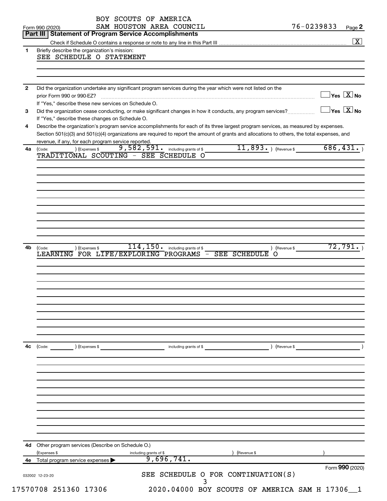|              | SAM HOUSTON AREA COUNCIL<br>Form 990 (2020)<br>Part III   Statement of Program Service Accomplishments                                                                                                                                                                                                                                      | 76-0239833 | Page 2                                    |
|--------------|---------------------------------------------------------------------------------------------------------------------------------------------------------------------------------------------------------------------------------------------------------------------------------------------------------------------------------------------|------------|-------------------------------------------|
|              |                                                                                                                                                                                                                                                                                                                                             |            | $\boxed{\textbf{X}}$                      |
| 1            | Briefly describe the organization's mission:<br>SEE SCHEDULE O STATEMENT                                                                                                                                                                                                                                                                    |            |                                           |
|              |                                                                                                                                                                                                                                                                                                                                             |            |                                           |
| $\mathbf{2}$ | Did the organization undertake any significant program services during the year which were not listed on the<br>prior Form 990 or 990-EZ?                                                                                                                                                                                                   |            | $\overline{\ }$ Yes $\overline{\rm X}$ No |
|              | If "Yes," describe these new services on Schedule O.                                                                                                                                                                                                                                                                                        |            | $\Box$ Yes $[\overline{\mathrm{X}}]$ No   |
| 3            | Did the organization cease conducting, or make significant changes in how it conducts, any program services?<br>If "Yes," describe these changes on Schedule O.                                                                                                                                                                             |            |                                           |
| 4            | Describe the organization's program service accomplishments for each of its three largest program services, as measured by expenses.<br>Section 501(c)(3) and 501(c)(4) organizations are required to report the amount of grants and allocations to others, the total expenses, and<br>revenue, if any, for each program service reported. |            |                                           |
| 4a           | $11,893.$ (Revenue \$<br>9,582,591. including grants of \$<br>) (Expenses \$<br>(Code:<br>TRADITIONAL SCOUTING - SEE SCHEDULE O                                                                                                                                                                                                             | 686,431.   |                                           |
|              |                                                                                                                                                                                                                                                                                                                                             |            |                                           |
|              |                                                                                                                                                                                                                                                                                                                                             |            |                                           |
|              |                                                                                                                                                                                                                                                                                                                                             |            |                                           |
|              |                                                                                                                                                                                                                                                                                                                                             |            |                                           |
|              |                                                                                                                                                                                                                                                                                                                                             |            |                                           |
| 4b           | $114, 150$ $\cdot$ including grants of \$<br>) (Expenses \$<br>) (Revenue \$<br>(Code:                                                                                                                                                                                                                                                      |            | 72,791.                                   |
|              | LEARNING FOR LIFE/EXPLORING PROGRAMS -<br><b>SEE SCHEDULE</b><br><b>O</b>                                                                                                                                                                                                                                                                   |            |                                           |
|              |                                                                                                                                                                                                                                                                                                                                             |            |                                           |
|              |                                                                                                                                                                                                                                                                                                                                             |            |                                           |
|              |                                                                                                                                                                                                                                                                                                                                             |            |                                           |
|              |                                                                                                                                                                                                                                                                                                                                             |            |                                           |
|              |                                                                                                                                                                                                                                                                                                                                             |            |                                           |
| 4c           | (Code: (Code: ) (Expenses \$ code: ) (Expenses \$ code: ) (Revenue \$ code: ) (Revenue \$ code: ) (Revenue \$ code: ) (Revenue \$ code: $\sim$ ) (Revenue \$ code: $\sim$ ) (Revenue \$ code: $\sim$ ) (Revenue \$ code: $\sim$ 0.1 ) (Revenue                                                                                              |            |                                           |
|              |                                                                                                                                                                                                                                                                                                                                             |            |                                           |
|              |                                                                                                                                                                                                                                                                                                                                             |            |                                           |
|              |                                                                                                                                                                                                                                                                                                                                             |            |                                           |
|              |                                                                                                                                                                                                                                                                                                                                             |            |                                           |
|              |                                                                                                                                                                                                                                                                                                                                             |            |                                           |
|              |                                                                                                                                                                                                                                                                                                                                             |            |                                           |
|              | 4d Other program services (Describe on Schedule O.)                                                                                                                                                                                                                                                                                         |            |                                           |
|              | (Expenses \$<br>) (Revenue \$<br>including grants of \$                                                                                                                                                                                                                                                                                     |            |                                           |
|              | 9,696,741.<br>4e Total program service expenses >                                                                                                                                                                                                                                                                                           |            |                                           |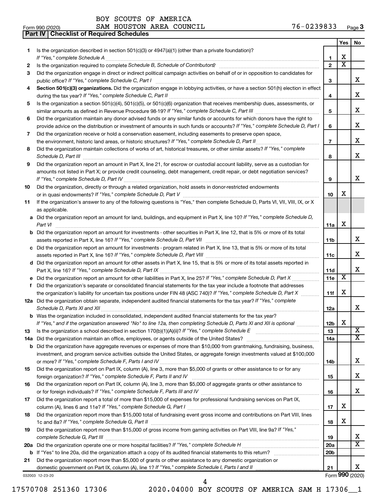**Part IV Checklist of Required Schedules**

Form 990 (2020) Page SAM HOUSTON AREA COUNCIL 76-0239833

|    |                                                                                                                                                                                                                                                    |                 | Yes                     | No                      |
|----|----------------------------------------------------------------------------------------------------------------------------------------------------------------------------------------------------------------------------------------------------|-----------------|-------------------------|-------------------------|
| 1  | Is the organization described in section 501(c)(3) or $4947(a)(1)$ (other than a private foundation)?                                                                                                                                              |                 |                         |                         |
|    | If "Yes," complete Schedule A                                                                                                                                                                                                                      | 1               | х                       |                         |
| 2  |                                                                                                                                                                                                                                                    | $\overline{2}$  | $\overline{\textbf{x}}$ |                         |
| З  | Did the organization engage in direct or indirect political campaign activities on behalf of or in opposition to candidates for                                                                                                                    |                 |                         |                         |
|    |                                                                                                                                                                                                                                                    | 3               |                         | x                       |
| 4  | Section 501(c)(3) organizations. Did the organization engage in lobbying activities, or have a section 501(h) election in effect                                                                                                                   |                 |                         |                         |
|    |                                                                                                                                                                                                                                                    | 4               |                         | х                       |
| 5  | Is the organization a section 501(c)(4), 501(c)(5), or 501(c)(6) organization that receives membership dues, assessments, or                                                                                                                       |                 |                         |                         |
|    |                                                                                                                                                                                                                                                    | 5               |                         | х                       |
| 6  | Did the organization maintain any donor advised funds or any similar funds or accounts for which donors have the right to                                                                                                                          |                 |                         |                         |
|    | provide advice on the distribution or investment of amounts in such funds or accounts? If "Yes," complete Schedule D, Part I                                                                                                                       | 6               |                         | x                       |
| 7  | Did the organization receive or hold a conservation easement, including easements to preserve open space,                                                                                                                                          |                 |                         |                         |
|    | the environment, historic land areas, or historic structures? If "Yes," complete Schedule D, Part II                                                                                                                                               | $\overline{7}$  |                         | x                       |
| 8  | Did the organization maintain collections of works of art, historical treasures, or other similar assets? If "Yes," complete                                                                                                                       |                 |                         |                         |
|    |                                                                                                                                                                                                                                                    | 8               |                         | x                       |
| 9  | Did the organization report an amount in Part X, line 21, for escrow or custodial account liability, serve as a custodian for                                                                                                                      |                 |                         |                         |
|    | amounts not listed in Part X; or provide credit counseling, debt management, credit repair, or debt negotiation services?                                                                                                                          |                 |                         |                         |
|    |                                                                                                                                                                                                                                                    | 9               |                         | x                       |
| 10 | Did the organization, directly or through a related organization, hold assets in donor-restricted endowments                                                                                                                                       |                 |                         |                         |
|    |                                                                                                                                                                                                                                                    | 10              | х                       |                         |
| 11 | If the organization's answer to any of the following questions is "Yes," then complete Schedule D, Parts VI, VII, VIII, IX, or X                                                                                                                   |                 |                         |                         |
|    | as applicable.                                                                                                                                                                                                                                     |                 |                         |                         |
|    | a Did the organization report an amount for land, buildings, and equipment in Part X, line 10? If "Yes," complete Schedule D,                                                                                                                      |                 |                         |                         |
|    | Part VI                                                                                                                                                                                                                                            | 11a             | х                       |                         |
|    | <b>b</b> Did the organization report an amount for investments - other securities in Part X, line 12, that is 5% or more of its total                                                                                                              |                 |                         |                         |
|    |                                                                                                                                                                                                                                                    | 11b             |                         | x                       |
|    | c Did the organization report an amount for investments - program related in Part X, line 13, that is 5% or more of its total                                                                                                                      |                 |                         | X.                      |
|    |                                                                                                                                                                                                                                                    | 11c             |                         |                         |
|    | d Did the organization report an amount for other assets in Part X, line 15, that is 5% or more of its total assets reported in                                                                                                                    |                 |                         | x                       |
|    |                                                                                                                                                                                                                                                    | 11d<br>11e      | $\overline{\textbf{x}}$ |                         |
|    | e Did the organization report an amount for other liabilities in Part X, line 25? If "Yes," complete Schedule D, Part X<br>Did the organization's separate or consolidated financial statements for the tax year include a footnote that addresses |                 |                         |                         |
| f  | the organization's liability for uncertain tax positions under FIN 48 (ASC 740)? If "Yes," complete Schedule D, Part X                                                                                                                             | 11f             | х                       |                         |
|    | 12a Did the organization obtain separate, independent audited financial statements for the tax year? If "Yes," complete                                                                                                                            |                 |                         |                         |
|    | Schedule D, Parts XI and XII                                                                                                                                                                                                                       | 12a             |                         | x                       |
|    | <b>b</b> Was the organization included in consolidated, independent audited financial statements for the tax year?                                                                                                                                 |                 |                         |                         |
|    | If "Yes," and if the organization answered "No" to line 12a, then completing Schedule D, Parts XI and XII is optional                                                                                                                              | 12 <sub>b</sub> | X                       |                         |
| 13 |                                                                                                                                                                                                                                                    | 13              |                         | $\overline{\mathbf{X}}$ |
|    | 14a Did the organization maintain an office, employees, or agents outside of the United States?                                                                                                                                                    | 14a             |                         | x                       |
|    | <b>b</b> Did the organization have aggregate revenues or expenses of more than \$10,000 from grantmaking, fundraising, business,                                                                                                                   |                 |                         |                         |
|    | investment, and program service activities outside the United States, or aggregate foreign investments valued at \$100,000                                                                                                                         |                 |                         |                         |
|    |                                                                                                                                                                                                                                                    | 14b             |                         | х                       |
| 15 | Did the organization report on Part IX, column (A), line 3, more than \$5,000 of grants or other assistance to or for any                                                                                                                          |                 |                         |                         |
|    |                                                                                                                                                                                                                                                    | 15              |                         | x                       |
| 16 | Did the organization report on Part IX, column (A), line 3, more than \$5,000 of aggregate grants or other assistance to                                                                                                                           |                 |                         |                         |
|    |                                                                                                                                                                                                                                                    | 16              |                         | x.                      |
| 17 | Did the organization report a total of more than \$15,000 of expenses for professional fundraising services on Part IX,                                                                                                                            |                 |                         |                         |
|    |                                                                                                                                                                                                                                                    | 17              | х                       |                         |
| 18 | Did the organization report more than \$15,000 total of fundraising event gross income and contributions on Part VIII, lines                                                                                                                       |                 |                         |                         |
|    |                                                                                                                                                                                                                                                    | 18              | х                       |                         |
| 19 | Did the organization report more than \$15,000 of gross income from gaming activities on Part VIII, line 9a? If "Yes,"                                                                                                                             |                 |                         |                         |
|    | complete Schedule G, Part III                                                                                                                                                                                                                      | 19              |                         | x                       |
|    |                                                                                                                                                                                                                                                    | 20a             |                         | $\overline{\text{X}}$   |
|    |                                                                                                                                                                                                                                                    | 20 <sub>b</sub> |                         |                         |
| 21 | Did the organization report more than \$5,000 of grants or other assistance to any domestic organization or                                                                                                                                        |                 |                         |                         |
|    |                                                                                                                                                                                                                                                    | 21              |                         | x                       |
|    | 032003 12-23-20                                                                                                                                                                                                                                    |                 |                         | Form 990 (2020)         |

17570708 251360 17306 2020.04000 BOY SCOUTS OF AMERICA SAM H 17306\_\_1

4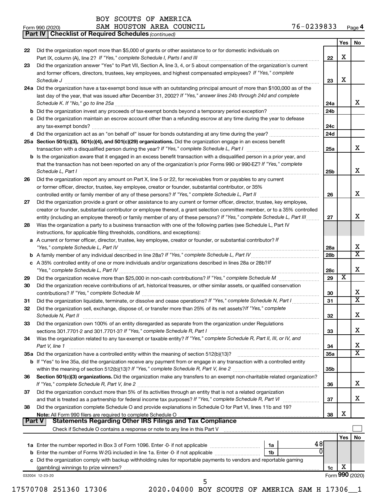*(continued)* **Part IV Checklist of Required Schedules**

| Form 990 (2020) | AREA<br><b>HOUSTON</b><br>COUNCIL<br>SAM | 76-0239833<br>Page 4 |
|-----------------|------------------------------------------|----------------------|
|-----------------|------------------------------------------|----------------------|

|        | Did the organization report more than \$5,000 of grants or other assistance to or for domestic individuals on                                                                                                                                                                                                                                                                          |                 | X   |                         |
|--------|----------------------------------------------------------------------------------------------------------------------------------------------------------------------------------------------------------------------------------------------------------------------------------------------------------------------------------------------------------------------------------------|-----------------|-----|-------------------------|
| 23     | Did the organization answer "Yes" to Part VII, Section A, line 3, 4, or 5 about compensation of the organization's current                                                                                                                                                                                                                                                             | 22              |     |                         |
|        | and former officers, directors, trustees, key employees, and highest compensated employees? If "Yes," complete                                                                                                                                                                                                                                                                         | 23              | X   |                         |
|        | Schedule J <b>Execute Schedule Schedule Schedule Schedule</b> J <b>Execute Schedule J Execute Schedule J</b><br>24a Did the organization have a tax-exempt bond issue with an outstanding principal amount of more than \$100,000 as of the<br>last day of the year, that was issued after December 31, 2002? If "Yes," answer lines 24b through 24d and complete                      | 24a             |     | x                       |
|        |                                                                                                                                                                                                                                                                                                                                                                                        | 24 <sub>b</sub> |     |                         |
|        | c Did the organization maintain an escrow account other than a refunding escrow at any time during the year to defease                                                                                                                                                                                                                                                                 | 24c             |     |                         |
|        |                                                                                                                                                                                                                                                                                                                                                                                        | 24d             |     |                         |
|        | 25a Section 501(c)(3), 501(c)(4), and 501(c)(29) organizations. Did the organization engage in an excess benefit                                                                                                                                                                                                                                                                       | 25a             |     | x                       |
|        | <b>b</b> Is the organization aware that it engaged in an excess benefit transaction with a disqualified person in a prior year, and<br>that the transaction has not been reported on any of the organization's prior Forms 990 or 990-EZ? If "Yes," complete<br>Schedule L, Part I                                                                                                     | 25 <sub>b</sub> |     | X                       |
| 26     | Did the organization report any amount on Part X, line 5 or 22, for receivables from or payables to any current                                                                                                                                                                                                                                                                        |                 |     |                         |
|        | or former officer, director, trustee, key employee, creator or founder, substantial contributor, or 35%                                                                                                                                                                                                                                                                                |                 |     |                         |
|        | controlled entity or family member of any of these persons? If "Yes," complete Schedule L, Part II                                                                                                                                                                                                                                                                                     | 26              |     | X                       |
| 27     | Did the organization provide a grant or other assistance to any current or former officer, director, trustee, key employee,<br>creator or founder, substantial contributor or employee thereof, a grant selection committee member, or to a 35% controlled<br>entity (including an employee thereof) or family member of any of these persons? If "Yes," complete Schedule L, Part III | 27              |     | х                       |
| 28     | Was the organization a party to a business transaction with one of the following parties (see Schedule L, Part IV                                                                                                                                                                                                                                                                      |                 |     |                         |
|        | instructions, for applicable filing thresholds, conditions, and exceptions):<br>a A current or former officer, director, trustee, key employee, creator or founder, or substantial contributor? If                                                                                                                                                                                     |                 |     |                         |
|        |                                                                                                                                                                                                                                                                                                                                                                                        | 28a             |     | х                       |
|        |                                                                                                                                                                                                                                                                                                                                                                                        | 28 <sub>b</sub> |     | $\overline{\texttt{x}}$ |
|        | c A 35% controlled entity of one or more individuals and/or organizations described in lines 28a or 28b?If                                                                                                                                                                                                                                                                             | 28c             |     | X                       |
| 29     |                                                                                                                                                                                                                                                                                                                                                                                        | 29              | х   |                         |
| 30     | Did the organization receive contributions of art, historical treasures, or other similar assets, or qualified conservation                                                                                                                                                                                                                                                            | 30              |     | х                       |
| 31     | Did the organization liquidate, terminate, or dissolve and cease operations? If "Yes," complete Schedule N, Part I                                                                                                                                                                                                                                                                     | 31              |     | $\overline{\texttt{x}}$ |
| 32     | Did the organization sell, exchange, dispose of, or transfer more than 25% of its net assets? If "Yes," complete<br>Schedule N, Part II <b>Markov Markov Alexander Schedule N, Part II Markov Markov Markov Markov Markov Markov Markov Markov Markov Markov Markov Markov Markov Markov Markov Markov Markov Markov Markov Markov Markov Markov M</b>                                 | 32              |     | X                       |
| 33     | Did the organization own 100% of an entity disregarded as separate from the organization under Regulations                                                                                                                                                                                                                                                                             | 33              |     | x                       |
| 34     | Was the organization related to any tax-exempt or taxable entity? If "Yes," complete Schedule R, Part II, III, or IV, and<br>Part V, line 1                                                                                                                                                                                                                                            | 34              |     | х                       |
|        |                                                                                                                                                                                                                                                                                                                                                                                        | 35a             |     | $\overline{\text{x}}$   |
|        | b If "Yes" to line 35a, did the organization receive any payment from or engage in any transaction with a controlled entity                                                                                                                                                                                                                                                            | 35b             |     |                         |
| 36.    | Section 501(c)(3) organizations. Did the organization make any transfers to an exempt non-charitable related organization?                                                                                                                                                                                                                                                             | 36              |     | х                       |
| 37     | Did the organization conduct more than 5% of its activities through an entity that is not a related organization                                                                                                                                                                                                                                                                       | 37              |     | х                       |
| 38     | Did the organization complete Schedule O and provide explanations in Schedule O for Part VI, lines 11b and 19?                                                                                                                                                                                                                                                                         | 38              | х   |                         |
| Part V |                                                                                                                                                                                                                                                                                                                                                                                        |                 |     |                         |
|        |                                                                                                                                                                                                                                                                                                                                                                                        |                 | Yes | <b>No</b>               |
|        | 48<br>0<br>1 <sub>b</sub>                                                                                                                                                                                                                                                                                                                                                              |                 |     |                         |
|        |                                                                                                                                                                                                                                                                                                                                                                                        |                 |     |                         |
|        | c Did the organization comply with backup withholding rules for reportable payments to vendors and reportable gaming                                                                                                                                                                                                                                                                   |                 |     |                         |
|        |                                                                                                                                                                                                                                                                                                                                                                                        | 1c              | х   |                         |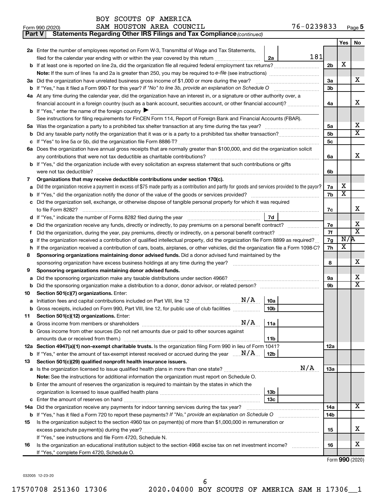| BOY SCOUTS OF AMERICA |  |
|-----------------------|--|
|-----------------------|--|

| Form 990 (2020) |  | SAM HOUSTON AREA COUNCIL |  |  | 76-0239833 | Page 5 |
|-----------------|--|--------------------------|--|--|------------|--------|
|-----------------|--|--------------------------|--|--|------------|--------|

| 2a Enter the number of employees reported on Form W-3, Transmittal of Wage and Tax Statements,<br>filed for the calendar year ending with or within the year covered by this return<br>2a<br>b If at least one is reported on line 2a, did the organization file all required federal employment tax returns?<br>3a Did the organization have unrelated business gross income of \$1,000 or more during the year? | 181 | 2b         | Yes                     | No                      |
|-------------------------------------------------------------------------------------------------------------------------------------------------------------------------------------------------------------------------------------------------------------------------------------------------------------------------------------------------------------------------------------------------------------------|-----|------------|-------------------------|-------------------------|
|                                                                                                                                                                                                                                                                                                                                                                                                                   |     |            |                         |                         |
|                                                                                                                                                                                                                                                                                                                                                                                                                   |     |            |                         |                         |
|                                                                                                                                                                                                                                                                                                                                                                                                                   |     |            |                         |                         |
|                                                                                                                                                                                                                                                                                                                                                                                                                   |     |            | X                       |                         |
|                                                                                                                                                                                                                                                                                                                                                                                                                   |     |            |                         |                         |
|                                                                                                                                                                                                                                                                                                                                                                                                                   |     | За         |                         | x                       |
|                                                                                                                                                                                                                                                                                                                                                                                                                   |     | Зb         |                         |                         |
| 4a At any time during the calendar year, did the organization have an interest in, or a signature or other authority over, a                                                                                                                                                                                                                                                                                      |     |            |                         |                         |
| financial account in a foreign country (such as a bank account, securities account, or other financial account)?                                                                                                                                                                                                                                                                                                  |     | 4a         |                         | х                       |
| <b>b</b> If "Yes," enter the name of the foreign country $\blacktriangleright$                                                                                                                                                                                                                                                                                                                                    |     |            |                         |                         |
| See instructions for filing requirements for FinCEN Form 114, Report of Foreign Bank and Financial Accounts (FBAR).                                                                                                                                                                                                                                                                                               |     |            |                         |                         |
|                                                                                                                                                                                                                                                                                                                                                                                                                   |     | 5a         |                         | х                       |
|                                                                                                                                                                                                                                                                                                                                                                                                                   |     | 5b         |                         | $\overline{\text{X}}$   |
|                                                                                                                                                                                                                                                                                                                                                                                                                   |     | 5c         |                         |                         |
| 6a Does the organization have annual gross receipts that are normally greater than \$100,000, and did the organization solicit                                                                                                                                                                                                                                                                                    |     |            |                         |                         |
|                                                                                                                                                                                                                                                                                                                                                                                                                   |     | 6a         |                         | х                       |
| <b>b</b> If "Yes," did the organization include with every solicitation an express statement that such contributions or gifts                                                                                                                                                                                                                                                                                     |     |            |                         |                         |
|                                                                                                                                                                                                                                                                                                                                                                                                                   |     | 6b         |                         |                         |
| Organizations that may receive deductible contributions under section 170(c).<br>7                                                                                                                                                                                                                                                                                                                                |     |            |                         |                         |
| Did the organization receive a payment in excess of \$75 made partly as a contribution and partly for goods and services provided to the payor?                                                                                                                                                                                                                                                                   |     | 7a         | х                       |                         |
| b                                                                                                                                                                                                                                                                                                                                                                                                                 |     | 7b         | $\overline{\textbf{x}}$ |                         |
| c Did the organization sell, exchange, or otherwise dispose of tangible personal property for which it was required                                                                                                                                                                                                                                                                                               |     |            |                         |                         |
|                                                                                                                                                                                                                                                                                                                                                                                                                   |     | 7c         |                         | x                       |
| 7d                                                                                                                                                                                                                                                                                                                                                                                                                |     |            |                         |                         |
|                                                                                                                                                                                                                                                                                                                                                                                                                   |     | 7е         |                         | х                       |
| Ť.                                                                                                                                                                                                                                                                                                                                                                                                                |     | 7f         |                         | $\overline{\textbf{x}}$ |
| If the organization received a contribution of qualified intellectual property, did the organization file Form 8899 as required?<br>g                                                                                                                                                                                                                                                                             |     | 7g         | N/R                     |                         |
| If the organization received a contribution of cars, boats, airplanes, or other vehicles, did the organization file a Form 1098-C?<br>h                                                                                                                                                                                                                                                                           |     | 7h         | х                       |                         |
| Sponsoring organizations maintaining donor advised funds. Did a donor advised fund maintained by the<br>8                                                                                                                                                                                                                                                                                                         |     |            |                         |                         |
|                                                                                                                                                                                                                                                                                                                                                                                                                   |     | 8          |                         | х                       |
| Sponsoring organizations maintaining donor advised funds.<br>9                                                                                                                                                                                                                                                                                                                                                    |     |            |                         |                         |
| Did the sponsoring organization make any taxable distributions under section 4966?<br>а                                                                                                                                                                                                                                                                                                                           |     | 9а         |                         | х                       |
| b                                                                                                                                                                                                                                                                                                                                                                                                                 |     | 9b         |                         | $\overline{\textbf{X}}$ |
| Section 501(c)(7) organizations. Enter:<br>10                                                                                                                                                                                                                                                                                                                                                                     |     |            |                         |                         |
| 10a                                                                                                                                                                                                                                                                                                                                                                                                               |     |            |                         |                         |
| 10 <sub>b</sub><br>b Gross receipts, included on Form 990, Part VIII, line 12, for public use of club facilities                                                                                                                                                                                                                                                                                                  |     |            |                         |                         |
| Section 501(c)(12) organizations. Enter:<br>11                                                                                                                                                                                                                                                                                                                                                                    |     |            |                         |                         |
| N/A<br>11a<br>а                                                                                                                                                                                                                                                                                                                                                                                                   |     |            |                         |                         |
| Gross income from other sources (Do not net amounts due or paid to other sources against<br>b                                                                                                                                                                                                                                                                                                                     |     |            |                         |                         |
| amounts due or received from them.)<br>11b                                                                                                                                                                                                                                                                                                                                                                        |     |            |                         |                         |
| 12a Section 4947(a)(1) non-exempt charitable trusts. Is the organization filing Form 990 in lieu of Form 1041?                                                                                                                                                                                                                                                                                                    |     | 12a        |                         |                         |
| <b>b</b> If "Yes," enter the amount of tax-exempt interest received or accrued during the year $\ldots$ $\mathbf{N}/\mathbf{A}$ .<br>12b                                                                                                                                                                                                                                                                          |     |            |                         |                         |
| Section 501(c)(29) qualified nonprofit health insurance issuers.<br>13                                                                                                                                                                                                                                                                                                                                            |     |            |                         |                         |
| Is the organization licensed to issue qualified health plans in more than one state?<br>а                                                                                                                                                                                                                                                                                                                         | N/A | <b>13a</b> |                         |                         |
| Note: See the instructions for additional information the organization must report on Schedule O.                                                                                                                                                                                                                                                                                                                 |     |            |                         |                         |
| <b>b</b> Enter the amount of reserves the organization is required to maintain by the states in which the                                                                                                                                                                                                                                                                                                         |     |            |                         |                         |
| 13 <sub>b</sub>                                                                                                                                                                                                                                                                                                                                                                                                   |     |            |                         |                         |
| 13 <sub>c</sub>                                                                                                                                                                                                                                                                                                                                                                                                   |     |            |                         |                         |
| 14a Did the organization receive any payments for indoor tanning services during the tax year?                                                                                                                                                                                                                                                                                                                    |     | 14a        |                         | х                       |
| <b>b</b> If "Yes," has it filed a Form 720 to report these payments? If "No," provide an explanation on Schedule O                                                                                                                                                                                                                                                                                                |     | 14b        |                         |                         |
| Is the organization subject to the section 4960 tax on payment(s) of more than \$1,000,000 in remuneration or<br>15                                                                                                                                                                                                                                                                                               |     |            |                         |                         |
|                                                                                                                                                                                                                                                                                                                                                                                                                   |     | 15         |                         | x                       |
| If "Yes," see instructions and file Form 4720, Schedule N.                                                                                                                                                                                                                                                                                                                                                        |     |            |                         |                         |
| Is the organization an educational institution subject to the section 4968 excise tax on net investment income?<br>16                                                                                                                                                                                                                                                                                             |     | 16         |                         | х                       |
| If "Yes," complete Form 4720, Schedule O.                                                                                                                                                                                                                                                                                                                                                                         |     |            |                         |                         |

Form (2020) **990**

032005 12-23-20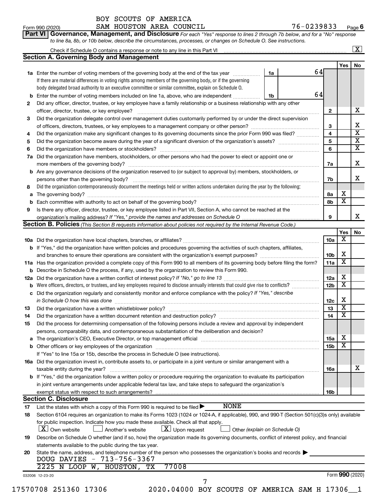|          |                                                                                                                                                                                                                                         |    |    |                 | Yes                     | <b>No</b>               |
|----------|-----------------------------------------------------------------------------------------------------------------------------------------------------------------------------------------------------------------------------------------|----|----|-----------------|-------------------------|-------------------------|
|          | 1a Enter the number of voting members of the governing body at the end of the tax year                                                                                                                                                  | 1a | 64 |                 |                         |                         |
|          | If there are material differences in voting rights among members of the governing body, or if the governing                                                                                                                             |    |    |                 |                         |                         |
|          | body delegated broad authority to an executive committee or similar committee, explain on Schedule O.                                                                                                                                   |    |    |                 |                         |                         |
| b        | Enter the number of voting members included on line 1a, above, who are independent                                                                                                                                                      | 1b | 64 |                 |                         |                         |
| 2        | Did any officer, director, trustee, or key employee have a family relationship or a business relationship with any other                                                                                                                |    |    |                 |                         |                         |
|          | officer, director, trustee, or key employee?                                                                                                                                                                                            |    |    | $\mathbf{2}$    |                         | х                       |
| 3        | Did the organization delegate control over management duties customarily performed by or under the direct supervision                                                                                                                   |    |    |                 |                         |                         |
|          |                                                                                                                                                                                                                                         |    |    | 3               |                         | Χ                       |
| 4        | Did the organization make any significant changes to its governing documents since the prior Form 990 was filed?                                                                                                                        |    |    | 4               |                         | $\overline{\mathbf{x}}$ |
| 5        |                                                                                                                                                                                                                                         |    |    | 5               |                         | $\overline{\mathbf{x}}$ |
| 6        |                                                                                                                                                                                                                                         |    |    | 6               |                         | X                       |
| 7a       | Did the organization have members, stockholders, or other persons who had the power to elect or appoint one or                                                                                                                          |    |    |                 |                         |                         |
|          |                                                                                                                                                                                                                                         |    |    | 7a              |                         | X                       |
|          | <b>b</b> Are any governance decisions of the organization reserved to (or subject to approval by) members, stockholders, or                                                                                                             |    |    |                 |                         |                         |
|          |                                                                                                                                                                                                                                         |    |    | 7b              |                         | Χ                       |
| 8        | Did the organization contemporaneously document the meetings held or written actions undertaken during the year by the following:                                                                                                       |    |    |                 |                         |                         |
| а        |                                                                                                                                                                                                                                         |    |    | 8а              | х                       |                         |
| b        |                                                                                                                                                                                                                                         |    |    | 8b              | $\overline{\textbf{x}}$ |                         |
| 9        | Is there any officer, director, trustee, or key employee listed in Part VII, Section A, who cannot be reached at the                                                                                                                    |    |    |                 |                         |                         |
|          |                                                                                                                                                                                                                                         |    |    | 9               |                         | X                       |
|          | <b>Section B. Policies</b> (This Section B requests information about policies not required by the Internal Revenue Code.)                                                                                                              |    |    |                 |                         |                         |
|          |                                                                                                                                                                                                                                         |    |    |                 | Yes                     | <b>No</b>               |
|          |                                                                                                                                                                                                                                         |    |    | 10a             | х                       |                         |
|          | b If "Yes," did the organization have written policies and procedures governing the activities of such chapters, affiliates,                                                                                                            |    |    |                 |                         |                         |
|          |                                                                                                                                                                                                                                         |    |    | 10b             | X                       |                         |
|          | 11a Has the organization provided a complete copy of this Form 990 to all members of its governing body before filing the form?                                                                                                         |    |    | 11a             | X                       |                         |
|          | <b>b</b> Describe in Schedule O the process, if any, used by the organization to review this Form 990.                                                                                                                                  |    |    |                 |                         |                         |
| 12a      |                                                                                                                                                                                                                                         |    |    | 12a             | х                       |                         |
| b        | Were officers, directors, or trustees, and key employees required to disclose annually interests that could give rise to conflicts?                                                                                                     |    |    | 12 <sub>b</sub> | $\overline{\texttt{x}}$ |                         |
| с        | Did the organization regularly and consistently monitor and enforce compliance with the policy? If "Yes," describe                                                                                                                      |    |    |                 |                         |                         |
|          | in Schedule O how this was done                                                                                                                                                                                                         |    |    | 12c             | X                       |                         |
| 13       |                                                                                                                                                                                                                                         |    |    | 13              | $\overline{\mathbf{x}}$ |                         |
| 14       |                                                                                                                                                                                                                                         |    |    | 14              | X                       |                         |
|          | Did the process for determining compensation of the following persons include a review and approval by independent                                                                                                                      |    |    |                 |                         |                         |
| 15       | persons, comparability data, and contemporaneous substantiation of the deliberation and decision?                                                                                                                                       |    |    |                 |                         |                         |
|          |                                                                                                                                                                                                                                         |    |    | 15a             | $\overline{\textbf{X}}$ |                         |
|          | The organization's CEO, Executive Director, or top management official manufactured content of the organization's CEO, Executive Director, or top management official manufactured content of the organization's CEO, Executiv          |    |    |                 | X                       |                         |
|          |                                                                                                                                                                                                                                         |    |    | 15b             |                         |                         |
|          | If "Yes" to line 15a or 15b, describe the process in Schedule O (see instructions).                                                                                                                                                     |    |    |                 |                         |                         |
|          | 16a Did the organization invest in, contribute assets to, or participate in a joint venture or similar arrangement with a                                                                                                               |    |    |                 |                         | х                       |
|          |                                                                                                                                                                                                                                         |    |    | 16a             |                         |                         |
|          | taxable entity during the year?                                                                                                                                                                                                         |    |    |                 |                         |                         |
|          | b If "Yes," did the organization follow a written policy or procedure requiring the organization to evaluate its participation                                                                                                          |    |    |                 |                         |                         |
|          | in joint venture arrangements under applicable federal tax law, and take steps to safeguard the organization's                                                                                                                          |    |    |                 |                         |                         |
|          | exempt status with respect to such arrangements?                                                                                                                                                                                        |    |    | 16b             |                         |                         |
|          | <b>Section C. Disclosure</b>                                                                                                                                                                                                            |    |    |                 |                         |                         |
|          | <b>NONE</b><br>List the states with which a copy of this Form 990 is required to be filed >                                                                                                                                             |    |    |                 |                         |                         |
| 17<br>18 | Section 6104 requires an organization to make its Forms 1023 (1024 or 1024-A, if applicable), 990, and 990-T (Section 501(c)(3)s only) available<br>for public inspection. Indicate how you made these available. Check all that apply. |    |    |                 |                         |                         |

#### **19** Describe on Schedule O whether (and if so, how) the organization made its governing documents, conflict of interest policy, and financial statements available to the public during the tax year.

| 20 State the name, address, and telephone number of the person who possesses the organization's books and records |  |
|-------------------------------------------------------------------------------------------------------------------|--|
| DOUG DAVIES - 713-756-3367                                                                                        |  |
| 2225 N LOOP W, HOUSTON, TX 77008                                                                                  |  |

032006 12-23-20

17570708 251360 17306 2020.04000 BOY SCOUTS OF AMERICA SAM H 17306\_\_1

7

Form (2020) **990**

**6**

**Yes No**

 $\boxed{\text{X}}$ 

**Yes No**

X

 $\overline{\mathbf{x}}$ 

| Form 990 (2020) | SAM HOUSTON AREA COUNCIL |  | 76-0239833                                                                                                                  | Page |
|-----------------|--------------------------|--|-----------------------------------------------------------------------------------------------------------------------------|------|
|                 |                          |  | Part VI Governance, Management, and Disclosure For each "Yes" response to lines 2 through 7b below, and for a "No" response |      |

BOY SCOUTS OF AMERICA

Check if Schedule O contains a response or note to any line in this Part VI

*to line 8a, 8b, or 10b below, describe the circumstances, processes, or changes on Schedule O. See instructions.*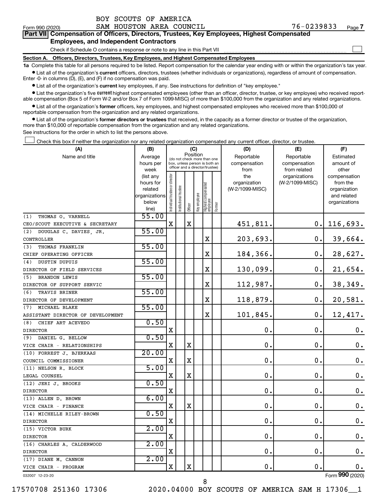Form 990 (2020) Page SAM HOUSTON AREA COUNCIL 76-0239833

 $\Box$ 

| Part VII Compensation of Officers, Directors, Trustees, Key Employees, Highest Compensated |  |  |  |  |
|--------------------------------------------------------------------------------------------|--|--|--|--|
| <b>Employees, and Independent Contractors</b>                                              |  |  |  |  |

Check if Schedule O contains a response or note to any line in this Part VII

**Section A. Officers, Directors, Trustees, Key Employees, and Highest Compensated Employees**

**1a**  Complete this table for all persons required to be listed. Report compensation for the calendar year ending with or within the organization's tax year.  $\bullet$  List all of the organization's current officers, directors, trustees (whether individuals or organizations), regardless of amount of compensation.

Enter -0- in columns (D), (E), and (F) if no compensation was paid.

**•** List all of the organization's current key employees, if any. See instructions for definition of "key employee."

• List the organization's five *current* highest compensated employees (other than an officer, director, trustee, or key employee) who received reportable compensation (Box 5 of Form W-2 and/or Box 7 of Form 1099-MISC) of more than \$100,000 from the organization and any related organizations.

 $\bullet$  List all of the organization's former officers, key employees, and highest compensated employees who received more than \$100,000 of reportable compensation from the organization and any related organizations.

**•** List all of the organization's former directors or trustees that received, in the capacity as a former director or trustee of the organization, more than \$10,000 of reportable compensation from the organization and any related organizations.

See instructions for the order in which to list the persons above.

Check this box if neither the organization nor any related organization compensated any current officer, director, or trustee.  $\Box$ 

| (A)                               | (B)                      |                               |                                 | (C)         |              |                                   |        | (D)             | (E)             | (F)                         |
|-----------------------------------|--------------------------|-------------------------------|---------------------------------|-------------|--------------|-----------------------------------|--------|-----------------|-----------------|-----------------------------|
| Name and title                    | Average                  |                               | (do not check more than one     | Position    |              |                                   |        | Reportable      | Reportable      | Estimated                   |
|                                   | hours per                |                               | box, unless person is both an   |             |              |                                   |        | compensation    | compensation    | amount of                   |
|                                   | week                     |                               | officer and a director/trustee) |             |              |                                   |        | from            | from related    | other                       |
|                                   | (list any                |                               |                                 |             |              |                                   |        | the             | organizations   | compensation                |
|                                   | hours for                |                               |                                 |             |              |                                   |        | organization    | (W-2/1099-MISC) | from the                    |
|                                   | related<br>organizations |                               | trustee                         |             |              |                                   |        | (W-2/1099-MISC) |                 | organization<br>and related |
|                                   | below                    |                               |                                 |             |              |                                   |        |                 |                 | organizations               |
|                                   | line)                    | ndividual trustee or director | Institutional t                 | Officer     | key employee | Highest compensated<br>  employee | Former |                 |                 |                             |
| THOMAS O. VARNELL<br>(1)          | 55.00                    |                               |                                 |             |              |                                   |        |                 |                 |                             |
| CEO/SCOUT EXECUTIVE & SECRETARY   |                          | $\mathbf X$                   |                                 | $\mathbf X$ |              |                                   |        | 451,811.        | 0.              | 116,693.                    |
| DOUGLAS C. DAVIES, JR.<br>(2)     | 55.00                    |                               |                                 |             |              |                                   |        |                 |                 |                             |
| CONTROLLER                        |                          |                               |                                 |             |              | X                                 |        | 203,693.        | 0.              | 39,664.                     |
| THOMAS FRANKLIN<br>(3)            | 55.00                    |                               |                                 |             |              |                                   |        |                 |                 |                             |
| CHIEF OPERATING OFFICER           |                          |                               |                                 |             |              | X                                 |        | 184,366.        | 0.              | 28,627.                     |
| DUSTIN DUPUIS<br>(4)              | 55.00                    |                               |                                 |             |              |                                   |        |                 |                 |                             |
| DIRECTOR OF FIELD SERVICES        |                          |                               |                                 |             |              | $\rm X$                           |        | 130,099.        | 0.              | 21,654.                     |
| <b>BRANDON LEWIS</b><br>(5)       | 55.00                    |                               |                                 |             |              |                                   |        |                 |                 |                             |
| DIRECTOR OF SUPPORT SERVIC        |                          |                               |                                 |             |              | X                                 |        | 112,987.        | 0.              | 38,349.                     |
| (6)<br>TRAVIS BRINER              | 55.00                    |                               |                                 |             |              |                                   |        |                 |                 |                             |
| DIRECTOR OF DEVELOPMENT           |                          |                               |                                 |             |              | $\mathbf X$                       |        | 118,879.        | 0.              | 20,581.                     |
| (7) MICHAEL BLAKE                 | 55.00                    |                               |                                 |             |              |                                   |        |                 |                 |                             |
| ASSISTANT DIRECTOR OF DEVELOPMENT |                          |                               |                                 |             |              | $\mathbf X$                       |        | 101,845.        | $\mathbf 0$ .   | 12,417.                     |
| (8)<br>CHIEF ART ACEVEDO          | 0.50                     |                               |                                 |             |              |                                   |        |                 |                 |                             |
| <b>DIRECTOR</b>                   |                          | $\mathbf X$                   |                                 |             |              |                                   |        | 0.              | 0.              | 0.                          |
| (9)<br>DANIEL G. BELLOW           | 0.50                     |                               |                                 |             |              |                                   |        |                 |                 |                             |
| VICE CHAIR - RELATIONSHIPS        |                          | х                             |                                 | $\mathbf X$ |              |                                   |        | $\mathbf 0$ .   | О.              | 0.                          |
| (10) FORREST J. BJERKAAS          | 20.00                    |                               |                                 |             |              |                                   |        |                 |                 |                             |
| COUNCIL COMMISSIONER              |                          | X                             |                                 | $\mathbf X$ |              |                                   |        | $\mathbf 0$ .   | 0.              | 0.                          |
| (11) NELSON R. BLOCK              | 5.00                     |                               |                                 |             |              |                                   |        |                 |                 |                             |
| LEGAL COUNSEL                     |                          | X                             |                                 | X           |              |                                   |        | 0.              | $\mathbf{0}$ .  | $\mathbf 0$ .               |
| (12) JERI J. BROOKS               | 0.50                     |                               |                                 |             |              |                                   |        |                 |                 |                             |
| <b>DIRECTOR</b>                   |                          | Χ                             |                                 |             |              |                                   |        | $\mathbf 0$ .   | 0.              | $\mathbf 0$ .               |
| (13) ALLEN D. BROWN               | 6.00                     |                               |                                 |             |              |                                   |        |                 |                 |                             |
| VICE CHAIR - FINANCE              |                          | X                             |                                 | $\mathbf X$ |              |                                   |        | $\mathbf 0$ .   | 0.              | $\boldsymbol{0}$ .          |
| (14) MICHELLE RILEY-BROWN         | 0.50                     |                               |                                 |             |              |                                   |        |                 |                 |                             |
| <b>DIRECTOR</b>                   |                          | X                             |                                 |             |              |                                   |        | $\mathbf 0$ .   | $\mathbf 0$ .   | $\boldsymbol{0}$ .          |
| (15) VICTOR BURK                  | 2.00                     |                               |                                 |             |              |                                   |        |                 |                 |                             |
| <b>DIRECTOR</b>                   |                          | $\mathbf X$                   |                                 |             |              |                                   |        | $\mathbf 0$ .   | $\mathbf 0$ .   | $\mathbf 0$ .               |
| (16) CHARLES A. CALDERWOOD        | 2.00                     |                               |                                 |             |              |                                   |        |                 |                 |                             |
| <b>DIRECTOR</b>                   |                          | X                             |                                 |             |              |                                   |        | $\mathbf 0$ .   | $\mathbf 0$ .   | $\mathbf 0$ .               |
| (17) DIANE M. CANNON              | 2.00                     |                               |                                 |             |              |                                   |        |                 |                 |                             |
| VICE CHAIR - PROGRAM              |                          | X                             |                                 | $\mathbf X$ |              |                                   |        | 0.              | $\mathbf 0$ .   | 0.                          |
| 032007 12-23-20                   |                          |                               |                                 |             |              |                                   |        |                 |                 | Form 990 (2020)             |

17570708 251360 17306 2020.04000 BOY SCOUTS OF AMERICA SAM H 17306\_\_1

8

Form (2020) **990**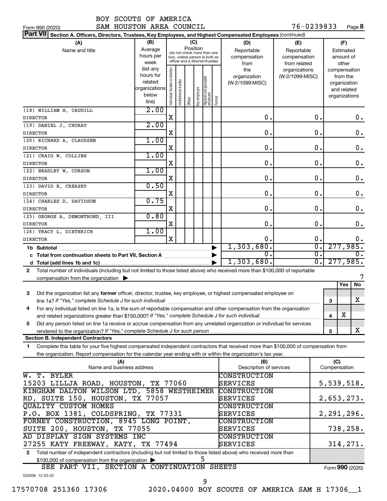|  | BOY SCOUTS OF AMERICA |
|--|-----------------------|
|  |                       |

Form 990 (2020) Page SAM HOUSTON AREA COUNCIL 76-0239833 76-0239833 Page 8

| Part VII Section A. Officers, Directors, Trustees, Key Employees, and Highest Compensated Employees (continued)                                                                                                                                              |                        |                                |                      |         |              |                                                              |                       |                         |                 |                  |                            |    |
|--------------------------------------------------------------------------------------------------------------------------------------------------------------------------------------------------------------------------------------------------------------|------------------------|--------------------------------|----------------------|---------|--------------|--------------------------------------------------------------|-----------------------|-------------------------|-----------------|------------------|----------------------------|----|
| (A)                                                                                                                                                                                                                                                          | (B)                    |                                |                      |         | (C)          |                                                              |                       | (D)                     | (E)             |                  | (F)                        |    |
| Name and title                                                                                                                                                                                                                                               | Average                |                                |                      |         | Position     |                                                              |                       | Reportable              | Reportable      |                  | Estimated                  |    |
|                                                                                                                                                                                                                                                              | hours per              |                                |                      |         |              | (do not check more than one<br>box, unless person is both an |                       | compensation            | compensation    |                  | amount of                  |    |
|                                                                                                                                                                                                                                                              | week                   |                                |                      |         |              | officer and a director/trustee)                              |                       | from                    | from related    |                  | other                      |    |
|                                                                                                                                                                                                                                                              | (list any              |                                |                      |         |              |                                                              |                       | the                     | organizations   |                  | compensation               |    |
|                                                                                                                                                                                                                                                              | hours for              |                                |                      |         |              |                                                              |                       | organization            | (W-2/1099-MISC) |                  | from the                   |    |
|                                                                                                                                                                                                                                                              | related                |                                |                      |         |              |                                                              |                       | (W-2/1099-MISC)         |                 |                  | organization               |    |
|                                                                                                                                                                                                                                                              | organizations<br>below |                                |                      |         |              |                                                              |                       |                         |                 |                  | and related                |    |
|                                                                                                                                                                                                                                                              | line)                  | Individual trustee or director | nstitutional trustee | Officer | Key employee | Highest compensated<br>employee                              | Former                |                         |                 |                  | organizations              |    |
| (18) WILLIAM H. CAUDILL                                                                                                                                                                                                                                      | 2.00                   |                                |                      |         |              |                                                              |                       |                         |                 |                  |                            |    |
| <b>DIRECTOR</b>                                                                                                                                                                                                                                              |                        | $\mathbf X$                    |                      |         |              |                                                              |                       | $\mathbf 0$ .           |                 | 0.               |                            | 0. |
| (19) DANIEL J. CHURAY                                                                                                                                                                                                                                        | 2.00                   |                                |                      |         |              |                                                              |                       |                         |                 |                  |                            |    |
| <b>DIRECTOR</b>                                                                                                                                                                                                                                              |                        | X                              |                      |         |              |                                                              |                       | 0.                      |                 | 0.               |                            | 0. |
| (20) RICHARD A. CLAUSSEN                                                                                                                                                                                                                                     | 1.00                   |                                |                      |         |              |                                                              |                       |                         |                 |                  |                            |    |
| <b>DIRECTOR</b>                                                                                                                                                                                                                                              |                        | X                              |                      |         |              |                                                              |                       | 0.                      |                 | 0.               |                            | 0. |
| (21) CRAIG W. COLLINS                                                                                                                                                                                                                                        | 1.00                   |                                |                      |         |              |                                                              |                       |                         |                 |                  |                            |    |
| <b>DIRECTOR</b>                                                                                                                                                                                                                                              |                        | X                              |                      |         |              |                                                              |                       | 0.                      |                 | 0.               |                            | 0. |
| (22) BRADLEY W. CORSON                                                                                                                                                                                                                                       | 1.00                   |                                |                      |         |              |                                                              |                       |                         |                 |                  |                            |    |
| <b>DIRECTOR</b>                                                                                                                                                                                                                                              |                        | X                              |                      |         |              |                                                              |                       | 0.                      |                 | 0.               |                            | 0. |
| (23) DAVID E. CREASEY                                                                                                                                                                                                                                        | 0.50                   |                                |                      |         |              |                                                              |                       |                         |                 |                  |                            |    |
| <b>DIRECTOR</b>                                                                                                                                                                                                                                              |                        | X                              |                      |         |              |                                                              |                       | 0.                      |                 | 0.               |                            | 0. |
| (24) CHARLES D. DAVIDSON                                                                                                                                                                                                                                     | 0.75                   |                                |                      |         |              |                                                              |                       |                         |                 |                  |                            |    |
| <b>DIRECTOR</b>                                                                                                                                                                                                                                              |                        | X                              |                      |         |              |                                                              |                       | 0.                      |                 | 0.               |                            | 0. |
| (25) GEORGE A. DEMONTROND, III                                                                                                                                                                                                                               | 0.80                   | X                              |                      |         |              |                                                              |                       | 0.                      |                 | 0.               |                            |    |
| <b>DIRECTOR</b><br>(26) TRACY L. DIETERICH                                                                                                                                                                                                                   | 1.00                   |                                |                      |         |              |                                                              |                       |                         |                 |                  |                            | 0. |
| <b>DIRECTOR</b>                                                                                                                                                                                                                                              |                        | $\mathbf x$                    |                      |         |              |                                                              |                       | 0.                      |                 | 0.               |                            | 0. |
|                                                                                                                                                                                                                                                              |                        |                                |                      |         |              |                                                              | $\blacktriangleright$ | 1,303,680.              |                 | $\overline{0}$ . | 277,985.                   |    |
| 1b Subtotal                                                                                                                                                                                                                                                  |                        |                                |                      |         |              |                                                              |                       | О.                      |                 | $\overline{0}$ . |                            | 0. |
|                                                                                                                                                                                                                                                              |                        |                                |                      |         |              |                                                              |                       | 1,303,680.              |                 | $\overline{0}$ . | 277,985.                   |    |
|                                                                                                                                                                                                                                                              |                        |                                |                      |         |              |                                                              |                       |                         |                 |                  |                            |    |
| Total number of individuals (including but not limited to those listed above) who received more than \$100,000 of reportable<br>$\mathbf{2}$                                                                                                                 |                        |                                |                      |         |              |                                                              |                       |                         |                 |                  |                            |    |
| compensation from the organization $\blacktriangleright$                                                                                                                                                                                                     |                        |                                |                      |         |              |                                                              |                       |                         |                 |                  | Yes                        | No |
|                                                                                                                                                                                                                                                              |                        |                                |                      |         |              |                                                              |                       |                         |                 |                  |                            |    |
| Did the organization list any former officer, director, trustee, key employee, or highest compensated employee on<br>3                                                                                                                                       |                        |                                |                      |         |              |                                                              |                       |                         |                 |                  |                            |    |
| line 1a? If "Yes," complete Schedule J for such individual                                                                                                                                                                                                   |                        |                                |                      |         |              |                                                              |                       |                         |                 |                  | 3                          | х  |
| For any individual listed on line 1a, is the sum of reportable compensation and other compensation from the organization<br>4                                                                                                                                |                        |                                |                      |         |              |                                                              |                       |                         |                 |                  |                            |    |
|                                                                                                                                                                                                                                                              |                        |                                |                      |         |              |                                                              |                       |                         |                 |                  | $\overline{\text{X}}$<br>4 |    |
| Did any person listed on line 1a receive or accrue compensation from any unrelated organization or individual for services<br>5                                                                                                                              |                        |                                |                      |         |              |                                                              |                       |                         |                 |                  |                            |    |
|                                                                                                                                                                                                                                                              |                        |                                |                      |         |              |                                                              |                       |                         |                 |                  | 5                          | x  |
| <b>Section B. Independent Contractors</b>                                                                                                                                                                                                                    |                        |                                |                      |         |              |                                                              |                       |                         |                 |                  |                            |    |
| Complete this table for your five highest compensated independent contractors that received more than \$100,000 of compensation from<br>1.<br>the organization. Report compensation for the calendar year ending with or within the organization's tax year. |                        |                                |                      |         |              |                                                              |                       |                         |                 |                  |                            |    |
| (A)                                                                                                                                                                                                                                                          |                        |                                |                      |         |              |                                                              |                       | (B)                     |                 |                  | (C)                        |    |
| Name and business address                                                                                                                                                                                                                                    |                        |                                |                      |         |              |                                                              |                       | Description of services |                 |                  | Compensation               |    |
| T. BYLER<br>$\overline{\mathtt{w}}$ .                                                                                                                                                                                                                        |                        |                                |                      |         |              |                                                              |                       | <b>CONSTRUCTION</b>     |                 |                  |                            |    |
| 15203 LILLJA ROAD, HOUSTON, TX 77060                                                                                                                                                                                                                         |                        |                                |                      |         |              |                                                              |                       | SERVICES                |                 |                  | 5,539,518.                 |    |
| KINGHAM DALTON WILSON LTD, 5858 WESTHEIMER                                                                                                                                                                                                                   |                        |                                |                      |         |              |                                                              |                       | <b>CONSTRUCTION</b>     |                 |                  |                            |    |
| RD, SUITE 150, HOUSTON, TX 77057                                                                                                                                                                                                                             |                        |                                |                      |         |              |                                                              |                       | SERVICES                |                 |                  | 2,653,273.                 |    |
| QUALITY CUSTOM HOMES                                                                                                                                                                                                                                         |                        |                                |                      |         |              |                                                              |                       | CONSTRUCTION            |                 |                  |                            |    |
| P.O. BOX 1381, COLDSPRING, TX 77331                                                                                                                                                                                                                          |                        |                                |                      |         |              |                                                              |                       | SERVICES                |                 |                  | 2,291,296.                 |    |
| FORNEY CONSTRUCTION, 8945 LONG POINT,                                                                                                                                                                                                                        |                        |                                |                      |         |              |                                                              |                       | CONSTRUCTION            |                 |                  |                            |    |
| SUITE 200, HOUSTON, TX 77055                                                                                                                                                                                                                                 |                        |                                |                      |         |              |                                                              |                       | SERVICES                |                 |                  | 738,258.                   |    |
| AD DISPLAY SIGN SYSTEMS INC                                                                                                                                                                                                                                  |                        |                                |                      |         |              |                                                              |                       | CONSTRUCTION            |                 |                  |                            |    |
| 27255 KATY FREEWAY, KATY, TX 77494                                                                                                                                                                                                                           |                        |                                |                      |         |              |                                                              |                       | SERVICES                |                 |                  | 314,271.                   |    |
| Total number of independent contractors (including but not limited to those listed above) who received more than<br>$\mathbf{2}$                                                                                                                             |                        |                                |                      |         |              |                                                              |                       |                         |                 |                  |                            |    |
| \$100,000 of compensation from the organization                                                                                                                                                                                                              |                        |                                |                      |         |              | 5                                                            |                       |                         |                 |                  |                            |    |
| SEE PART VII, SECTION A CONTINUATION SHEETS                                                                                                                                                                                                                  |                        |                                |                      |         |              |                                                              |                       |                         |                 |                  | Form 990 (2020)            |    |
| 032008 12-23-20                                                                                                                                                                                                                                              |                        |                                |                      |         |              |                                                              |                       |                         |                 |                  |                            |    |
|                                                                                                                                                                                                                                                              |                        |                                |                      |         |              | 9                                                            |                       |                         |                 |                  |                            |    |

17570708 251360 17306 2020.04000 BOY SCOUTS OF AMERICA SAM H 17306\_\_1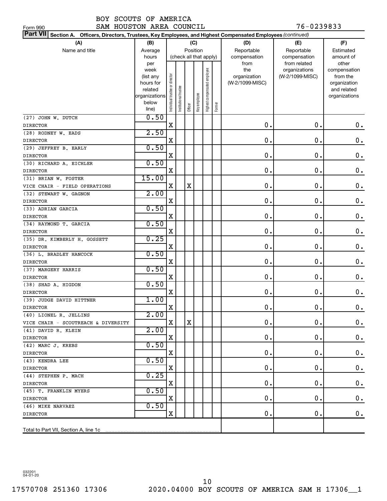SAM HOUSTON AREA COUNCIL 76-0239833

| Part VII Section A. Officers, Directors, Trustees, Key Employees, and Highest Compensated Employees (continued) |                   |                               |                        |             |              |                              |        |                     |                                  |                          |
|-----------------------------------------------------------------------------------------------------------------|-------------------|-------------------------------|------------------------|-------------|--------------|------------------------------|--------|---------------------|----------------------------------|--------------------------|
| (A)                                                                                                             | (B)               |                               |                        | (C)         |              |                              |        | (D)                 | (E)                              | (F)                      |
| Name and title                                                                                                  | Average           |                               |                        |             | Position     |                              |        | Reportable          | Reportable                       | Estimated                |
|                                                                                                                 | hours             |                               | (check all that apply) |             |              |                              |        | compensation        | compensation                     | amount of                |
|                                                                                                                 | per               |                               |                        |             |              |                              |        | from                | from related                     | other                    |
|                                                                                                                 | week<br>(list any |                               |                        |             |              | Highest compensated employee |        | the<br>organization | organizations<br>(W-2/1099-MISC) | compensation<br>from the |
|                                                                                                                 | hours for         |                               |                        |             |              |                              |        | (W-2/1099-MISC)     |                                  | organization             |
|                                                                                                                 | related           |                               |                        |             |              |                              |        |                     |                                  | and related              |
|                                                                                                                 | organizations     |                               |                        |             |              |                              |        |                     |                                  | organizations            |
|                                                                                                                 | below             | ndividual trustee or director | nstitutional trustee   | Officer     | Key employee |                              | Former |                     |                                  |                          |
|                                                                                                                 | line)             |                               |                        |             |              |                              |        |                     |                                  |                          |
| (27) JOHN W. DUTCH                                                                                              | 0.50              |                               |                        |             |              |                              |        |                     |                                  |                          |
| <b>DIRECTOR</b>                                                                                                 |                   | X                             |                        |             |              |                              |        | $\mathbf 0$ .       | 0.                               | $0$ .                    |
| (28) RODNEY W. EADS                                                                                             | 2.50              |                               |                        |             |              |                              |        |                     |                                  |                          |
| <b>DIRECTOR</b>                                                                                                 |                   | Χ                             |                        |             |              |                              |        | 0.                  | 0.                               | $0$ .                    |
| (29) JEFFREY B. EARLY                                                                                           | 0.50              |                               |                        |             |              |                              |        |                     |                                  |                          |
| <b>DIRECTOR</b>                                                                                                 |                   | X                             |                        |             |              |                              |        | $\mathbf 0$ .       | $\mathbf 0$ .                    | $0$ .                    |
| (30) RICHARD A. EICHLER                                                                                         | 0.50              |                               |                        |             |              |                              |        |                     |                                  |                          |
| <b>DIRECTOR</b>                                                                                                 |                   | X                             |                        |             |              |                              |        | 0.                  | $\mathbf 0$ .                    | $0$ .                    |
| (31) BRIAN W. FOSTER                                                                                            | 15.00             |                               |                        |             |              |                              |        |                     |                                  |                          |
| VICE CHAIR - FIELD OPERATIONS                                                                                   |                   | X                             |                        | $\mathbf X$ |              |                              |        | 0.                  | $\mathbf 0$ .                    | $0$ .                    |
| (32) STEWART W. GAGNON                                                                                          | 2.00              |                               |                        |             |              |                              |        |                     |                                  |                          |
| <b>DIRECTOR</b>                                                                                                 |                   | X                             |                        |             |              |                              |        | 0.                  | $\mathbf 0$ .                    | 0.                       |
| (33) ADRIAN GARCIA                                                                                              | 0.50              |                               |                        |             |              |                              |        |                     |                                  |                          |
| <b>DIRECTOR</b>                                                                                                 |                   | X                             |                        |             |              |                              |        | $\mathbf 0$ .       | $\mathbf 0$ .                    | 0.                       |
| (34) RAYMOND T. GARCIA                                                                                          | 0.50              |                               |                        |             |              |                              |        |                     |                                  |                          |
| <b>DIRECTOR</b>                                                                                                 |                   | X                             |                        |             |              |                              |        | $\mathbf 0$ .       | $\mathbf 0$ .                    | $0$ .                    |
| (35) DR. KIMBERLY H. GOSSETT                                                                                    | 0.25              |                               |                        |             |              |                              |        |                     |                                  |                          |
| <b>DIRECTOR</b>                                                                                                 |                   | X                             |                        |             |              |                              |        | 0.                  | $\mathbf 0$ .                    | $0$ .                    |
| (36) L. BRADLEY HANCOCK                                                                                         | 0.50              |                               |                        |             |              |                              |        |                     |                                  |                          |
| <b>DIRECTOR</b>                                                                                                 |                   | X                             |                        |             |              |                              |        | 0.                  | $\mathbf 0$ .                    | $0$ .                    |
| (37) MARGERY HARRIS                                                                                             | 0.50              |                               |                        |             |              |                              |        |                     |                                  |                          |
| <b>DIRECTOR</b>                                                                                                 |                   | X                             |                        |             |              |                              |        | 0.                  | $\mathbf 0$ .                    | $0$ .                    |
| (38) SHAD A. HIGDON                                                                                             | 0.50              |                               |                        |             |              |                              |        |                     |                                  |                          |
| <b>DIRECTOR</b>                                                                                                 |                   | Χ                             |                        |             |              |                              |        | 0.                  | $\mathbf 0$ .                    | $0$ .                    |
| (39) JUDGE DAVID HITTNER                                                                                        | 1.00              |                               |                        |             |              |                              |        |                     |                                  |                          |
| <b>DIRECTOR</b>                                                                                                 |                   | X                             |                        |             |              |                              |        | 0.                  | 0.                               | 0.                       |
| (40) LIONEL R. JELLINS                                                                                          | 2.00              |                               |                        |             |              |                              |        |                     |                                  |                          |
| VICE CHAIR - SCOUTREACH & DIVERSITY                                                                             |                   | X                             |                        | X           |              |                              |        | 0.                  | 0.                               | 0.                       |
| (41) DAVID R. KLEIN                                                                                             | 2.00              |                               |                        |             |              |                              |        |                     |                                  |                          |
| DIRECTOR                                                                                                        |                   | X                             |                        |             |              |                              |        | 0.                  | 0.                               | $\mathbf 0$ .            |
| (42) MARC J. KREBS                                                                                              | 0.50              |                               |                        |             |              |                              |        |                     |                                  |                          |
| DIRECTOR                                                                                                        |                   | Χ                             |                        |             |              |                              |        | 0.                  | 0.                               | $\mathbf 0$ .            |
| (43) KENDRA LEE                                                                                                 | 0.50              |                               |                        |             |              |                              |        |                     |                                  |                          |
| <b>DIRECTOR</b>                                                                                                 |                   | Χ                             |                        |             |              |                              |        | 0.                  | 0.                               | $\mathbf 0$ .            |
| (44) STEPHEN P. MACH                                                                                            | 0.25              |                               |                        |             |              |                              |        |                     |                                  |                          |
| DIRECTOR                                                                                                        |                   | Χ                             |                        |             |              |                              |        | 0.                  | 0.                               | $\mathbf 0$ .            |
| (45) T. FRANKLIN MYERS                                                                                          | 0.50              |                               |                        |             |              |                              |        |                     |                                  |                          |
| DIRECTOR                                                                                                        | 0.50              | X                             |                        |             |              |                              |        | 0.                  | 0.                               | 0.                       |
| (46) MIKE NARVAEZ                                                                                               |                   | X                             |                        |             |              |                              |        | 0.                  | $\mathbf 0$ .                    | 0.                       |
| <b>DIRECTOR</b>                                                                                                 |                   |                               |                        |             |              |                              |        |                     |                                  |                          |
|                                                                                                                 |                   |                               |                        |             |              |                              |        |                     |                                  |                          |
| Total to Part VII, Section A, line 1c                                                                           |                   |                               |                        |             |              |                              |        |                     |                                  |                          |

032201 04-01-20

Form 990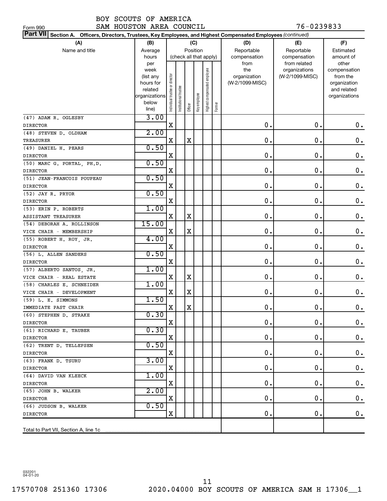SAM HOUSTON AREA COUNCIL 76-0239833

| SAM HOUSTON AREA COUNCIL<br>Form 990                                                                            |                      |                                |                        |         |              |                              |        |                 | 76-0239833      |                             |
|-----------------------------------------------------------------------------------------------------------------|----------------------|--------------------------------|------------------------|---------|--------------|------------------------------|--------|-----------------|-----------------|-----------------------------|
| Part VII Section A. Officers, Directors, Trustees, Key Employees, and Highest Compensated Employees (continued) |                      |                                |                        |         |              |                              |        |                 |                 |                             |
| (A)                                                                                                             | (B)                  |                                |                        |         | (C)          |                              |        | (D)             | (E)             | (F)                         |
| Name and title                                                                                                  | Average              |                                |                        |         | Position     |                              |        | Reportable      | Reportable      | Estimated                   |
|                                                                                                                 | hours                |                                | (check all that apply) |         |              |                              |        | compensation    | compensation    | amount of                   |
|                                                                                                                 | per                  |                                |                        |         |              |                              |        | from            | from related    | other                       |
|                                                                                                                 | week                 |                                |                        |         |              |                              |        | the             | organizations   | compensation                |
|                                                                                                                 | (list any            |                                |                        |         |              |                              |        | organization    | (W-2/1099-MISC) | from the                    |
|                                                                                                                 | hours for<br>related |                                |                        |         |              |                              |        | (W-2/1099-MISC) |                 | organization<br>and related |
|                                                                                                                 | organizations        |                                |                        |         |              |                              |        |                 |                 | organizations               |
|                                                                                                                 | below                | Individual trustee or director | nstitutional trustee   |         | Key employee | Highest compensated employee |        |                 |                 |                             |
|                                                                                                                 | line)                |                                |                        | Officer |              |                              | Former |                 |                 |                             |
| (47) ADAM R. OGLESBY                                                                                            | 3.00                 |                                |                        |         |              |                              |        |                 |                 |                             |
| <b>DIRECTOR</b>                                                                                                 |                      | $\mathbf X$                    |                        |         |              |                              |        | $\mathbf 0$ .   | $\mathbf 0$ .   | 0.                          |
| (48) STEVEN D. OLDHAM                                                                                           | 2.00                 |                                |                        |         |              |                              |        |                 |                 |                             |
| <b>TREASURER</b>                                                                                                |                      | X                              |                        | X       |              |                              |        | $\mathbf 0$ .   | 0.              | $\mathbf 0$ .               |
| (49) DANIEL H. PEARS                                                                                            | 0.50                 |                                |                        |         |              |                              |        |                 |                 |                             |
| <b>DIRECTOR</b>                                                                                                 |                      | X                              |                        |         |              |                              |        | $\mathbf 0$ .   | 0.              | $\mathbf 0$ .               |
| (50) MARC G. PORTAL, PH.D.                                                                                      | 0.50                 |                                |                        |         |              |                              |        |                 |                 |                             |
| <b>DIRECTOR</b>                                                                                                 |                      | X                              |                        |         |              |                              |        | $\mathbf 0$ .   | 0.              | $\mathbf 0$ .               |
| (51) JEAN-FRANCOIS POUPEAU                                                                                      | 0.50                 |                                |                        |         |              |                              |        |                 |                 |                             |
| <b>DIRECTOR</b>                                                                                                 |                      | X                              |                        |         |              |                              |        | $\mathbf 0$ .   | 0.              | $\mathbf 0$ .               |
| (52) JAY R. PRYOR                                                                                               | 0.50                 |                                |                        |         |              |                              |        |                 |                 |                             |
| <b>DIRECTOR</b>                                                                                                 |                      | X                              |                        |         |              |                              |        | $\mathbf 0$ .   | 0.              | $\mathbf 0$ .               |
| (53) ERIN P. ROBERTS                                                                                            | 1.00                 |                                |                        |         |              |                              |        |                 |                 |                             |
| ASSISTANT TREASURER                                                                                             |                      | X                              |                        | X       |              |                              |        | $\mathbf 0$ .   | 0.              | $\mathbf 0$ .               |
| (54) DEBORAH A. ROLLINSON                                                                                       | 15.00                |                                |                        |         |              |                              |        |                 |                 |                             |
| VICE CHAIR - MEMBERSHIP                                                                                         |                      | X                              |                        | X       |              |                              |        | $\mathbf 0$ .   | 0.              | $\mathbf 0$ .               |
| (55) ROBERT H. ROY, JR.                                                                                         | 4.00                 |                                |                        |         |              |                              |        |                 |                 |                             |
| <b>DIRECTOR</b>                                                                                                 |                      | X                              |                        |         |              |                              |        | $\mathbf 0$ .   | 0.              | $\boldsymbol{0}$ .          |
| (56) L. ALLEN SANDERS                                                                                           | 0.50                 |                                |                        |         |              |                              |        |                 |                 |                             |
| <b>DIRECTOR</b>                                                                                                 |                      | $\mathbf X$                    |                        |         |              |                              |        | $\mathbf 0$ .   | 0.              | $\boldsymbol{0}$ .          |
| (57) ALBERTO SANTOS, JR.                                                                                        | 1.00                 | X                              |                        | X       |              |                              |        | $\mathbf 0$ .   | 0.              | $\mathbf 0$ .               |
| VICE CHAIR - REAL ESTATE                                                                                        | 1.00                 |                                |                        |         |              |                              |        |                 |                 |                             |
| (58) CHARLES E. SCHNEIDER                                                                                       |                      | X                              |                        | X       |              |                              |        | 0.              | 0.              | 0.                          |
| VICE CHAIR - DEVELOPMENT<br>(59) L. E. SIMMONS                                                                  | 1.50                 |                                |                        |         |              |                              |        |                 |                 |                             |
| IMMEDIATE PAST CHAIR                                                                                            |                      | X                              |                        | $\rm X$ |              |                              |        | 0               | $\mathbf 0$     | 0.                          |
| (60) STEPHEN D. STRAKE                                                                                          | 0.30                 |                                |                        |         |              |                              |        |                 |                 |                             |
| <b>DIRECTOR</b>                                                                                                 |                      | х                              |                        |         |              |                              |        | Ο.              | 0.              | 0.                          |
| (61) RICHARD E. TAUBER                                                                                          | 0.30                 |                                |                        |         |              |                              |        |                 |                 |                             |
| <b>DIRECTOR</b>                                                                                                 |                      | х                              |                        |         |              |                              |        | О.              | О.              | $\boldsymbol{0}$ .          |
| (62) TRENT D. TELLEPSEN                                                                                         | 0.50                 |                                |                        |         |              |                              |        |                 |                 |                             |
| <b>DIRECTOR</b>                                                                                                 |                      | х                              |                        |         |              |                              |        | О.              | О.              | $\mathbf 0$ .               |
| (63) FRANK D. TSURU                                                                                             | 3.00                 |                                |                        |         |              |                              |        |                 |                 |                             |
| <b>DIRECTOR</b>                                                                                                 |                      | х                              |                        |         |              |                              |        | О.              | О.              | $\boldsymbol{0}$ .          |
| (64) DAVID VAN KLEECK                                                                                           | 1.00                 |                                |                        |         |              |                              |        |                 |                 |                             |
| <b>DIRECTOR</b>                                                                                                 |                      | х                              |                        |         |              |                              |        | О.              | О.              | $\boldsymbol{0}$ .          |
| (65) JOHN B. WALKER                                                                                             | 2.00                 |                                |                        |         |              |                              |        |                 |                 |                             |
| <b>DIRECTOR</b>                                                                                                 |                      | х                              |                        |         |              |                              |        | О.              | О.              | $\boldsymbol{0}$ .          |
| (66) JUDSON B. WALKER                                                                                           | 0.50                 |                                |                        |         |              |                              |        |                 |                 |                             |
| <b>DIRECTOR</b>                                                                                                 |                      | X                              |                        |         |              |                              |        | О.              | О.              | 0.                          |
|                                                                                                                 |                      |                                |                        |         |              |                              |        |                 |                 |                             |
| Total to Part VII, Section A, line 1c                                                                           |                      |                                |                        |         |              |                              |        |                 |                 |                             |

032201 04-01-20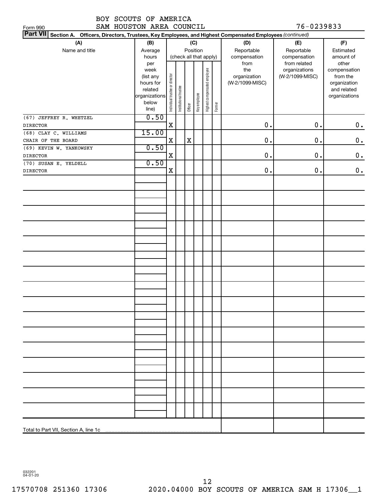| BOY SCOUTS OF AMERICA |                          |            |
|-----------------------|--------------------------|------------|
|                       | SAM HOUSTON AREA COUNCIL | 76-0239833 |

| 76-0239833 |  |  |  |  |
|------------|--|--|--|--|
|            |  |  |  |  |

| SAM HOUSTON AREA COUNCIL<br>Form 990                                                                                      |                                                                                     |                                |                       |         |                 |                              |        |                                                | 76-0239833                                       |                                                                          |
|---------------------------------------------------------------------------------------------------------------------------|-------------------------------------------------------------------------------------|--------------------------------|-----------------------|---------|-----------------|------------------------------|--------|------------------------------------------------|--------------------------------------------------|--------------------------------------------------------------------------|
| <b>Part VII</b><br>Section A. Officers, Directors, Trustees, Key Employees, and Highest Compensated Employees (continued) |                                                                                     |                                |                       |         |                 |                              |        |                                                |                                                  |                                                                          |
| (A)<br>Name and title                                                                                                     | (B)<br>Average<br>hours                                                             |                                |                       |         | (C)<br>Position | (check all that apply)       |        | (D)<br>Reportable<br>compensation              | (E)<br>Reportable<br>compensation                | (F)<br>Estimated<br>amount of<br>other                                   |
|                                                                                                                           | per<br>week<br>(list any<br>hours for<br>related<br>organizations<br>below<br>line) | Individual trustee or director | Institutional trustee | Officer | Key employee    | Highest compensated employee | Former | from<br>the<br>organization<br>(W-2/1099-MISC) | from related<br>organizations<br>(W-2/1099-MISC) | compensation<br>from the<br>organization<br>and related<br>organizations |
| (67) JEFFREY R. WHETZEL<br><b>DIRECTOR</b>                                                                                | 0.50                                                                                | $\mathbf X$                    |                       |         |                 |                              |        | $\mathbf 0$ .                                  | $0$ .                                            | 0.                                                                       |
| (68) CLAY C. WILLIAMS                                                                                                     | 15.00                                                                               |                                |                       |         |                 |                              |        |                                                |                                                  |                                                                          |
| CHAIR OF THE BOARD                                                                                                        |                                                                                     | X                              |                       | X       |                 |                              |        | $\mathbf 0$ .                                  | $0$ .                                            | 0.                                                                       |
| (69) KEVIN W. YANKOWSKY                                                                                                   | 0.50                                                                                |                                |                       |         |                 |                              |        |                                                |                                                  |                                                                          |
| <b>DIRECTOR</b>                                                                                                           |                                                                                     | X                              |                       |         |                 |                              |        | $\mathbf 0$ .                                  | $0$ .                                            | 0.                                                                       |
| (70) SUSAN E. YELDELL                                                                                                     | 0.50                                                                                |                                |                       |         |                 |                              |        |                                                |                                                  |                                                                          |
| <b>DIRECTOR</b>                                                                                                           |                                                                                     | X                              |                       |         |                 |                              |        | 0.                                             | $0$ .                                            | 0.                                                                       |
|                                                                                                                           |                                                                                     |                                |                       |         |                 |                              |        |                                                |                                                  |                                                                          |
|                                                                                                                           |                                                                                     |                                |                       |         |                 |                              |        |                                                |                                                  |                                                                          |
|                                                                                                                           |                                                                                     |                                |                       |         |                 |                              |        |                                                |                                                  |                                                                          |
|                                                                                                                           |                                                                                     |                                |                       |         |                 |                              |        |                                                |                                                  |                                                                          |
|                                                                                                                           |                                                                                     |                                |                       |         |                 |                              |        |                                                |                                                  |                                                                          |
|                                                                                                                           |                                                                                     |                                |                       |         |                 |                              |        |                                                |                                                  |                                                                          |
|                                                                                                                           |                                                                                     |                                |                       |         |                 |                              |        |                                                |                                                  |                                                                          |
|                                                                                                                           |                                                                                     |                                |                       |         |                 |                              |        |                                                |                                                  |                                                                          |
|                                                                                                                           |                                                                                     |                                |                       |         |                 |                              |        |                                                |                                                  |                                                                          |
|                                                                                                                           |                                                                                     |                                |                       |         |                 |                              |        |                                                |                                                  |                                                                          |
|                                                                                                                           |                                                                                     |                                |                       |         |                 |                              |        |                                                |                                                  |                                                                          |
|                                                                                                                           |                                                                                     |                                |                       |         |                 |                              |        |                                                |                                                  |                                                                          |
|                                                                                                                           |                                                                                     |                                |                       |         |                 |                              |        |                                                |                                                  |                                                                          |
|                                                                                                                           |                                                                                     |                                |                       |         |                 |                              |        |                                                |                                                  |                                                                          |
|                                                                                                                           |                                                                                     |                                |                       |         |                 |                              |        |                                                |                                                  |                                                                          |
|                                                                                                                           |                                                                                     |                                |                       |         |                 |                              |        |                                                |                                                  |                                                                          |
|                                                                                                                           |                                                                                     |                                |                       |         |                 |                              |        |                                                |                                                  |                                                                          |
|                                                                                                                           |                                                                                     |                                |                       |         |                 |                              |        |                                                |                                                  |                                                                          |
|                                                                                                                           |                                                                                     |                                |                       |         |                 |                              |        |                                                |                                                  |                                                                          |
|                                                                                                                           |                                                                                     |                                |                       |         |                 |                              |        |                                                |                                                  |                                                                          |

032201 04-01-20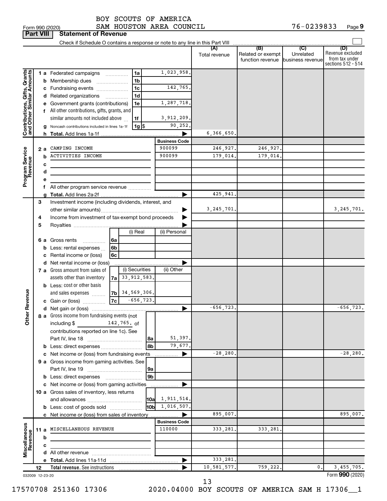| Form 990 (2020 |  |
|----------------|--|

Form 990 (2020) Page SAM HOUSTON AREA COUNCIL 76-0239833 **Part VIII Statement of Revenue**

|                                                           |     |   | Check if Schedule O contains a response or note to any line in this Part VIII |    |                    |                      |                      |                                              |                                      |                                                                 |
|-----------------------------------------------------------|-----|---|-------------------------------------------------------------------------------|----|--------------------|----------------------|----------------------|----------------------------------------------|--------------------------------------|-----------------------------------------------------------------|
|                                                           |     |   |                                                                               |    |                    |                      | (A)<br>Total revenue | (B)<br>Related or exempt<br>function revenue | (C)<br>Unrelated<br>business revenue | (D)<br>Revenue excluded<br>from tax under<br>sections 512 - 514 |
|                                                           |     |   | 1 a Federated campaigns                                                       |    | 1a                 | 1,023,958.           |                      |                                              |                                      |                                                                 |
| Contributions, Gifts, Grants<br>and Other Similar Amounts |     |   | <b>b</b> Membership dues                                                      |    | 1 <sub>b</sub>     |                      |                      |                                              |                                      |                                                                 |
|                                                           |     |   | c Fundraising events                                                          |    | 1 <sub>c</sub>     | 142,765.             |                      |                                              |                                      |                                                                 |
|                                                           |     |   | d Related organizations                                                       |    | 1d                 |                      |                      |                                              |                                      |                                                                 |
|                                                           |     |   | e Government grants (contributions)                                           |    | 1e                 | 1,287,718.           |                      |                                              |                                      |                                                                 |
|                                                           |     |   | f All other contributions, gifts, grants, and                                 |    |                    |                      |                      |                                              |                                      |                                                                 |
|                                                           |     |   | similar amounts not included above                                            |    | 1f                 | 3,912,209.           |                      |                                              |                                      |                                                                 |
|                                                           |     |   | g Noncash contributions included in lines 1a-1f                               |    | $1g$ $\frac{1}{3}$ | 90,252.              |                      |                                              |                                      |                                                                 |
|                                                           |     |   |                                                                               |    |                    | ▶                    | 6,366,650.           |                                              |                                      |                                                                 |
|                                                           |     |   |                                                                               |    |                    | <b>Business Code</b> |                      |                                              |                                      |                                                                 |
| Program Service<br>Revenue                                | 2 a |   | CAMPING INCOME                                                                |    |                    | 900099               | 246,927.             | 246,927.                                     |                                      |                                                                 |
|                                                           |     | b | <b>ACTIVITIES INCOME</b>                                                      |    |                    | 900099               | 179,014.             | 179,014                                      |                                      |                                                                 |
|                                                           |     | с |                                                                               |    |                    |                      |                      |                                              |                                      |                                                                 |
|                                                           |     | d |                                                                               |    |                    |                      |                      |                                              |                                      |                                                                 |
|                                                           |     | е |                                                                               |    |                    |                      |                      |                                              |                                      |                                                                 |
|                                                           |     |   | f All other program service revenue                                           |    |                    |                      |                      |                                              |                                      |                                                                 |
|                                                           |     |   |                                                                               |    |                    | ▶                    | 425,941.             |                                              |                                      |                                                                 |
|                                                           | 3   |   | Investment income (including dividends, interest, and                         |    |                    |                      |                      |                                              |                                      |                                                                 |
|                                                           |     |   |                                                                               |    |                    |                      | 3, 245, 701.         |                                              |                                      | 3, 245, 701.                                                    |
|                                                           | 4   |   | Income from investment of tax-exempt bond proceeds                            |    |                    |                      |                      |                                              |                                      |                                                                 |
|                                                           | 5   |   |                                                                               |    |                    |                      |                      |                                              |                                      |                                                                 |
|                                                           |     |   |                                                                               |    | (i) Real           | (ii) Personal        |                      |                                              |                                      |                                                                 |
|                                                           |     |   | 6 a Gross rents<br>6a<br>.                                                    |    |                    |                      |                      |                                              |                                      |                                                                 |
|                                                           |     |   | 6 <sub>b</sub><br><b>b</b> Less: rental expenses $\ldots$                     |    |                    |                      |                      |                                              |                                      |                                                                 |
|                                                           |     |   | c Rental income or (loss)<br>6c                                               |    |                    |                      |                      |                                              |                                      |                                                                 |
|                                                           |     |   | d Net rental income or (loss)                                                 |    |                    |                      |                      |                                              |                                      |                                                                 |
|                                                           |     |   | 7 a Gross amount from sales of                                                |    | (i) Securities     | (ii) Other           |                      |                                              |                                      |                                                                 |
|                                                           |     |   | assets other than inventory                                                   | 7a | 33,912,583。        |                      |                      |                                              |                                      |                                                                 |
|                                                           |     |   | <b>b</b> Less: cost or other basis                                            |    |                    |                      |                      |                                              |                                      |                                                                 |
|                                                           |     |   | and sales expenses                                                            |    | $ 7b $ 34,569,306. |                      |                      |                                              |                                      |                                                                 |
|                                                           |     |   | c Gain or (loss)                                                              | 7c | $-656,723.$        |                      |                      |                                              |                                      |                                                                 |
| <b>ther Revenue</b>                                       |     |   |                                                                               |    |                    | ▶                    | $-656, 723.$         |                                              |                                      | $-656, 723.$                                                    |
|                                                           |     |   | 8 a Gross income from fundraising events (not                                 |    |                    |                      |                      |                                              |                                      |                                                                 |
|                                                           |     |   | including $\frac{2}{3}$ 142, 765. of                                          |    |                    |                      |                      |                                              |                                      |                                                                 |
|                                                           |     |   | contributions reported on line 1c). See                                       |    |                    |                      |                      |                                              |                                      |                                                                 |
|                                                           |     |   |                                                                               |    | 8a                 | 51,397.              |                      |                                              |                                      |                                                                 |
|                                                           |     |   | b Less: direct expenses                                                       |    | 8b                 | 79,677.              |                      |                                              |                                      |                                                                 |
|                                                           |     |   | c Net income or (loss) from fundraising events                                |    |                    | ▶                    | $-28, 280.$          |                                              |                                      | $-28, 280.$                                                     |
|                                                           |     |   | 9 a Gross income from gaming activities. See                                  |    |                    |                      |                      |                                              |                                      |                                                                 |
|                                                           |     |   |                                                                               |    | 9a                 |                      |                      |                                              |                                      |                                                                 |
|                                                           |     |   |                                                                               |    | 9b                 |                      |                      |                                              |                                      |                                                                 |
|                                                           |     |   | c Net income or (loss) from gaming activities                                 |    |                    | ▶                    |                      |                                              |                                      |                                                                 |
|                                                           |     |   | 10 a Gross sales of inventory, less returns                                   |    |                    |                      |                      |                                              |                                      |                                                                 |
|                                                           |     |   |                                                                               |    | 10a                | 1,911,514.           |                      |                                              |                                      |                                                                 |
|                                                           |     |   | <b>b</b> Less: cost of goods sold                                             |    |                    | $10b \ 1,016,507.$   |                      |                                              |                                      |                                                                 |
|                                                           |     |   | c Net income or (loss) from sales of inventory                                |    |                    | ▶                    | 895,007.             |                                              |                                      | 895,007.                                                        |
|                                                           |     |   |                                                                               |    |                    | <b>Business Code</b> |                      |                                              |                                      |                                                                 |
|                                                           |     |   | 11 a MISCELLANEOUS REVENUE                                                    |    |                    | 110000               | 333, 281.            | 333,281.                                     |                                      |                                                                 |
| Miscellaneous<br>Revenue                                  |     | b |                                                                               |    |                    |                      |                      |                                              |                                      |                                                                 |
|                                                           |     | c |                                                                               |    |                    |                      |                      |                                              |                                      |                                                                 |
|                                                           |     |   |                                                                               |    |                    |                      |                      |                                              |                                      |                                                                 |
|                                                           |     |   |                                                                               |    |                    | ▶                    | 333,281.             |                                              |                                      |                                                                 |
|                                                           | 12  |   | Total revenue. See instructions                                               |    |                    |                      | 10,581,577.          | 759,222.                                     | 0.                                   | 3,455,705.                                                      |
| 032009 12-23-20                                           |     |   |                                                                               |    |                    |                      |                      |                                              |                                      | Form 990 (2020)                                                 |

13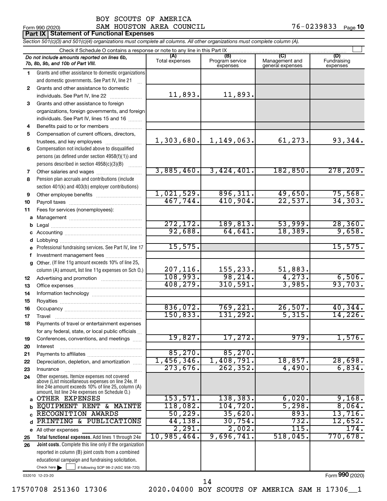|              | <b>Part IX   Statement of Functional Expenses</b>                                                                          |                       |                                    |                                    |                                |  |  |  |  |
|--------------|----------------------------------------------------------------------------------------------------------------------------|-----------------------|------------------------------------|------------------------------------|--------------------------------|--|--|--|--|
|              | Section 501(c)(3) and 501(c)(4) organizations must complete all columns. All other organizations must complete column (A). |                       |                                    |                                    |                                |  |  |  |  |
|              | Check if Schedule O contains a response or note to any line in this Part IX                                                |                       |                                    |                                    |                                |  |  |  |  |
|              | Do not include amounts reported on lines 6b,<br>7b, 8b, 9b, and 10b of Part VIII.                                          | (A)<br>Total expenses | (B)<br>Program service<br>expenses | Management and<br>general expenses | (D)<br>Fundraising<br>expenses |  |  |  |  |
| 1.           | Grants and other assistance to domestic organizations                                                                      |                       |                                    |                                    |                                |  |  |  |  |
|              | and domestic governments. See Part IV, line 21                                                                             |                       |                                    |                                    |                                |  |  |  |  |
| $\mathbf{2}$ | Grants and other assistance to domestic                                                                                    |                       |                                    |                                    |                                |  |  |  |  |
|              | individuals. See Part IV, line 22                                                                                          | 11,893.               | 11,893.                            |                                    |                                |  |  |  |  |
| 3            | Grants and other assistance to foreign                                                                                     |                       |                                    |                                    |                                |  |  |  |  |
|              | organizations, foreign governments, and foreign                                                                            |                       |                                    |                                    |                                |  |  |  |  |
|              | individuals. See Part IV, lines 15 and 16                                                                                  |                       |                                    |                                    |                                |  |  |  |  |
| 4            | Benefits paid to or for members                                                                                            |                       |                                    |                                    |                                |  |  |  |  |
| 5            | Compensation of current officers, directors,                                                                               |                       |                                    |                                    |                                |  |  |  |  |
|              | trustees, and key employees                                                                                                | 1,303,680.            | 1,149,063.                         | 61,273.                            | 93,344.                        |  |  |  |  |
| 6            | Compensation not included above to disqualified                                                                            |                       |                                    |                                    |                                |  |  |  |  |
|              | persons (as defined under section 4958(f)(1)) and                                                                          |                       |                                    |                                    |                                |  |  |  |  |
|              | persons described in section 4958(c)(3)(B)                                                                                 | 3,885,460.            | 3,424,401.                         | 182, 850.                          | 278, 209.                      |  |  |  |  |
| 7            |                                                                                                                            |                       |                                    |                                    |                                |  |  |  |  |
| 8            | Pension plan accruals and contributions (include                                                                           |                       |                                    |                                    |                                |  |  |  |  |
|              | section 401(k) and 403(b) employer contributions)                                                                          | 1,021,529.            | 896, 311.                          | 49,650.                            | 75,568.                        |  |  |  |  |
| 9<br>10      |                                                                                                                            | 467,744.              | 410,904.                           | 22,537.                            | 34, 303.                       |  |  |  |  |
| 11           | Fees for services (nonemployees):                                                                                          |                       |                                    |                                    |                                |  |  |  |  |
| а            |                                                                                                                            |                       |                                    |                                    |                                |  |  |  |  |
| b            |                                                                                                                            | 272, 172.             | 189, 813.                          | 53,999.                            | 28, 360.                       |  |  |  |  |
| с            |                                                                                                                            | 92,688.               | 64,641.                            | 18,389.                            | 9,658.                         |  |  |  |  |
| d            |                                                                                                                            |                       |                                    |                                    |                                |  |  |  |  |
| е            | Professional fundraising services. See Part IV, line 17                                                                    | 15,575.               |                                    |                                    | 15,575.                        |  |  |  |  |
| f            | Investment management fees                                                                                                 |                       |                                    |                                    |                                |  |  |  |  |
| g            | Other. (If line 11g amount exceeds 10% of line 25,                                                                         |                       |                                    |                                    |                                |  |  |  |  |
|              | column (A) amount, list line 11g expenses on Sch O.)                                                                       | 207, 116.             | 155,233.                           | 51,883.                            |                                |  |  |  |  |
| 12           |                                                                                                                            | 108,993.              | 98, 214.                           | 4, 273.                            | 6,506.                         |  |  |  |  |
| 13           |                                                                                                                            | 408, 279.             | 310,591.                           | 3,985.                             | 93,703.                        |  |  |  |  |
| 14           |                                                                                                                            |                       |                                    |                                    |                                |  |  |  |  |
| 15           |                                                                                                                            |                       |                                    |                                    |                                |  |  |  |  |
| 16           |                                                                                                                            | 836,072.              | 769,221.                           | 26,507.                            | 40,344.                        |  |  |  |  |
| 17           | Travel                                                                                                                     | 150, 833.             | 131,292.                           | 5,315.                             | 14,226.                        |  |  |  |  |
| 18           | Payments of travel or entertainment expenses                                                                               |                       |                                    |                                    |                                |  |  |  |  |
|              | for any federal, state, or local public officials                                                                          | 19,827.               | 17,272.                            | 979.                               | 1,576.                         |  |  |  |  |
| 19           | Conferences, conventions, and meetings                                                                                     |                       |                                    |                                    |                                |  |  |  |  |
| 20           | Interest                                                                                                                   | 85,270.               | 85,270.                            |                                    |                                |  |  |  |  |
| 21<br>22     | Depreciation, depletion, and amortization                                                                                  | 1,456,346.            | 1,408,791.                         | 18,857.                            | 28,698.                        |  |  |  |  |
| 23           | Insurance                                                                                                                  | 273,676.              | 262, 352.                          | 4,490.                             | 6,834.                         |  |  |  |  |
| 24           | Other expenses. Itemize expenses not covered                                                                               |                       |                                    |                                    |                                |  |  |  |  |
|              | above (List miscellaneous expenses on line 24e. If<br>line 24e amount exceeds 10% of line 25, column (A)                   |                       |                                    |                                    |                                |  |  |  |  |
|              | amount, list line 24e expenses on Schedule O.)                                                                             | 153,571.              | 138, 383.                          | 6,020.                             | 9,168.                         |  |  |  |  |
| a            | OTHER EXPENSES<br>EQUIPMENT RENT & MAINTE                                                                                  | 118,082.              | 104, 720.                          | 5,298.                             | 8,064.                         |  |  |  |  |
| b            | RECOGNITION AWARDS                                                                                                         | 50, 229.              | 35,620.                            | 893.                               | 13,716.                        |  |  |  |  |
| C<br>d       | PRINTING & PUBLICATIONS                                                                                                    | 44, 138.              | 30,754.                            | 732.                               | 12,652.                        |  |  |  |  |
| е            | All other expenses                                                                                                         | 2,291.                | 2,002.                             | 115.                               | 174.                           |  |  |  |  |
| 25           | Total functional expenses. Add lines 1 through 24e                                                                         | 10,985,464.           | 9,696,741.                         | 518,045.                           | 770,678.                       |  |  |  |  |
| 26           | Joint costs. Complete this line only if the organization                                                                   |                       |                                    |                                    |                                |  |  |  |  |
|              | reported in column (B) joint costs from a combined                                                                         |                       |                                    |                                    |                                |  |  |  |  |
|              | educational campaign and fundraising solicitation.                                                                         |                       |                                    |                                    |                                |  |  |  |  |

032010 12-23-20

Check here

Form (2020) **990**

17570708 251360 17306 2020.04000 BOY SCOUTS OF AMERICA SAM H 17306\_\_1

 $\Box$ 

if following SOP 98-2 (ASC 958-720)

14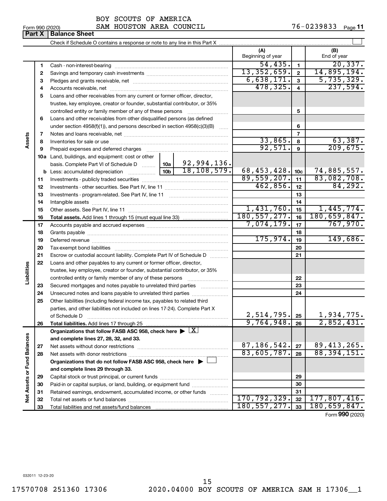| Form 990 (2020) |  |  |
|-----------------|--|--|
|-----------------|--|--|

BOY SCOUTS OF AMERICA

Form 990 (2020) **SAM HOUSTON AREA COUNCIL** 76-0239833 Page

|                             | Part X   | <b>Balance Sheet</b>                                                                                           |                          |                 |                    |
|-----------------------------|----------|----------------------------------------------------------------------------------------------------------------|--------------------------|-----------------|--------------------|
|                             |          |                                                                                                                |                          |                 |                    |
|                             |          |                                                                                                                | (A)<br>Beginning of year |                 | (B)<br>End of year |
|                             | 1        |                                                                                                                | 54, 435.                 | 1               | 20, 337.           |
|                             | 2        |                                                                                                                | 13,352,659.              | $\overline{2}$  | 14,895,194.        |
|                             | з        |                                                                                                                | 6,638,171.               | 3               | 5,735,329.         |
|                             | 4        |                                                                                                                | 478,325.                 | 4               | 237,594.           |
|                             | 5        | Loans and other receivables from any current or former officer, director,                                      |                          |                 |                    |
|                             |          | trustee, key employee, creator or founder, substantial contributor, or 35%                                     |                          |                 |                    |
|                             |          | controlled entity or family member of any of these persons                                                     |                          | 5               |                    |
|                             | 6        | Loans and other receivables from other disqualified persons (as defined                                        |                          |                 |                    |
|                             |          | under section $4958(f)(1)$ , and persons described in section $4958(c)(3)(B)$                                  |                          | 6               |                    |
|                             | 7        |                                                                                                                |                          | 7               |                    |
| Assets                      | 8        |                                                                                                                | 33,865.                  | 8               | 63,387.            |
|                             | 9        | Prepaid expenses and deferred charges [11] [11] [11] Prepaid expenses and deferred charges [11] [11] [11] [11] | 92,571.                  | 9               | 209,675.           |
|                             |          | 10a Land, buildings, and equipment: cost or other                                                              |                          |                 |                    |
|                             |          | basis. Complete Part VI of Schedule D    10a   92, 994, 136.                                                   |                          |                 |                    |
|                             |          | 18, 108, 579.                                                                                                  | 68,453,428.              | 10 <sub>c</sub> | 74,885,557.        |
|                             | 11       |                                                                                                                | 89,559,207.              | 11              | 83,082,708.        |
|                             | 12       |                                                                                                                | 462,856.                 | 12              | 84, 292.           |
|                             | 13       |                                                                                                                |                          | 13              |                    |
|                             | 14       |                                                                                                                | 1,431,760.               | 14              | 1,445,774.         |
|                             | 15       |                                                                                                                | 180, 557, 277.           | 15              | 180,659,847.       |
|                             | 16       |                                                                                                                | 7,074,179.               | 16              | 767,970.           |
|                             | 17       |                                                                                                                |                          | 17              |                    |
|                             | 18<br>19 |                                                                                                                | 175,974.                 | 18<br>19        | 149,686.           |
|                             | 20       |                                                                                                                |                          | 20              |                    |
|                             | 21       | Escrow or custodial account liability. Complete Part IV of Schedule D                                          |                          | 21              |                    |
|                             | 22       | Loans and other payables to any current or former officer, director,                                           |                          |                 |                    |
|                             |          | trustee, key employee, creator or founder, substantial contributor, or 35%                                     |                          |                 |                    |
| Liabilities                 |          | controlled entity or family member of any of these persons                                                     |                          | 22              |                    |
|                             | 23       | Secured mortgages and notes payable to unrelated third parties                                                 |                          | 23              |                    |
|                             | 24       | Unsecured notes and loans payable to unrelated third parties                                                   |                          | 24              |                    |
|                             | 25       | Other liabilities (including federal income tax, payables to related third                                     |                          |                 |                    |
|                             |          | parties, and other liabilities not included on lines 17-24). Complete Part X                                   |                          |                 |                    |
|                             |          | of Schedule D                                                                                                  | 2,514,795.               | 25              | 1,934,775 <b>.</b> |
|                             | 26       | Total liabilities. Add lines 17 through 25                                                                     | 9,764,948.               | 26              | 2,852,431.         |
|                             |          | Organizations that follow FASB ASC 958, check here $\blacktriangleright \lfloor \underline{X} \rfloor$         |                          |                 |                    |
|                             |          | and complete lines 27, 28, 32, and 33.                                                                         |                          |                 |                    |
|                             | 27       |                                                                                                                | 87, 186, 542.            | 27              | 89, 413, 265.      |
|                             | 28       |                                                                                                                | 83,605,787.              | 28              | 88, 394, 151.      |
|                             |          | Organizations that do not follow FASB ASC 958, check here $\blacktriangleright$                                |                          |                 |                    |
|                             |          | and complete lines 29 through 33.                                                                              |                          |                 |                    |
|                             | 29       |                                                                                                                |                          | 29              |                    |
|                             | 30       | Paid-in or capital surplus, or land, building, or equipment fund                                               |                          | 30              |                    |
| Net Assets or Fund Balances | 31       | Retained earnings, endowment, accumulated income, or other funds                                               | 170, 792, 329.           | 31              | 177,807,416.       |
|                             | 32       |                                                                                                                | 180, 557, 277.           | 32<br>33        | 180,659,847.       |
|                             | 33       |                                                                                                                |                          |                 |                    |

Form (2020) **990**

032011 12-23-20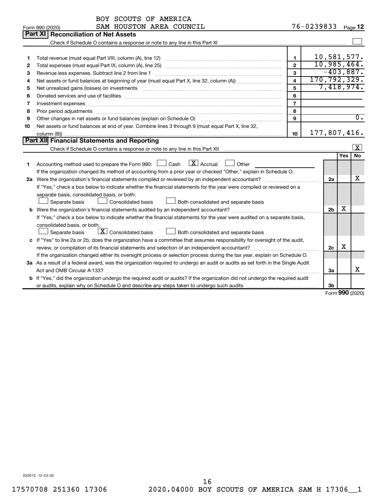| 76-0239833<br>SAM HOUSTON AREA COUNCIL<br>Form 990 (2020)                                                                            |     | Page $12$        |
|--------------------------------------------------------------------------------------------------------------------------------------|-----|------------------|
| Part XI<br><b>Reconciliation of Net Assets</b>                                                                                       |     |                  |
|                                                                                                                                      |     |                  |
|                                                                                                                                      |     |                  |
| 10,581,577.<br>$\mathbf{1}$<br>1                                                                                                     |     |                  |
| 10,985,464.<br>$\overline{2}$<br>2                                                                                                   |     |                  |
| 3<br>З                                                                                                                               |     | $-403,887.$      |
| 170, 792, 329.<br>$\overline{4}$<br>4                                                                                                |     |                  |
| 5<br>5                                                                                                                               |     | 7,418,974.       |
| 6<br>6                                                                                                                               |     |                  |
| $\overline{7}$<br>Investment expenses www.communication.com/www.communication.com/www.communication.com/www.com<br>7                 |     |                  |
| 8<br>Prior period adjustments www.communication.communication.communication.com/<br>8                                                |     |                  |
| Other changes in net assets or fund balances (explain on Schedule O)<br>9<br>9                                                       |     | $\overline{0}$ . |
| Net assets or fund balances at end of year. Combine lines 3 through 9 (must equal Part X, line 32,<br>10                             |     |                  |
| 177,807,416.<br>10                                                                                                                   |     |                  |
| Part XII Financial Statements and Reporting                                                                                          |     |                  |
|                                                                                                                                      |     | $\mathbf{x}$     |
|                                                                                                                                      | Yes | <b>No</b>        |
| $\mathbf{X}$ Accrual<br>Accounting method used to prepare the Form 990: [16] Cash<br>Other<br>1                                      |     |                  |
| If the organization changed its method of accounting from a prior year or checked "Other," explain in Schedule O.                    |     |                  |
| 2a                                                                                                                                   |     | x                |
| If "Yes," check a box below to indicate whether the financial statements for the year were compiled or reviewed on a                 |     |                  |
| separate basis, consolidated basis, or both:                                                                                         |     |                  |
| Separate basis<br>Consolidated basis<br>Both consolidated and separate basis                                                         |     |                  |
| 2 <sub>b</sub>                                                                                                                       | х   |                  |
| If "Yes," check a box below to indicate whether the financial statements for the year were audited on a separate basis,              |     |                  |
| consolidated basis, or both:                                                                                                         |     |                  |
| $\boxed{\textbf{X}}$ Consolidated basis<br>Both consolidated and separate basis<br>Separate basis                                    |     |                  |
| c If "Yes" to line 2a or 2b, does the organization have a committee that assumes responsibility for oversight of the audit,          |     |                  |
| 2c                                                                                                                                   | х   |                  |
| If the organization changed either its oversight process or selection process during the tax year, explain on Schedule O.            |     |                  |
| 3a As a result of a federal award, was the organization required to undergo an audit or audits as set forth in the Single Audit      |     |                  |
| 3a                                                                                                                                   |     | x                |
| <b>b</b> If "Yes," did the organization undergo the required audit or audits? If the organization did not undergo the required audit |     |                  |
| 3b                                                                                                                                   |     | $000 \text{$     |

Form (2020) **990**

032012 12-23-20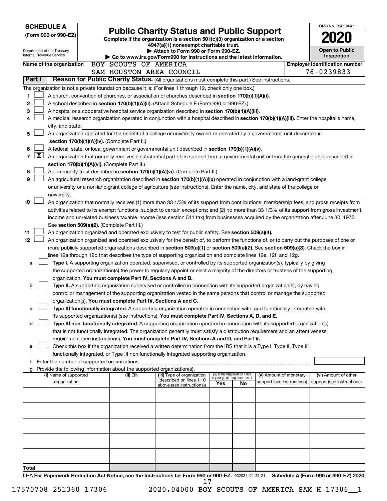|                      |              | <b>SCHEDULE A</b>                                      |                                                                                                                                  |  |                                                                          |                                                                                                                                                                                                                                                 |     |                                 |                                                      |  | OMB No. 1545-0047                                  |
|----------------------|--------------|--------------------------------------------------------|----------------------------------------------------------------------------------------------------------------------------------|--|--------------------------------------------------------------------------|-------------------------------------------------------------------------------------------------------------------------------------------------------------------------------------------------------------------------------------------------|-----|---------------------------------|------------------------------------------------------|--|----------------------------------------------------|
| (Form 990 or 990-EZ) |              |                                                        | <b>Public Charity Status and Public Support</b><br>Complete if the organization is a section 501(c)(3) organization or a section |  |                                                                          |                                                                                                                                                                                                                                                 |     |                                 |                                                      |  |                                                    |
|                      |              |                                                        |                                                                                                                                  |  |                                                                          | 4947(a)(1) nonexempt charitable trust.                                                                                                                                                                                                          |     |                                 |                                                      |  |                                                    |
|                      |              | Department of the Treasury<br>Internal Revenue Service |                                                                                                                                  |  |                                                                          | Attach to Form 990 or Form 990-EZ.                                                                                                                                                                                                              |     |                                 |                                                      |  | <b>Open to Public</b>                              |
|                      |              |                                                        |                                                                                                                                  |  |                                                                          | Go to www.irs.gov/Form990 for instructions and the latest information.                                                                                                                                                                          |     |                                 |                                                      |  | <b>Inspection</b>                                  |
|                      |              | Name of the organization                               |                                                                                                                                  |  | BOY SCOUTS OF AMERICA                                                    |                                                                                                                                                                                                                                                 |     |                                 |                                                      |  | <b>Employer identification number</b>              |
|                      | Part I       |                                                        |                                                                                                                                  |  |                                                                          | SAM HOUSTON AREA COUNCIL<br>Reason for Public Charity Status. (All organizations must complete this part.) See instructions.                                                                                                                    |     |                                 |                                                      |  | 76-0239833                                         |
|                      |              |                                                        |                                                                                                                                  |  |                                                                          |                                                                                                                                                                                                                                                 |     |                                 |                                                      |  |                                                    |
|                      |              |                                                        |                                                                                                                                  |  |                                                                          | The organization is not a private foundation because it is: (For lines 1 through 12, check only one box.)                                                                                                                                       |     |                                 |                                                      |  |                                                    |
| 1                    |              |                                                        |                                                                                                                                  |  |                                                                          | A church, convention of churches, or association of churches described in section 170(b)(1)(A)(i).                                                                                                                                              |     |                                 |                                                      |  |                                                    |
| 2                    |              |                                                        |                                                                                                                                  |  |                                                                          | A school described in section 170(b)(1)(A)(ii). (Attach Schedule E (Form 990 or 990-EZ).)                                                                                                                                                       |     |                                 |                                                      |  |                                                    |
| 3<br>4               |              |                                                        |                                                                                                                                  |  |                                                                          | A hospital or a cooperative hospital service organization described in section 170(b)(1)(A)(iii).<br>A medical research organization operated in conjunction with a hospital described in section 170(b)(1)(A)(iii). Enter the hospital's name, |     |                                 |                                                      |  |                                                    |
|                      |              | city, and state:                                       |                                                                                                                                  |  |                                                                          |                                                                                                                                                                                                                                                 |     |                                 |                                                      |  |                                                    |
| 5                    |              |                                                        |                                                                                                                                  |  |                                                                          | An organization operated for the benefit of a college or university owned or operated by a governmental unit described in                                                                                                                       |     |                                 |                                                      |  |                                                    |
|                      |              |                                                        |                                                                                                                                  |  | section 170(b)(1)(A)(iv). (Complete Part II.)                            |                                                                                                                                                                                                                                                 |     |                                 |                                                      |  |                                                    |
| 6                    |              |                                                        |                                                                                                                                  |  |                                                                          | A federal, state, or local government or governmental unit described in section 170(b)(1)(A)(v).                                                                                                                                                |     |                                 |                                                      |  |                                                    |
| 7                    | $\mathbf{X}$ |                                                        |                                                                                                                                  |  |                                                                          | An organization that normally receives a substantial part of its support from a governmental unit or from the general public described in                                                                                                       |     |                                 |                                                      |  |                                                    |
|                      |              |                                                        |                                                                                                                                  |  | section 170(b)(1)(A)(vi). (Complete Part II.)                            |                                                                                                                                                                                                                                                 |     |                                 |                                                      |  |                                                    |
| 8                    |              |                                                        |                                                                                                                                  |  |                                                                          | A community trust described in section 170(b)(1)(A)(vi). (Complete Part II.)                                                                                                                                                                    |     |                                 |                                                      |  |                                                    |
| 9                    |              |                                                        |                                                                                                                                  |  |                                                                          | An agricultural research organization described in section 170(b)(1)(A)(ix) operated in conjunction with a land-grant college                                                                                                                   |     |                                 |                                                      |  |                                                    |
|                      |              |                                                        |                                                                                                                                  |  |                                                                          | or university or a non-land-grant college of agriculture (see instructions). Enter the name, city, and state of the college or                                                                                                                  |     |                                 |                                                      |  |                                                    |
|                      |              | university:                                            |                                                                                                                                  |  |                                                                          |                                                                                                                                                                                                                                                 |     |                                 |                                                      |  |                                                    |
| 10                   |              |                                                        |                                                                                                                                  |  |                                                                          | An organization that normally receives (1) more than 33 1/3% of its support from contributions, membership fees, and gross receipts from                                                                                                        |     |                                 |                                                      |  |                                                    |
|                      |              |                                                        |                                                                                                                                  |  |                                                                          | activities related to its exempt functions, subject to certain exceptions; and (2) no more than 33 1/3% of its support from gross investment                                                                                                    |     |                                 |                                                      |  |                                                    |
|                      |              |                                                        |                                                                                                                                  |  |                                                                          | income and unrelated business taxable income (less section 511 tax) from businesses acquired by the organization after June 30, 1975.                                                                                                           |     |                                 |                                                      |  |                                                    |
|                      |              |                                                        |                                                                                                                                  |  | See section 509(a)(2). (Complete Part III.)                              |                                                                                                                                                                                                                                                 |     |                                 |                                                      |  |                                                    |
| 11                   |              |                                                        |                                                                                                                                  |  |                                                                          | An organization organized and operated exclusively to test for public safety. See section 509(a)(4).                                                                                                                                            |     |                                 |                                                      |  |                                                    |
| 12                   |              |                                                        |                                                                                                                                  |  |                                                                          | An organization organized and operated exclusively for the benefit of, to perform the functions of, or to carry out the purposes of one or                                                                                                      |     |                                 |                                                      |  |                                                    |
|                      |              |                                                        |                                                                                                                                  |  |                                                                          | more publicly supported organizations described in section 509(a)(1) or section 509(a)(2). See section 509(a)(3). Check the box in                                                                                                              |     |                                 |                                                      |  |                                                    |
|                      |              |                                                        |                                                                                                                                  |  |                                                                          | lines 12a through 12d that describes the type of supporting organization and complete lines 12e, 12f, and 12g.                                                                                                                                  |     |                                 |                                                      |  |                                                    |
| a                    |              |                                                        |                                                                                                                                  |  |                                                                          | Type I. A supporting organization operated, supervised, or controlled by its supported organization(s), typically by giving                                                                                                                     |     |                                 |                                                      |  |                                                    |
|                      |              |                                                        |                                                                                                                                  |  | organization. You must complete Part IV, Sections A and B.               | the supported organization(s) the power to regularly appoint or elect a majority of the directors or trustees of the supporting                                                                                                                 |     |                                 |                                                      |  |                                                    |
| b                    |              |                                                        |                                                                                                                                  |  |                                                                          | Type II. A supporting organization supervised or controlled in connection with its supported organization(s), by having                                                                                                                         |     |                                 |                                                      |  |                                                    |
|                      |              |                                                        |                                                                                                                                  |  |                                                                          | control or management of the supporting organization vested in the same persons that control or manage the supported                                                                                                                            |     |                                 |                                                      |  |                                                    |
|                      |              |                                                        |                                                                                                                                  |  | organization(s). You must complete Part IV, Sections A and C.            |                                                                                                                                                                                                                                                 |     |                                 |                                                      |  |                                                    |
| с                    |              |                                                        |                                                                                                                                  |  |                                                                          | Type III functionally integrated. A supporting organization operated in connection with, and functionally integrated with,                                                                                                                      |     |                                 |                                                      |  |                                                    |
|                      |              |                                                        |                                                                                                                                  |  |                                                                          | its supported organization(s) (see instructions). You must complete Part IV, Sections A, D, and E.                                                                                                                                              |     |                                 |                                                      |  |                                                    |
| d                    |              |                                                        |                                                                                                                                  |  |                                                                          | Type III non-functionally integrated. A supporting organization operated in connection with its supported organization(s)                                                                                                                       |     |                                 |                                                      |  |                                                    |
|                      |              |                                                        |                                                                                                                                  |  |                                                                          | that is not functionally integrated. The organization generally must satisfy a distribution requirement and an attentiveness                                                                                                                    |     |                                 |                                                      |  |                                                    |
|                      |              |                                                        |                                                                                                                                  |  |                                                                          | requirement (see instructions). You must complete Part IV, Sections A and D, and Part V.                                                                                                                                                        |     |                                 |                                                      |  |                                                    |
| е                    |              |                                                        |                                                                                                                                  |  |                                                                          | Check this box if the organization received a written determination from the IRS that it is a Type I, Type II, Type III                                                                                                                         |     |                                 |                                                      |  |                                                    |
|                      |              |                                                        |                                                                                                                                  |  |                                                                          | functionally integrated, or Type III non-functionally integrated supporting organization.                                                                                                                                                       |     |                                 |                                                      |  |                                                    |
|                      |              |                                                        |                                                                                                                                  |  | f Enter the number of supported organizations                            |                                                                                                                                                                                                                                                 |     |                                 |                                                      |  |                                                    |
|                      |              |                                                        |                                                                                                                                  |  | g Provide the following information about the supported organization(s). |                                                                                                                                                                                                                                                 |     | (iv) Is the organization listed |                                                      |  |                                                    |
|                      |              | (i) Name of supported<br>organization                  |                                                                                                                                  |  | (ii) EIN                                                                 | (iii) Type of organization<br>(described on lines 1-10                                                                                                                                                                                          |     | in your governing document?     | (v) Amount of monetary<br>support (see instructions) |  | (vi) Amount of other<br>support (see instructions) |
|                      |              |                                                        |                                                                                                                                  |  |                                                                          | above (see instructions))                                                                                                                                                                                                                       | Yes | No.                             |                                                      |  |                                                    |
|                      |              |                                                        |                                                                                                                                  |  |                                                                          |                                                                                                                                                                                                                                                 |     |                                 |                                                      |  |                                                    |
|                      |              |                                                        |                                                                                                                                  |  |                                                                          |                                                                                                                                                                                                                                                 |     |                                 |                                                      |  |                                                    |
|                      |              |                                                        |                                                                                                                                  |  |                                                                          |                                                                                                                                                                                                                                                 |     |                                 |                                                      |  |                                                    |
|                      |              |                                                        |                                                                                                                                  |  |                                                                          |                                                                                                                                                                                                                                                 |     |                                 |                                                      |  |                                                    |
|                      |              |                                                        |                                                                                                                                  |  |                                                                          |                                                                                                                                                                                                                                                 |     |                                 |                                                      |  |                                                    |
|                      |              |                                                        |                                                                                                                                  |  |                                                                          |                                                                                                                                                                                                                                                 |     |                                 |                                                      |  |                                                    |
|                      |              |                                                        |                                                                                                                                  |  |                                                                          |                                                                                                                                                                                                                                                 |     |                                 |                                                      |  |                                                    |
|                      |              |                                                        |                                                                                                                                  |  |                                                                          |                                                                                                                                                                                                                                                 |     |                                 |                                                      |  |                                                    |
|                      |              |                                                        |                                                                                                                                  |  |                                                                          |                                                                                                                                                                                                                                                 |     |                                 |                                                      |  |                                                    |
| Total                |              |                                                        |                                                                                                                                  |  |                                                                          |                                                                                                                                                                                                                                                 |     |                                 |                                                      |  |                                                    |
|                      |              |                                                        |                                                                                                                                  |  |                                                                          | LHA For Paperwork Reduction Act Notice, see the Instructions for Form 990 or 990-EZ. 032021 01-25-21                                                                                                                                            |     |                                 |                                                      |  | Schedule A (Form 990 or 990-EZ) 2020               |
|                      |              |                                                        |                                                                                                                                  |  |                                                                          | 17                                                                                                                                                                                                                                              |     |                                 |                                                      |  |                                                    |

17570708 251360 17306 2020.04000 BOY SCOUTS OF AMERICA SAM H 17306\_\_1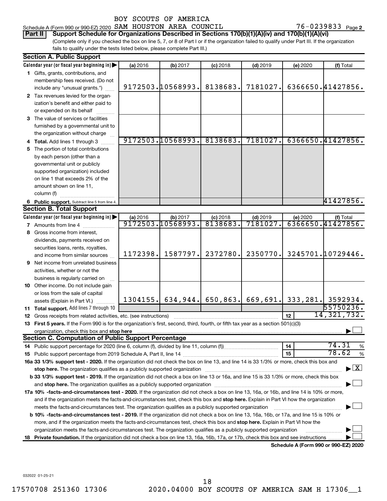### Schedule A (Form 990 or 990-EZ) 2020 SAM HOUSTON AREA COUNCIL  $76-0239833$  Page

76-0239833 Page 2

(Complete only if you checked the box on line 5, 7, or 8 of Part I or if the organization failed to qualify under Part III. If the organization fails to qualify under the tests listed below, please complete Part III.) **Part II Support Schedule for Organizations Described in Sections 170(b)(1)(A)(iv) and 170(b)(1)(A)(vi)**

| <b>Section A. Public Support</b> |                                                                                                                                                                                                                                                                                                   |          |                   |            |            |                 |                                                                        |  |  |
|----------------------------------|---------------------------------------------------------------------------------------------------------------------------------------------------------------------------------------------------------------------------------------------------------------------------------------------------|----------|-------------------|------------|------------|-----------------|------------------------------------------------------------------------|--|--|
|                                  | Calendar year (or fiscal year beginning in)                                                                                                                                                                                                                                                       | (a) 2016 | (b) 2017          | $(c)$ 2018 | $(d)$ 2019 | (e) 2020        | (f) Total                                                              |  |  |
|                                  | 1 Gifts, grants, contributions, and                                                                                                                                                                                                                                                               |          |                   |            |            |                 |                                                                        |  |  |
|                                  | membership fees received. (Do not                                                                                                                                                                                                                                                                 |          |                   |            |            |                 |                                                                        |  |  |
|                                  | include any "unusual grants.")                                                                                                                                                                                                                                                                    |          | 9172503.10568993. | 8138683.   | 7181027.   |                 | 6366650.41427856.                                                      |  |  |
|                                  | 2 Tax revenues levied for the organ-                                                                                                                                                                                                                                                              |          |                   |            |            |                 |                                                                        |  |  |
|                                  | ization's benefit and either paid to                                                                                                                                                                                                                                                              |          |                   |            |            |                 |                                                                        |  |  |
|                                  | or expended on its behalf                                                                                                                                                                                                                                                                         |          |                   |            |            |                 |                                                                        |  |  |
|                                  | 3 The value of services or facilities                                                                                                                                                                                                                                                             |          |                   |            |            |                 |                                                                        |  |  |
|                                  | furnished by a governmental unit to                                                                                                                                                                                                                                                               |          |                   |            |            |                 |                                                                        |  |  |
|                                  | the organization without charge                                                                                                                                                                                                                                                                   |          |                   |            |            |                 |                                                                        |  |  |
|                                  | 4 Total. Add lines 1 through 3                                                                                                                                                                                                                                                                    |          | 9172503.10568993. | 8138683.   | 7181027.   |                 | 6366650.41427856.                                                      |  |  |
|                                  | 5 The portion of total contributions                                                                                                                                                                                                                                                              |          |                   |            |            |                 |                                                                        |  |  |
|                                  | by each person (other than a                                                                                                                                                                                                                                                                      |          |                   |            |            |                 |                                                                        |  |  |
|                                  | governmental unit or publicly                                                                                                                                                                                                                                                                     |          |                   |            |            |                 |                                                                        |  |  |
|                                  | supported organization) included                                                                                                                                                                                                                                                                  |          |                   |            |            |                 |                                                                        |  |  |
|                                  | on line 1 that exceeds 2% of the                                                                                                                                                                                                                                                                  |          |                   |            |            |                 |                                                                        |  |  |
|                                  | amount shown on line 11,                                                                                                                                                                                                                                                                          |          |                   |            |            |                 |                                                                        |  |  |
|                                  | column (f)                                                                                                                                                                                                                                                                                        |          |                   |            |            |                 |                                                                        |  |  |
|                                  | 6 Public support. Subtract line 5 from line 4.                                                                                                                                                                                                                                                    |          |                   |            |            |                 | 41427856.                                                              |  |  |
|                                  | <b>Section B. Total Support</b>                                                                                                                                                                                                                                                                   |          |                   |            |            |                 |                                                                        |  |  |
|                                  | Calendar year (or fiscal year beginning in)                                                                                                                                                                                                                                                       | (a) 2016 | (b) 2017          | $(c)$ 2018 | $(d)$ 2019 | (e) 2020        | (f) Total                                                              |  |  |
|                                  | <b>7</b> Amounts from line 4                                                                                                                                                                                                                                                                      |          | 9172503.10568993. | 8138683.   | 7181027    |                 | 6366650.41427856.                                                      |  |  |
|                                  | 8 Gross income from interest,                                                                                                                                                                                                                                                                     |          |                   |            |            |                 |                                                                        |  |  |
|                                  | dividends, payments received on                                                                                                                                                                                                                                                                   |          |                   |            |            |                 |                                                                        |  |  |
|                                  | securities loans, rents, royalties,                                                                                                                                                                                                                                                               |          |                   |            |            |                 |                                                                        |  |  |
|                                  | and income from similar sources                                                                                                                                                                                                                                                                   | 1172398. | 1587797.          | 2372780.   | 2350770.   |                 | 3245701.10729446.                                                      |  |  |
| 9                                | Net income from unrelated business                                                                                                                                                                                                                                                                |          |                   |            |            |                 |                                                                        |  |  |
|                                  | activities, whether or not the                                                                                                                                                                                                                                                                    |          |                   |            |            |                 |                                                                        |  |  |
|                                  | business is regularly carried on                                                                                                                                                                                                                                                                  |          |                   |            |            |                 |                                                                        |  |  |
|                                  | 10 Other income. Do not include gain                                                                                                                                                                                                                                                              |          |                   |            |            |                 |                                                                        |  |  |
|                                  | or loss from the sale of capital                                                                                                                                                                                                                                                                  |          |                   |            |            |                 |                                                                        |  |  |
|                                  | assets (Explain in Part VI.)                                                                                                                                                                                                                                                                      |          |                   |            |            |                 | 1304155. 634, 944. 650, 863. 669, 691. 333, 281. 3592934.<br>55750236. |  |  |
|                                  | 11 Total support. Add lines 7 through 10                                                                                                                                                                                                                                                          |          |                   |            |            |                 | 14, 321, 732.                                                          |  |  |
|                                  | <b>12</b> Gross receipts from related activities, etc. (see instructions)                                                                                                                                                                                                                         |          |                   |            |            | 12 <sup>2</sup> |                                                                        |  |  |
|                                  | 13 First 5 years. If the Form 990 is for the organization's first, second, third, fourth, or fifth tax year as a section 501(c)(3)                                                                                                                                                                |          |                   |            |            |                 |                                                                        |  |  |
|                                  | organization, check this box and stop here <b>construction and construction</b> construction of the state of the state of the state of the state of the state of the state of the state of the state of the state of the state of t<br><b>Section C. Computation of Public Support Percentage</b> |          |                   |            |            |                 |                                                                        |  |  |
|                                  |                                                                                                                                                                                                                                                                                                   |          |                   |            |            | 14              | 74.31<br>%                                                             |  |  |
|                                  |                                                                                                                                                                                                                                                                                                   |          |                   |            |            | 15              | 78.62<br>$\%$                                                          |  |  |
|                                  | 16a 33 1/3% support test - 2020. If the organization did not check the box on line 13, and line 14 is 33 1/3% or more, check this box and                                                                                                                                                         |          |                   |            |            |                 |                                                                        |  |  |
|                                  |                                                                                                                                                                                                                                                                                                   |          |                   |            |            |                 | $\blacktriangleright$ $\boxed{\text{X}}$                               |  |  |
|                                  | b 33 1/3% support test - 2019. If the organization did not check a box on line 13 or 16a, and line 15 is 33 1/3% or more, check this box                                                                                                                                                          |          |                   |            |            |                 |                                                                        |  |  |
|                                  |                                                                                                                                                                                                                                                                                                   |          |                   |            |            |                 |                                                                        |  |  |
|                                  | 17a 10% -facts-and-circumstances test - 2020. If the organization did not check a box on line 13, 16a, or 16b, and line 14 is 10% or more,                                                                                                                                                        |          |                   |            |            |                 |                                                                        |  |  |
|                                  | and if the organization meets the facts-and-circumstances test, check this box and stop here. Explain in Part VI how the organization                                                                                                                                                             |          |                   |            |            |                 |                                                                        |  |  |
|                                  | meets the facts-and-circumstances test. The organization qualifies as a publicly supported organization                                                                                                                                                                                           |          |                   |            |            |                 |                                                                        |  |  |
|                                  | <b>b 10%</b> -facts-and-circumstances test - 2019. If the organization did not check a box on line 13, 16a, 16b, or 17a, and line 15 is 10% or                                                                                                                                                    |          |                   |            |            |                 |                                                                        |  |  |
|                                  | more, and if the organization meets the facts-and-circumstances test, check this box and stop here. Explain in Part VI how the                                                                                                                                                                    |          |                   |            |            |                 |                                                                        |  |  |
|                                  | organization meets the facts-and-circumstances test. The organization qualifies as a publicly supported organization                                                                                                                                                                              |          |                   |            |            |                 |                                                                        |  |  |
| 18                               | Private foundation. If the organization did not check a box on line 13, 16a, 16b, 17a, or 17b, check this box and see instructions.                                                                                                                                                               |          |                   |            |            |                 |                                                                        |  |  |
|                                  |                                                                                                                                                                                                                                                                                                   |          |                   |            |            |                 | Schedule A (Form 990 or 990-EZ) 2020                                   |  |  |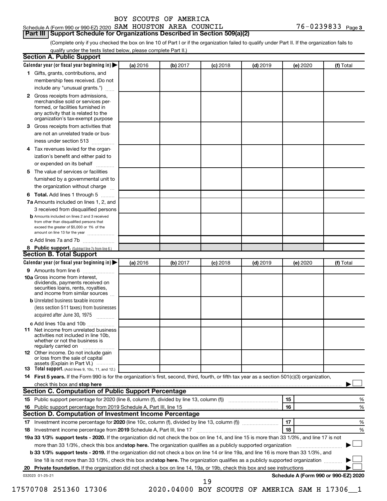# **Part III Support Schedule for Organizations Described in Section 509(a)(2)**

(Complete only if you checked the box on line 10 of Part I or if the organization failed to qualify under Part II. If the organization fails to qualify under the tests listed below, please complete Part II.)

|    | Calendar year (or fiscal year beginning in)                                                                                                                                                                                                                                     | (a) 2016 | (b) 2017                                       | $(c)$ 2018 | $(d)$ 2019 | (e) 2020 | (f) Total                            |
|----|---------------------------------------------------------------------------------------------------------------------------------------------------------------------------------------------------------------------------------------------------------------------------------|----------|------------------------------------------------|------------|------------|----------|--------------------------------------|
|    | 1 Gifts, grants, contributions, and                                                                                                                                                                                                                                             |          |                                                |            |            |          |                                      |
|    | membership fees received. (Do not                                                                                                                                                                                                                                               |          |                                                |            |            |          |                                      |
|    | include any "unusual grants.")                                                                                                                                                                                                                                                  |          |                                                |            |            |          |                                      |
|    | 2 Gross receipts from admissions,<br>merchandise sold or services per-<br>formed, or facilities furnished in<br>any activity that is related to the                                                                                                                             |          |                                                |            |            |          |                                      |
|    | organization's tax-exempt purpose                                                                                                                                                                                                                                               |          |                                                |            |            |          |                                      |
| 3  | Gross receipts from activities that                                                                                                                                                                                                                                             |          |                                                |            |            |          |                                      |
|    | are not an unrelated trade or bus-<br>iness under section 513                                                                                                                                                                                                                   |          |                                                |            |            |          |                                      |
| 4  | Tax revenues levied for the organ-                                                                                                                                                                                                                                              |          |                                                |            |            |          |                                      |
|    | ization's benefit and either paid to<br>or expended on its behalf<br>.                                                                                                                                                                                                          |          |                                                |            |            |          |                                      |
| 5. | The value of services or facilities                                                                                                                                                                                                                                             |          |                                                |            |            |          |                                      |
|    | furnished by a governmental unit to                                                                                                                                                                                                                                             |          |                                                |            |            |          |                                      |
|    | the organization without charge                                                                                                                                                                                                                                                 |          |                                                |            |            |          |                                      |
| 6  | Total. Add lines 1 through 5                                                                                                                                                                                                                                                    |          |                                                |            |            |          |                                      |
|    | 7a Amounts included on lines 1, 2, and                                                                                                                                                                                                                                          |          |                                                |            |            |          |                                      |
|    | 3 received from disqualified persons                                                                                                                                                                                                                                            |          |                                                |            |            |          |                                      |
|    | <b>b</b> Amounts included on lines 2 and 3 received<br>from other than disqualified persons that<br>exceed the greater of \$5,000 or 1% of the<br>amount on line 13 for the year                                                                                                |          |                                                |            |            |          |                                      |
|    | c Add lines 7a and 7b                                                                                                                                                                                                                                                           |          |                                                |            |            |          |                                      |
|    | 8 Public support. (Subtract line 7c from line 6.)                                                                                                                                                                                                                               |          |                                                |            |            |          |                                      |
|    | <b>Section B. Total Support</b>                                                                                                                                                                                                                                                 |          |                                                |            |            |          |                                      |
|    | Calendar year (or fiscal year beginning in)                                                                                                                                                                                                                                     | (a) 2016 | (b) 2017                                       | $(c)$ 2018 | $(d)$ 2019 | (e) 2020 | (f) Total                            |
|    | <b>9</b> Amounts from line 6                                                                                                                                                                                                                                                    |          |                                                |            |            |          |                                      |
|    | <b>10a</b> Gross income from interest,<br>dividends, payments received on<br>securities loans, rents, royalties,<br>and income from similar sources                                                                                                                             |          |                                                |            |            |          |                                      |
|    | <b>b</b> Unrelated business taxable income                                                                                                                                                                                                                                      |          |                                                |            |            |          |                                      |
|    | (less section 511 taxes) from businesses<br>acquired after June 30, 1975 [[11, 11, 11, 11]                                                                                                                                                                                      |          |                                                |            |            |          |                                      |
|    | c Add lines 10a and 10b                                                                                                                                                                                                                                                         |          |                                                |            |            |          |                                      |
| 11 | Net income from unrelated business<br>activities not included in line 10b.<br>whether or not the business is<br>regularly carried on                                                                                                                                            |          |                                                |            |            |          |                                      |
|    | <b>12</b> Other income. Do not include gain<br>or loss from the sale of capital<br>assets (Explain in Part VI.)                                                                                                                                                                 |          |                                                |            |            |          |                                      |
|    | <b>13</b> Total support. (Add lines 9, 10c, 11, and 12.)                                                                                                                                                                                                                        |          |                                                |            |            |          |                                      |
|    | 14 First 5 years. If the Form 990 is for the organization's first, second, third, fourth, or fifth tax year as a section 501(c)(3) organization,                                                                                                                                |          |                                                |            |            |          |                                      |
|    |                                                                                                                                                                                                                                                                                 |          |                                                |            |            |          |                                      |
|    | Section C. Computation of Public Support Percentage                                                                                                                                                                                                                             |          |                                                |            |            |          |                                      |
|    |                                                                                                                                                                                                                                                                                 |          |                                                |            |            | 15       | %                                    |
|    |                                                                                                                                                                                                                                                                                 |          |                                                |            |            | 16       | %                                    |
|    | Section D. Computation of Investment Income Percentage                                                                                                                                                                                                                          |          |                                                |            |            |          |                                      |
|    |                                                                                                                                                                                                                                                                                 |          |                                                |            |            | 17       | %                                    |
|    | 18 Investment income percentage from 2019 Schedule A, Part III, line 17                                                                                                                                                                                                         |          |                                                |            |            | 18       | %                                    |
|    | 19a 33 1/3% support tests - 2020. If the organization did not check the box on line 14, and line 15 is more than 33 1/3%, and line 17 is not                                                                                                                                    |          |                                                |            |            |          |                                      |
|    | more than 33 1/3%, check this box and stop here. The organization qualifies as a publicly supported organization                                                                                                                                                                |          |                                                |            |            |          |                                      |
|    | <b>b 33 1/3% support tests - 2019.</b> If the organization did not check a box on line 14 or line 19a, and line 16 is more than 33 1/3%, and<br>line 18 is not more than 33 1/3%, check this box and stop here. The organization qualifies as a publicly supported organization |          |                                                |            |            |          |                                      |
|    |                                                                                                                                                                                                                                                                                 |          |                                                |            |            |          |                                      |
|    | 032023 01-25-21                                                                                                                                                                                                                                                                 |          |                                                |            |            |          | Schedule A (Form 990 or 990-EZ) 2020 |
|    |                                                                                                                                                                                                                                                                                 |          |                                                | 19         |            |          |                                      |
|    | 17570708 251360 17306                                                                                                                                                                                                                                                           |          | 2020.04000 BOY SCOUTS OF AMERICA SAM H 17306_1 |            |            |          |                                      |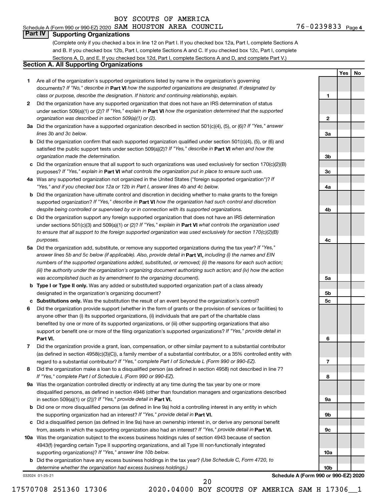# Schedule A (Form 990 or 990-EZ) 2020 SAM HOUSTON AREA COUNCIL  $76-0239833$  Page

**1**

**Yes No**

### **Part IV Supporting Organizations**

(Complete only if you checked a box in line 12 on Part I. If you checked box 12a, Part I, complete Sections A and B. If you checked box 12b, Part I, complete Sections A and C. If you checked box 12c, Part I, complete Sections A, D, and E. If you checked box 12d, Part I, complete Sections A and D, and complete Part V.)

## **Section A. All Supporting Organizations**

- **1** Are all of the organization's supported organizations listed by name in the organization's governing documents? If "No," describe in Part VI how the supported organizations are designated. If designated by *class or purpose, describe the designation. If historic and continuing relationship, explain.*
- **2** Did the organization have any supported organization that does not have an IRS determination of status under section 509(a)(1) or (2)? If "Yes," explain in Part **VI** how the organization determined that the supported *organization was described in section 509(a)(1) or (2).*
- **3a** Did the organization have a supported organization described in section 501(c)(4), (5), or (6)? If "Yes," answer *lines 3b and 3c below.*
- **b** Did the organization confirm that each supported organization qualified under section 501(c)(4), (5), or (6) and satisfied the public support tests under section 509(a)(2)? If "Yes," describe in Part VI when and how the *organization made the determination.*
- **c** Did the organization ensure that all support to such organizations was used exclusively for section 170(c)(2)(B) purposes? If "Yes," explain in Part VI what controls the organization put in place to ensure such use.
- **4 a** *If* Was any supported organization not organized in the United States ("foreign supported organization")? *"Yes," and if you checked box 12a or 12b in Part I, answer lines 4b and 4c below.*
- **b** Did the organization have ultimate control and discretion in deciding whether to make grants to the foreign supported organization? If "Yes," describe in Part VI how the organization had such control and discretion *despite being controlled or supervised by or in connection with its supported organizations.*
- **c** Did the organization support any foreign supported organization that does not have an IRS determination under sections 501(c)(3) and 509(a)(1) or (2)? If "Yes," explain in Part VI what controls the organization used *to ensure that all support to the foreign supported organization was used exclusively for section 170(c)(2)(B) purposes.*
- **5a** Did the organization add, substitute, or remove any supported organizations during the tax year? If "Yes," answer lines 5b and 5c below (if applicable). Also, provide detail in **Part VI,** including (i) the names and EIN *numbers of the supported organizations added, substituted, or removed; (ii) the reasons for each such action; (iii) the authority under the organization's organizing document authorizing such action; and (iv) how the action was accomplished (such as by amendment to the organizing document).*
- **b Type I or Type II only.** Was any added or substituted supported organization part of a class already designated in the organization's organizing document?
- **c Substitutions only.**  Was the substitution the result of an event beyond the organization's control?
- **6** Did the organization provide support (whether in the form of grants or the provision of services or facilities) to **Part VI.** support or benefit one or more of the filing organization's supported organizations? If "Yes," provide detail in anyone other than (i) its supported organizations, (ii) individuals that are part of the charitable class benefited by one or more of its supported organizations, or (iii) other supporting organizations that also
- **7** Did the organization provide a grant, loan, compensation, or other similar payment to a substantial contributor regard to a substantial contributor? If "Yes," complete Part I of Schedule L (Form 990 or 990-EZ). (as defined in section 4958(c)(3)(C)), a family member of a substantial contributor, or a 35% controlled entity with
- **8** Did the organization make a loan to a disqualified person (as defined in section 4958) not described in line 7? *If "Yes," complete Part I of Schedule L (Form 990 or 990-EZ).*
- **9 a** Was the organization controlled directly or indirectly at any time during the tax year by one or more in section 509(a)(1) or (2))? If "Yes," provide detail in **Part VI.** disqualified persons, as defined in section 4946 (other than foundation managers and organizations described
- **b** Did one or more disqualified persons (as defined in line 9a) hold a controlling interest in any entity in which the supporting organization had an interest? If "Yes," provide detail in Part VI.
- **c** Did a disqualified person (as defined in line 9a) have an ownership interest in, or derive any personal benefit from, assets in which the supporting organization also had an interest? If "Yes," provide detail in Part VI.
- **10 a** Was the organization subject to the excess business holdings rules of section 4943 because of section supporting organizations)? If "Yes," answer line 10b below. 4943(f) (regarding certain Type II supporting organizations, and all Type III non-functionally integrated
	- **b** Did the organization have any excess business holdings in the tax year? (Use Schedule C, Form 4720, to *determine whether the organization had excess business holdings.)*

032024 01-25-21

**Schedule A (Form 990 or 990-EZ) 2020**

20

17570708 251360 17306 2020.04000 BOY SCOUTS OF AMERICA SAM H 17306\_\_1

**2 3a 3b 3c 4a 4b 4c 5a 5b 5c 6 7 8 9a 9b 9c 10a 10b**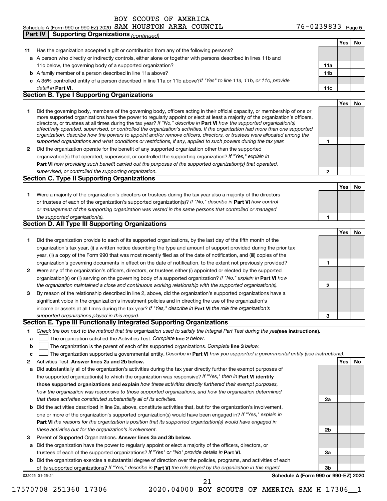#### Schedule A (Form 990 or 990-EZ) 2020 SAM HOUSTON AREA COUNCIL  $76-0239833$  Page **Part IV Supporting Organizations** *(continued)*

|              |                                                                                                                                                                                                                                                            |                 | Yes        | No  |
|--------------|------------------------------------------------------------------------------------------------------------------------------------------------------------------------------------------------------------------------------------------------------------|-----------------|------------|-----|
| 11.          | Has the organization accepted a gift or contribution from any of the following persons?                                                                                                                                                                    |                 |            |     |
|              | a A person who directly or indirectly controls, either alone or together with persons described in lines 11b and                                                                                                                                           |                 |            |     |
|              | 11c below, the governing body of a supported organization?                                                                                                                                                                                                 | 11a             |            |     |
|              | <b>b</b> A family member of a person described in line 11a above?                                                                                                                                                                                          | 11 <sub>b</sub> |            |     |
|              | c A 35% controlled entity of a person described in line 11a or 11b above?If "Yes" to line 11a, 11b, or 11c, provide                                                                                                                                        |                 |            |     |
|              | detail in Part VI.                                                                                                                                                                                                                                         | 11c             |            |     |
|              | <b>Section B. Type I Supporting Organizations</b>                                                                                                                                                                                                          |                 |            |     |
|              |                                                                                                                                                                                                                                                            |                 | Yes        | No  |
| 1            | Did the governing body, members of the governing body, officers acting in their official capacity, or membership of one or                                                                                                                                 |                 |            |     |
|              | more supported organizations have the power to regularly appoint or elect at least a majority of the organization's officers,                                                                                                                              |                 |            |     |
|              | directors, or trustees at all times during the tax year? If "No," describe in Part VI how the supported organization(s)                                                                                                                                    |                 |            |     |
|              | effectively operated, supervised, or controlled the organization's activities. If the organization had more than one supported<br>organization, describe how the powers to appoint and/or remove officers, directors, or trustees were allocated among the |                 |            |     |
|              | supported organizations and what conditions or restrictions, if any, applied to such powers during the tax year.                                                                                                                                           | 1               |            |     |
|              | 2 Did the organization operate for the benefit of any supported organization other than the supported                                                                                                                                                      |                 |            |     |
|              | organization(s) that operated, supervised, or controlled the supporting organization? If "Yes," explain in                                                                                                                                                 |                 |            |     |
|              | Part VI how providing such benefit carried out the purposes of the supported organization(s) that operated,                                                                                                                                                |                 |            |     |
|              | supervised, or controlled the supporting organization.                                                                                                                                                                                                     | $\mathbf{2}$    |            |     |
|              | <b>Section C. Type II Supporting Organizations</b>                                                                                                                                                                                                         |                 |            |     |
|              |                                                                                                                                                                                                                                                            |                 | <b>Yes</b> | No. |
| 1.           | Were a majority of the organization's directors or trustees during the tax year also a majority of the directors                                                                                                                                           |                 |            |     |
|              | or trustees of each of the organization's supported organization(s)? If "No," describe in Part VI how control                                                                                                                                              |                 |            |     |
|              | or management of the supporting organization was vested in the same persons that controlled or managed                                                                                                                                                     |                 |            |     |
|              | the supported organization(s).                                                                                                                                                                                                                             | 1               |            |     |
|              | Section D. All Type III Supporting Organizations                                                                                                                                                                                                           |                 |            |     |
|              |                                                                                                                                                                                                                                                            |                 | Yes        | No  |
| 1            | Did the organization provide to each of its supported organizations, by the last day of the fifth month of the                                                                                                                                             |                 |            |     |
|              | organization's tax year, (i) a written notice describing the type and amount of support provided during the prior tax                                                                                                                                      |                 |            |     |
|              | year, (ii) a copy of the Form 990 that was most recently filed as of the date of notification, and (iii) copies of the                                                                                                                                     |                 |            |     |
|              | organization's governing documents in effect on the date of notification, to the extent not previously provided?                                                                                                                                           | 1               |            |     |
| $\mathbf{2}$ | Were any of the organization's officers, directors, or trustees either (i) appointed or elected by the supported                                                                                                                                           |                 |            |     |
|              | organization(s) or (ii) serving on the governing body of a supported organization? If "No," explain in <b>Part VI</b> how                                                                                                                                  |                 |            |     |
|              | the organization maintained a close and continuous working relationship with the supported organization(s).                                                                                                                                                | $\mathbf 2$     |            |     |
| 3            | By reason of the relationship described in line 2, above, did the organization's supported organizations have a                                                                                                                                            |                 |            |     |
|              | significant voice in the organization's investment policies and in directing the use of the organization's                                                                                                                                                 |                 |            |     |
|              | income or assets at all times during the tax year? If "Yes," describe in Part VI the role the organization's                                                                                                                                               |                 |            |     |
|              | supported organizations played in this regard.                                                                                                                                                                                                             | 3               |            |     |
|              | Section E. Type III Functionally Integrated Supporting Organizations                                                                                                                                                                                       |                 |            |     |
| 1            | Check the box next to the method that the organization used to satisfy the Integral Part Test during the yealsee instructions).                                                                                                                            |                 |            |     |
| a            | The organization satisfied the Activities Test. Complete line 2 below.                                                                                                                                                                                     |                 |            |     |
| b            | The organization is the parent of each of its supported organizations. Complete line 3 below.                                                                                                                                                              |                 |            |     |
| с            | The organization supported a governmental entity. Describe in Part VI how you supported a governmental entity (see instructions).                                                                                                                          |                 |            |     |
| 2            | Activities Test. Answer lines 2a and 2b below.                                                                                                                                                                                                             |                 | Yes        | No  |
| а            | Did substantially all of the organization's activities during the tax year directly further the exempt purposes of                                                                                                                                         |                 |            |     |
|              | the supported organization(s) to which the organization was responsive? If "Yes," then in Part VI identify                                                                                                                                                 |                 |            |     |
|              | those supported organizations and explain how these activities directly furthered their exempt purposes,                                                                                                                                                   |                 |            |     |
|              | how the organization was responsive to those supported organizations, and how the organization determined                                                                                                                                                  |                 |            |     |
|              | that these activities constituted substantially all of its activities.                                                                                                                                                                                     | 2a              |            |     |
|              | <b>b</b> Did the activities described in line 2a, above, constitute activities that, but for the organization's involvement,                                                                                                                               |                 |            |     |
|              | one or more of the organization's supported organization(s) would have been engaged in? If "Yes," explain in                                                                                                                                               |                 |            |     |
|              | Part VI the reasons for the organization's position that its supported organization(s) would have engaged in                                                                                                                                               |                 |            |     |
|              | these activities but for the organization's involvement.                                                                                                                                                                                                   | 2b              |            |     |
| з            | Parent of Supported Organizations. Answer lines 3a and 3b below.                                                                                                                                                                                           |                 |            |     |
|              | a Did the organization have the power to regularly appoint or elect a majority of the officers, directors, or                                                                                                                                              |                 |            |     |
|              | trustees of each of the supported organizations? If "Yes" or "No" provide details in Part VI.                                                                                                                                                              | За              |            |     |
|              | <b>b</b> Did the organization exercise a substantial degree of direction over the policies, programs, and activities of each                                                                                                                               |                 |            |     |
|              | of its supported organizations? If "Yes," describe in Part VI the role played by the organization in this regard.                                                                                                                                          | 3b              |            |     |
|              | Schedule A (Form 990 or 990-EZ) 2020<br>032025 01-25-21                                                                                                                                                                                                    |                 |            |     |

17570708 251360 17306 2020.04000 BOY SCOUTS OF AMERICA SAM H 17306\_\_1 21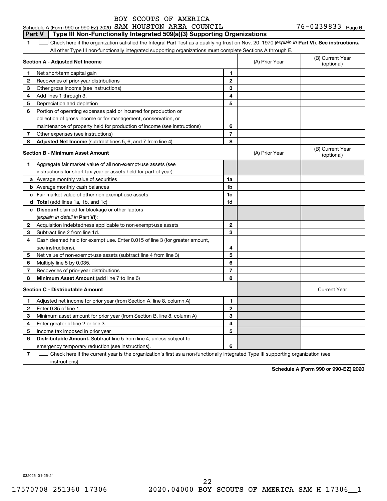#### Schedule A (Form 990 or 990-EZ) 2020 SAM HOUSTON AREA COUNCIL  $76-0239833$  Page **Part V Type III Non-Functionally Integrated 509(a)(3) Supporting Organizations**

1 **Letter See instructions.** Check here if the organization satisfied the Integral Part Test as a qualifying trust on Nov. 20, 1970 (*explain in* Part **VI**). See instructions. All other Type III non-functionally integrated supporting organizations must complete Sections A through E.

|    | Section A - Adjusted Net Income                                             |                | (A) Prior Year | (B) Current Year<br>(optional) |
|----|-----------------------------------------------------------------------------|----------------|----------------|--------------------------------|
| 1. | Net short-term capital gain                                                 | 1              |                |                                |
| 2  | Recoveries of prior-year distributions                                      | $\overline{2}$ |                |                                |
| З  | Other gross income (see instructions)                                       | 3              |                |                                |
| 4  | Add lines 1 through 3.                                                      | 4              |                |                                |
| 5  | Depreciation and depletion                                                  | 5              |                |                                |
| 6  | Portion of operating expenses paid or incurred for production or            |                |                |                                |
|    | collection of gross income or for management, conservation, or              |                |                |                                |
|    | maintenance of property held for production of income (see instructions)    | 6              |                |                                |
| 7  | Other expenses (see instructions)                                           | 7              |                |                                |
| 8  | Adjusted Net Income (subtract lines 5, 6, and 7 from line 4)                | 8              |                |                                |
|    | <b>Section B - Minimum Asset Amount</b>                                     |                | (A) Prior Year | (B) Current Year<br>(optional) |
| 1. | Aggregate fair market value of all non-exempt-use assets (see               |                |                |                                |
|    | instructions for short tax year or assets held for part of year):           |                |                |                                |
|    | <b>a</b> Average monthly value of securities                                | 1a             |                |                                |
|    | <b>b</b> Average monthly cash balances                                      | 1 <sub>b</sub> |                |                                |
|    | c Fair market value of other non-exempt-use assets                          | 1c             |                |                                |
|    | <b>d</b> Total (add lines 1a, 1b, and 1c)                                   | 1d             |                |                                |
|    | e Discount claimed for blockage or other factors                            |                |                |                                |
|    | (explain in detail in <b>Part VI</b> ):                                     |                |                |                                |
| 2  | Acquisition indebtedness applicable to non-exempt-use assets                | $\mathbf{2}$   |                |                                |
| З  | Subtract line 2 from line 1d.                                               | 3              |                |                                |
| 4  | Cash deemed held for exempt use. Enter 0.015 of line 3 (for greater amount, |                |                |                                |
|    | see instructions).                                                          | 4              |                |                                |
| 5  | Net value of non-exempt-use assets (subtract line 4 from line 3)            | 5              |                |                                |
| 6  | Multiply line 5 by 0.035.                                                   | 6              |                |                                |
| 7  | Recoveries of prior-year distributions                                      | 7              |                |                                |
| 8  | Minimum Asset Amount (add line 7 to line 6)                                 | 8              |                |                                |
|    | <b>Section C - Distributable Amount</b>                                     |                |                | <b>Current Year</b>            |
| 1  | Adjusted net income for prior year (from Section A, line 8, column A)       | 1              |                |                                |
| 2  | Enter 0.85 of line 1.                                                       | $\overline{2}$ |                |                                |
| 3  | Minimum asset amount for prior year (from Section B, line 8, column A)      | 3              |                |                                |
| 4  | Enter greater of line 2 or line 3.                                          | 4              |                |                                |
| 5  | Income tax imposed in prior year                                            | 5              |                |                                |
| 6  | Distributable Amount. Subtract line 5 from line 4, unless subject to        |                |                |                                |
|    | emergency temporary reduction (see instructions).                           | 6              |                |                                |
|    |                                                                             |                |                |                                |

**7** Check here if the current year is the organization's first as a non-functionally integrated Type III supporting organization (see † instructions).

**Schedule A (Form 990 or 990-EZ) 2020**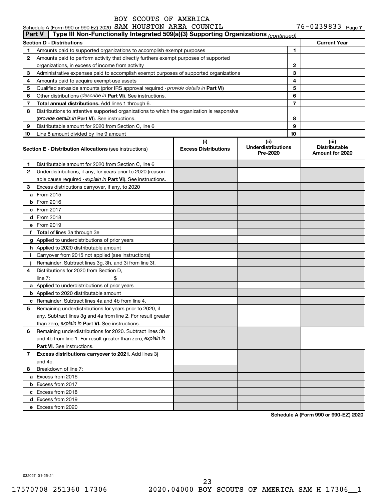# Schedule A (Form 990 or 990-EZ) 2020 SAM HOUSTON AREA COUNCIL  $76-0239833$  Page

|              | Type III Non-Functionally Integrated 509(a)(3) Supporting Organizations (continued)<br><b>Part V</b> |                                    |                                               |    |                                                  |  |  |  |  |
|--------------|------------------------------------------------------------------------------------------------------|------------------------------------|-----------------------------------------------|----|--------------------------------------------------|--|--|--|--|
|              | <b>Section D - Distributions</b>                                                                     |                                    |                                               |    | <b>Current Year</b>                              |  |  |  |  |
| 1            | Amounts paid to supported organizations to accomplish exempt purposes                                |                                    |                                               | 1  |                                                  |  |  |  |  |
| 2            | Amounts paid to perform activity that directly furthers exempt purposes of supported                 |                                    |                                               |    |                                                  |  |  |  |  |
|              | organizations, in excess of income from activity                                                     |                                    |                                               | 2  |                                                  |  |  |  |  |
| 3            | Administrative expenses paid to accomplish exempt purposes of supported organizations                |                                    | 3                                             |    |                                                  |  |  |  |  |
| 4            | Amounts paid to acquire exempt-use assets                                                            |                                    | 4                                             |    |                                                  |  |  |  |  |
| 5            | Qualified set-aside amounts (prior IRS approval required - provide details in Part VI)               |                                    |                                               | 5  |                                                  |  |  |  |  |
| 6            | Other distributions (describe in Part VI). See instructions.                                         |                                    |                                               | 6  |                                                  |  |  |  |  |
| 7            | Total annual distributions. Add lines 1 through 6.                                                   |                                    |                                               | 7  |                                                  |  |  |  |  |
| 8            | Distributions to attentive supported organizations to which the organization is responsive           |                                    |                                               |    |                                                  |  |  |  |  |
|              | (provide details in Part VI). See instructions.                                                      |                                    |                                               | 8  |                                                  |  |  |  |  |
| 9            | Distributable amount for 2020 from Section C, line 6                                                 |                                    |                                               | 9  |                                                  |  |  |  |  |
| 10           | Line 8 amount divided by line 9 amount                                                               |                                    |                                               | 10 |                                                  |  |  |  |  |
|              | <b>Section E - Distribution Allocations (see instructions)</b>                                       | (i)<br><b>Excess Distributions</b> | (ii)<br><b>Underdistributions</b><br>Pre-2020 |    | (iii)<br><b>Distributable</b><br>Amount for 2020 |  |  |  |  |
| 1.           | Distributable amount for 2020 from Section C, line 6                                                 |                                    |                                               |    |                                                  |  |  |  |  |
| $\mathbf{2}$ | Underdistributions, if any, for years prior to 2020 (reason-                                         |                                    |                                               |    |                                                  |  |  |  |  |
|              | able cause required - explain in Part VI). See instructions.                                         |                                    |                                               |    |                                                  |  |  |  |  |
| 3            | Excess distributions carryover, if any, to 2020                                                      |                                    |                                               |    |                                                  |  |  |  |  |
|              | <b>a</b> From 2015                                                                                   |                                    |                                               |    |                                                  |  |  |  |  |
| b            | From 2016                                                                                            |                                    |                                               |    |                                                  |  |  |  |  |
|              | c From 2017                                                                                          |                                    |                                               |    |                                                  |  |  |  |  |
|              | <b>d</b> From 2018                                                                                   |                                    |                                               |    |                                                  |  |  |  |  |
|              | e From 2019                                                                                          |                                    |                                               |    |                                                  |  |  |  |  |
|              | f Total of lines 3a through 3e                                                                       |                                    |                                               |    |                                                  |  |  |  |  |
|              | g Applied to underdistributions of prior years                                                       |                                    |                                               |    |                                                  |  |  |  |  |
|              | <b>h</b> Applied to 2020 distributable amount                                                        |                                    |                                               |    |                                                  |  |  |  |  |
| Ť.           | Carryover from 2015 not applied (see instructions)                                                   |                                    |                                               |    |                                                  |  |  |  |  |
|              | Remainder. Subtract lines 3g, 3h, and 3i from line 3f.                                               |                                    |                                               |    |                                                  |  |  |  |  |
| 4            | Distributions for 2020 from Section D,                                                               |                                    |                                               |    |                                                  |  |  |  |  |
|              | $line 7$ :                                                                                           |                                    |                                               |    |                                                  |  |  |  |  |
|              | a Applied to underdistributions of prior years                                                       |                                    |                                               |    |                                                  |  |  |  |  |
|              | <b>b</b> Applied to 2020 distributable amount                                                        |                                    |                                               |    |                                                  |  |  |  |  |
| c            | Remainder. Subtract lines 4a and 4b from line 4.                                                     |                                    |                                               |    |                                                  |  |  |  |  |
| 5            | Remaining underdistributions for years prior to 2020, if                                             |                                    |                                               |    |                                                  |  |  |  |  |
|              | any. Subtract lines 3g and 4a from line 2. For result greater                                        |                                    |                                               |    |                                                  |  |  |  |  |
|              | than zero, explain in Part VI. See instructions.                                                     |                                    |                                               |    |                                                  |  |  |  |  |
| 6            | Remaining underdistributions for 2020. Subtract lines 3h                                             |                                    |                                               |    |                                                  |  |  |  |  |
|              | and 4b from line 1. For result greater than zero, explain in                                         |                                    |                                               |    |                                                  |  |  |  |  |
|              | <b>Part VI.</b> See instructions.                                                                    |                                    |                                               |    |                                                  |  |  |  |  |
| $\mathbf{7}$ | Excess distributions carryover to 2021. Add lines 3j                                                 |                                    |                                               |    |                                                  |  |  |  |  |
|              | and 4c.                                                                                              |                                    |                                               |    |                                                  |  |  |  |  |
| 8            | Breakdown of line 7:                                                                                 |                                    |                                               |    |                                                  |  |  |  |  |
|              | a Excess from 2016                                                                                   |                                    |                                               |    |                                                  |  |  |  |  |
|              | <b>b</b> Excess from 2017                                                                            |                                    |                                               |    |                                                  |  |  |  |  |
|              | c Excess from 2018                                                                                   |                                    |                                               |    |                                                  |  |  |  |  |
|              | d Excess from 2019                                                                                   |                                    |                                               |    |                                                  |  |  |  |  |
|              | e Excess from 2020                                                                                   |                                    |                                               |    |                                                  |  |  |  |  |

**Schedule A (Form 990 or 990-EZ) 2020**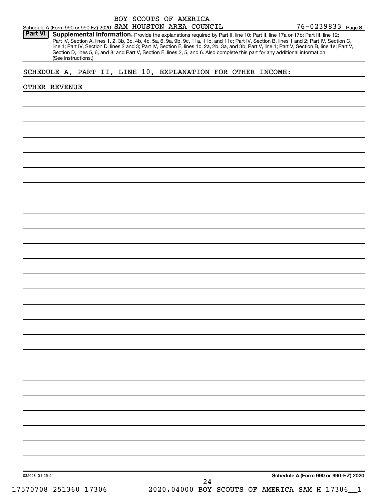Part VI | Supplemental Information. Provide the explanations required by Part II, line 10; Part II, line 17a or 17b; Part III, line 12; Part IV, Section A, lines 1, 2, 3b, 3c, 4b, 4c, 5a, 6, 9a, 9b, 9c, 11a, 11b, and 11c; Part IV, Section B, lines 1 and 2; Part IV, Section C, line 1; Part IV, Section D, lines 2 and 3; Part IV, Section E, lines 1c, 2a, 2b, 3a, and 3b; Part V, line 1; Part V, Section B, line 1e; Part V, Section D, lines 5, 6, and 8; and Part V, Section E, lines 2, 5, and 6. Also complete this part for any additional information. (See instructions.)

### SCHEDULE A, PART II, LINE 10, EXPLANATION FOR OTHER INCOME:

#### OTHER REVENUE

**Schedule A (Form 990 or 990-EZ) 2020**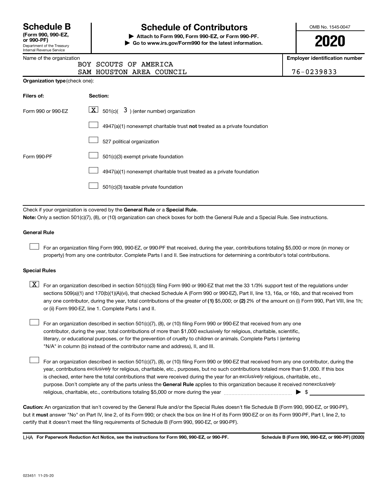| <b>Schedule B</b>                 |  |
|-----------------------------------|--|
| $T_{\text{max}}$ and and $\Gamma$ |  |

Department of the Treasury Internal Revenue Service **(Form 990, 990-EZ,**

# **Schedule of Contributors**

**or 990-PF) | Attach to Form 990, Form 990-EZ, or Form 990-PF. | Go to www.irs.gov/Form990 for the latest information.** OMB No. 1545-0047

**2020**

**Employer identification number**

| Name of the organization |
|--------------------------|
|--------------------------|

**Organization type** (check one):

| ,,, | BOY SCOUTS OF AMERICA    |  |  |
|-----|--------------------------|--|--|
|     | SAM HOUSTON AREA COUNCIL |  |  |

76-0239833

| Filers of:         | Section:                                                                  |
|--------------------|---------------------------------------------------------------------------|
| Form 990 or 990-EZ | $\boxed{\textbf{X}}$ 501(c)( 3) (enter number) organization               |
|                    | 4947(a)(1) nonexempt charitable trust not treated as a private foundation |
|                    | 527 political organization                                                |
| Form 990-PF        | 501(c)(3) exempt private foundation                                       |
|                    | 4947(a)(1) nonexempt charitable trust treated as a private foundation     |
|                    | 501(c)(3) taxable private foundation                                      |

Check if your organization is covered by the General Rule or a Special Rule.

**Note:**  Only a section 501(c)(7), (8), or (10) organization can check boxes for both the General Rule and a Special Rule. See instructions.

#### **General Rule**

 $\Box$ 

 $\Box$ 

For an organization filing Form 990, 990-EZ, or 990-PF that received, during the year, contributions totaling \$5,000 or more (in money or property) from any one contributor. Complete Parts I and II. See instructions for determining a contributor's total contributions.

#### **Special Rules**

- any one contributor, during the year, total contributions of the greater of (1) \$5,000; or (2) 2% of the amount on (i) Form 990, Part VIII, line 1h;  $\boxed{\text{X}}$  For an organization described in section 501(c)(3) filing Form 990 or 990-EZ that met the 33 1/3% support test of the regulations under sections 509(a)(1) and 170(b)(1)(A)(vi), that checked Schedule A (Form 990 or 990-EZ), Part II, line 13, 16a, or 16b, and that received from or (ii) Form 990-EZ, line 1. Complete Parts I and II.
- For an organization described in section 501(c)(7), (8), or (10) filing Form 990 or 990-EZ that received from any one contributor, during the year, total contributions of more than \$1,000 exclusively for religious, charitable, scientific, literary, or educational purposes, or for the prevention of cruelty to children or animals. Complete Parts I (entering "N/A" in column (b) instead of the contributor name and address), II, and III.  $\Box$

purpose. Don't complete any of the parts unless the General Rule applies to this organization because it received nonexclusively year, contributions exclusively for religious, charitable, etc., purposes, but no such contributions totaled more than \$1,000. If this box is checked, enter here the total contributions that were received during the year for an exclusively religious, charitable, etc., For an organization described in section 501(c)(7), (8), or (10) filing Form 990 or 990-EZ that received from any one contributor, during the religious, charitable, etc., contributions totaling \$5,000 or more during the year  $\ldots$  $\ldots$  $\ldots$  $\ldots$  $\ldots$  $\ldots$ 

**Caution:**  An organization that isn't covered by the General Rule and/or the Special Rules doesn't file Schedule B (Form 990, 990-EZ, or 990-PF),  **must** but it answer "No" on Part IV, line 2, of its Form 990; or check the box on line H of its Form 990-EZ or on its Form 990-PF, Part I, line 2, to certify that it doesn't meet the filing requirements of Schedule B (Form 990, 990-EZ, or 990-PF).

**For Paperwork Reduction Act Notice, see the instructions for Form 990, 990-EZ, or 990-PF. Schedule B (Form 990, 990-EZ, or 990-PF) (2020)** LHA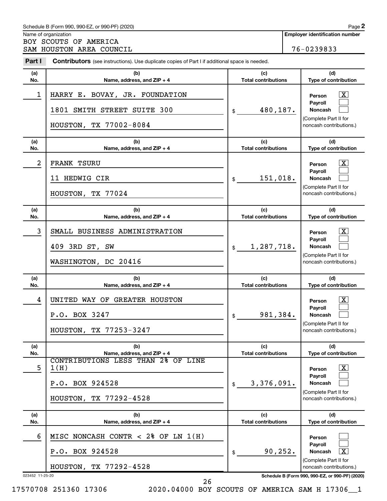|                 | Schedule B (Form 990, 990-EZ, or 990-PF) (2020)                                                       |                                       | Page 2                                                                                                      |  |  |
|-----------------|-------------------------------------------------------------------------------------------------------|---------------------------------------|-------------------------------------------------------------------------------------------------------------|--|--|
|                 | Name of organization<br>BOY SCOUTS OF AMERICA                                                         | <b>Employer identification number</b> |                                                                                                             |  |  |
|                 | SAM HOUSTON AREA COUNCIL                                                                              |                                       | 76-0239833                                                                                                  |  |  |
| Part I          | <b>Contributors</b> (see instructions). Use duplicate copies of Part I if additional space is needed. |                                       |                                                                                                             |  |  |
| (a)<br>No.      | (b)<br>Name, address, and ZIP + 4                                                                     | (c)<br><b>Total contributions</b>     | (d)<br>Type of contribution                                                                                 |  |  |
| 1               | HARRY E. BOVAY, JR. FOUNDATION<br>1801 SMITH STREET SUITE 300<br>HOUSTON, TX 77002-8084               | 480,187.<br>\$                        | x<br>Person<br>Payroll<br>Noncash<br>(Complete Part II for<br>noncash contributions.)                       |  |  |
| (a)<br>No.      | (b)<br>Name, address, and ZIP + 4                                                                     | (c)<br><b>Total contributions</b>     | (d)<br>Type of contribution                                                                                 |  |  |
| 2               | <b>FRANK TSURU</b>                                                                                    |                                       | x<br>Person<br><b>Payroll</b>                                                                               |  |  |
|                 | 11 HEDWIG CIR<br>HOUSTON, TX 77024                                                                    | 151,018.<br>\$                        | Noncash<br>(Complete Part II for<br>noncash contributions.)                                                 |  |  |
| (a)<br>No.      | (b)<br>Name, address, and ZIP + 4                                                                     | (c)<br><b>Total contributions</b>     | (d)<br>Type of contribution                                                                                 |  |  |
| 3               | SMALL BUSINESS ADMINISTRATION<br>409 3RD ST, SW<br>WASHINGTON, DC 20416                               | 1,287,718.<br>\$                      | x<br>Person<br><b>Payroll</b><br>Noncash<br>(Complete Part II for<br>noncash contributions.)                |  |  |
| (a)<br>No.      | (b)<br>Name, address, and ZIP + 4                                                                     | (c)<br><b>Total contributions</b>     | (d)<br><b>Type of contribution</b>                                                                          |  |  |
| 4               | UNITED WAY OF GREATER HOUSTON<br>P.O. BOX 3247<br>HOUSTON, TX 77253-3247                              | 981,384.<br>\$                        | <u>x</u><br>Person<br>Payroll<br>Noncash<br>(Complete Part II for<br>noncash contributions.)                |  |  |
| (a)<br>No.      | (b)<br>Name, address, and ZIP + 4                                                                     | (c)<br><b>Total contributions</b>     | (d)<br>Type of contribution                                                                                 |  |  |
| 5               | CONTRIBUTIONS LESS THAN 2% OF LINE<br>1(H)<br>P.O. BOX 924528<br>HOUSTON, TX 77292-4528               | 3,376,091.<br>\$                      | $\overline{\mathbf{X}}$<br>Person<br>Payroll<br>Noncash<br>(Complete Part II for<br>noncash contributions.) |  |  |
| (a)<br>No.      | (b)<br>Name, address, and ZIP + 4                                                                     | (c)<br><b>Total contributions</b>     | (d)<br>Type of contribution                                                                                 |  |  |
| 6               | MISC NONCASH CONTR < 2% OF LN $1(H)$                                                                  |                                       | Person                                                                                                      |  |  |
|                 | P.O. BOX 924528                                                                                       | 90, 252.<br>\$                        | Payroll<br>$\overline{\mathbf{X}}$<br>Noncash                                                               |  |  |
|                 | HOUSTON, TX 77292-4528                                                                                |                                       | (Complete Part II for<br>noncash contributions.)                                                            |  |  |
| 023452 11-25-20 |                                                                                                       |                                       | Schedule B (Form 990, 990-EZ, or 990-PF) (2020)                                                             |  |  |

17570708 251360 17306 2020.04000 BOY SCOUTS OF AMERICA SAM H 17306\_\_1

26

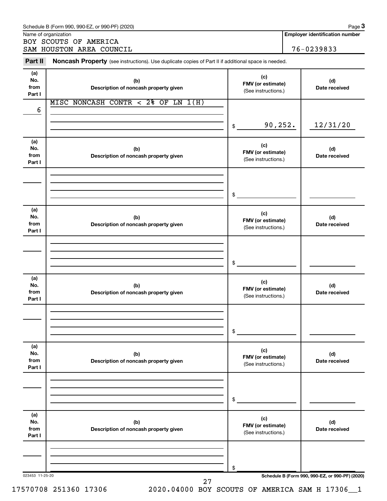|                              | SAM HOUSTON AREA COUNCIL                                                                            |                                                 | 76-0239833 |                      |
|------------------------------|-----------------------------------------------------------------------------------------------------|-------------------------------------------------|------------|----------------------|
| Part II                      | Noncash Property (see instructions). Use duplicate copies of Part II if additional space is needed. |                                                 |            |                      |
| (a)<br>No.<br>from           | (b)<br>Description of noncash property given                                                        | (c)<br>FMV (or estimate)<br>(See instructions.) |            | (d)<br>Date received |
| Part I                       | MISC NONCASH CONTR < 2% OF LN $1(H)$                                                                |                                                 |            |                      |
| 6                            |                                                                                                     | \$                                              | 90,252.    | 12/31/20             |
|                              |                                                                                                     |                                                 |            |                      |
| (a)<br>No.<br>from<br>Part I | (b)<br>Description of noncash property given                                                        | (c)<br>FMV (or estimate)<br>(See instructions.) |            | (d)<br>Date received |
|                              |                                                                                                     |                                                 |            |                      |
|                              |                                                                                                     | \$                                              |            |                      |
| (a)<br>No.<br>from<br>Part I | (b)<br>Description of noncash property given                                                        | (c)<br>FMV (or estimate)<br>(See instructions.) |            | (d)<br>Date received |
|                              |                                                                                                     |                                                 |            |                      |
|                              |                                                                                                     | \$                                              |            |                      |
| (a)<br>No.<br>from<br>Part I | (b)<br>Description of noncash property given                                                        | (c)<br>FMV (or estimate)<br>(See instructions.) |            | (d)<br>Date received |
|                              |                                                                                                     |                                                 |            |                      |
|                              |                                                                                                     | \$                                              |            |                      |
| (a)<br>No.<br>from<br>Part I | (b)<br>Description of noncash property given                                                        | (c)<br>FMV (or estimate)<br>(See instructions.) |            | (d)<br>Date received |
|                              |                                                                                                     |                                                 |            |                      |
|                              |                                                                                                     | \$                                              |            |                      |
| (a)<br>No.<br>from<br>Part I | (b)<br>Description of noncash property given                                                        | (c)<br>FMV (or estimate)<br>(See instructions.) |            | (d)<br>Date received |
|                              |                                                                                                     |                                                 |            |                      |
|                              |                                                                                                     | \$                                              |            |                      |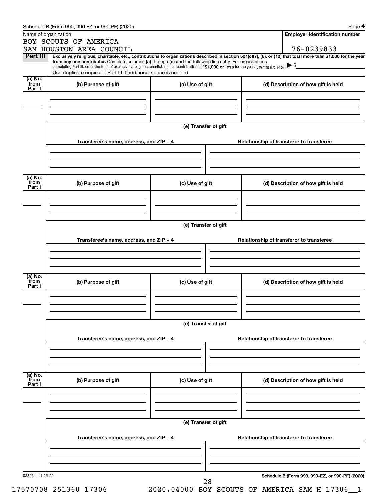| Name of organization      | BOY SCOUTS OF AMERICA<br>SAM HOUSTON AREA COUNCIL                                                                                                                                                                                                                                                                                                                                                                                                                                                           |                      |  | <b>Employer identification number</b><br>76-0239833 |
|---------------------------|-------------------------------------------------------------------------------------------------------------------------------------------------------------------------------------------------------------------------------------------------------------------------------------------------------------------------------------------------------------------------------------------------------------------------------------------------------------------------------------------------------------|----------------------|--|-----------------------------------------------------|
| Part III                  | Exclusively religious, charitable, etc., contributions to organizations described in section 501(c)(7), (8), or (10) that total more than \$1,000 for the year<br>from any one contributor. Complete columns (a) through (e) and the following line entry. For organizations<br>completing Part III, enter the total of exclusively religious, charitable, etc., contributions of \$1,000 or less for the year. (Enter this info. once.)<br>Use duplicate copies of Part III if additional space is needed. |                      |  |                                                     |
| (a) No.<br>from<br>Part I | (b) Purpose of gift                                                                                                                                                                                                                                                                                                                                                                                                                                                                                         | (c) Use of gift      |  | (d) Description of how gift is held                 |
|                           | Transferee's name, address, and ZIP + 4                                                                                                                                                                                                                                                                                                                                                                                                                                                                     | (e) Transfer of gift |  | Relationship of transferor to transferee            |
|                           |                                                                                                                                                                                                                                                                                                                                                                                                                                                                                                             |                      |  |                                                     |
| (a) No.<br>from<br>Part I | (b) Purpose of gift                                                                                                                                                                                                                                                                                                                                                                                                                                                                                         | (c) Use of gift      |  | (d) Description of how gift is held                 |
|                           | Transferee's name, address, and ZIP + 4                                                                                                                                                                                                                                                                                                                                                                                                                                                                     | (e) Transfer of gift |  | Relationship of transferor to transferee            |
|                           |                                                                                                                                                                                                                                                                                                                                                                                                                                                                                                             |                      |  |                                                     |
| (a) No.<br>from<br>Part I | (b) Purpose of gift                                                                                                                                                                                                                                                                                                                                                                                                                                                                                         | (c) Use of gift      |  | (d) Description of how gift is held                 |
|                           |                                                                                                                                                                                                                                                                                                                                                                                                                                                                                                             | (e) Transfer of gift |  |                                                     |
|                           | Transferee's name, address, and ZIP + 4                                                                                                                                                                                                                                                                                                                                                                                                                                                                     |                      |  | Relationship of transferor to transferee            |
| (a) No.<br>from<br>Part I | (b) Purpose of gift                                                                                                                                                                                                                                                                                                                                                                                                                                                                                         | (c) Use of gift      |  | (d) Description of how gift is held                 |
|                           |                                                                                                                                                                                                                                                                                                                                                                                                                                                                                                             | (e) Transfer of gift |  |                                                     |
|                           | Transferee's name, address, and ZIP + 4                                                                                                                                                                                                                                                                                                                                                                                                                                                                     |                      |  | Relationship of transferor to transferee            |
| 023454 11-25-20           |                                                                                                                                                                                                                                                                                                                                                                                                                                                                                                             | 28                   |  | Schedule B (Form 990, 990-EZ, or 990-PF) (2020)     |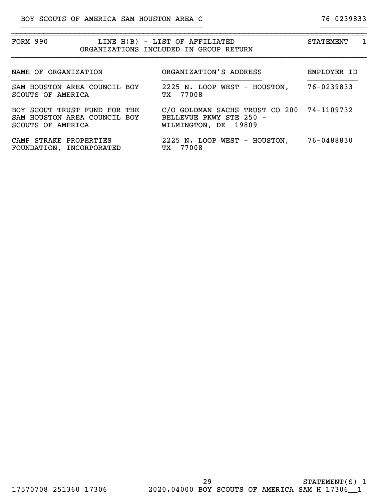| FORM 990                                                                          | LINE H(B) - LIST OF AFFILIATED<br>ORGANIZATIONS INCLUDED IN GROUP RETURN                     | 1<br><b>STATEMENT</b> |
|-----------------------------------------------------------------------------------|----------------------------------------------------------------------------------------------|-----------------------|
| NAME OF ORGANIZATION                                                              | ORGANIZATION'S ADDRESS                                                                       | EMPLOYER ID           |
| SAM HOUSTON AREA COUNCIL BOY<br>SCOUTS OF AMERICA                                 | 2225 N. LOOP WEST - HOUSTON,<br>TX 77008                                                     | 76-0239833            |
| BOY SCOUT TRUST FUND FOR THE<br>SAM HOUSTON AREA COUNCIL BOY<br>SCOUTS OF AMERICA | C/O GOLDMAN SACHS TRUST CO 200 74-1109732<br>BELLEVUE PKWY STE 250 -<br>WILMINGTON, DE 19809 |                       |
| CAMP STRAKE PROPERTIES<br>FOUNDATION, INCORPORATED                                | 2225 N. LOOP WEST - HOUSTON,<br>77008<br>TХ                                                  | 76-0488830            |

}}}}}}}}}}}}}}}}}}}}}}}}}}}}}}}}}}}}}}}} }}}}}}}}}}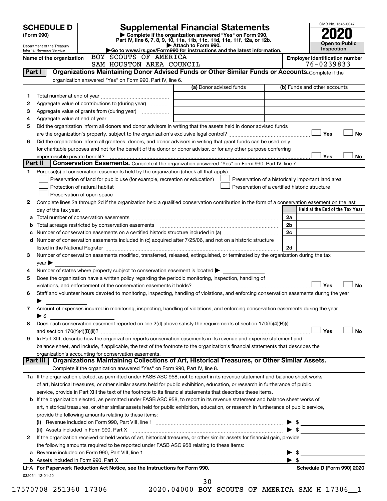|         | <b>SCHEDULE D</b><br>(Form 990)<br>Department of the Treasury |  | Part IV, line 6, 7, 8, 9, 10, 11a, 11b, 11c, 11d, 11e, 11f, 12a, or 12b.<br>Go to www.irs.gov/Form990 for instructions and the latest information.                                                                            | <b>Supplemental Financial Statements</b><br>Complete if the organization answered "Yes" on Form 990,<br>Attach to Form 990. |                                                |                | <b>Open to Public</b><br>Inspection                |
|---------|---------------------------------------------------------------|--|-------------------------------------------------------------------------------------------------------------------------------------------------------------------------------------------------------------------------------|-----------------------------------------------------------------------------------------------------------------------------|------------------------------------------------|----------------|----------------------------------------------------|
|         | Internal Revenue Service<br>Name of the organization          |  | BOY SCOUTS OF AMERICA                                                                                                                                                                                                         |                                                                                                                             |                                                |                | <b>Employer identification number</b>              |
|         |                                                               |  | SAM HOUSTON AREA COUNCIL                                                                                                                                                                                                      |                                                                                                                             |                                                |                | 76-0239833                                         |
| Part I  |                                                               |  | Organizations Maintaining Donor Advised Funds or Other Similar Funds or Accounts. Complete if the                                                                                                                             |                                                                                                                             |                                                |                |                                                    |
|         |                                                               |  | organization answered "Yes" on Form 990, Part IV, line 6.                                                                                                                                                                     |                                                                                                                             |                                                |                |                                                    |
|         |                                                               |  |                                                                                                                                                                                                                               |                                                                                                                             | (a) Donor advised funds                        |                | (b) Funds and other accounts                       |
| 1       |                                                               |  |                                                                                                                                                                                                                               |                                                                                                                             |                                                |                |                                                    |
| 2       |                                                               |  | Aggregate value of contributions to (during year)                                                                                                                                                                             |                                                                                                                             |                                                |                |                                                    |
| З       |                                                               |  |                                                                                                                                                                                                                               |                                                                                                                             |                                                |                |                                                    |
| 4       |                                                               |  |                                                                                                                                                                                                                               |                                                                                                                             |                                                |                |                                                    |
| 5       |                                                               |  | Did the organization inform all donors and donor advisors in writing that the assets held in donor advised funds                                                                                                              |                                                                                                                             |                                                |                |                                                    |
|         |                                                               |  |                                                                                                                                                                                                                               |                                                                                                                             |                                                |                | Yes                                                |
| 6       |                                                               |  | Did the organization inform all grantees, donors, and donor advisors in writing that grant funds can be used only                                                                                                             |                                                                                                                             |                                                |                |                                                    |
|         |                                                               |  | for charitable purposes and not for the benefit of the donor or donor advisor, or for any other purpose conferring                                                                                                            |                                                                                                                             |                                                |                |                                                    |
| Part II |                                                               |  |                                                                                                                                                                                                                               |                                                                                                                             |                                                |                | Yes                                                |
|         |                                                               |  | Conservation Easements. Complete if the organization answered "Yes" on Form 990, Part IV, line 7.<br>Purpose(s) of conservation easements held by the organization (check all that apply).                                    |                                                                                                                             |                                                |                |                                                    |
| 1.      |                                                               |  | Preservation of land for public use (for example, recreation or education)                                                                                                                                                    |                                                                                                                             |                                                |                | Preservation of a historically important land area |
|         | Protection of natural habitat                                 |  |                                                                                                                                                                                                                               |                                                                                                                             | Preservation of a certified historic structure |                |                                                    |
|         | Preservation of open space                                    |  |                                                                                                                                                                                                                               |                                                                                                                             |                                                |                |                                                    |
| 2       |                                                               |  | Complete lines 2a through 2d if the organization held a qualified conservation contribution in the form of a conservation easement on the last                                                                                |                                                                                                                             |                                                |                |                                                    |
|         | day of the tax year.                                          |  |                                                                                                                                                                                                                               |                                                                                                                             |                                                |                | Held at the End of the Tax Year                    |
| а       |                                                               |  |                                                                                                                                                                                                                               |                                                                                                                             |                                                | 2a             |                                                    |
| b       |                                                               |  |                                                                                                                                                                                                                               |                                                                                                                             |                                                | 2 <sub>b</sub> |                                                    |
| с       |                                                               |  |                                                                                                                                                                                                                               |                                                                                                                             |                                                | 2c             |                                                    |
|         |                                                               |  | d Number of conservation easements included in (c) acquired after 7/25/06, and not on a historic structure                                                                                                                    |                                                                                                                             |                                                |                |                                                    |
|         |                                                               |  |                                                                                                                                                                                                                               |                                                                                                                             |                                                | 2d             |                                                    |
| 3       |                                                               |  | Number of conservation easements modified, transferred, released, extinguished, or terminated by the organization during the tax                                                                                              |                                                                                                                             |                                                |                |                                                    |
|         | year                                                          |  |                                                                                                                                                                                                                               |                                                                                                                             |                                                |                |                                                    |
| 4       |                                                               |  | Number of states where property subject to conservation easement is located $\blacktriangleright$                                                                                                                             |                                                                                                                             |                                                |                |                                                    |
| 5       |                                                               |  | Does the organization have a written policy regarding the periodic monitoring, inspection, handling of                                                                                                                        |                                                                                                                             |                                                |                |                                                    |
|         |                                                               |  |                                                                                                                                                                                                                               |                                                                                                                             |                                                |                | Yes                                                |
| 6       |                                                               |  | Staff and volunteer hours devoted to monitoring, inspecting, handling of violations, and enforcing conservation easements during the year                                                                                     |                                                                                                                             |                                                |                |                                                    |
|         |                                                               |  |                                                                                                                                                                                                                               |                                                                                                                             |                                                |                |                                                    |
| 7       |                                                               |  | Amount of expenses incurred in monitoring, inspecting, handling of violations, and enforcing conservation easements during the year                                                                                           |                                                                                                                             |                                                |                |                                                    |
|         | $\blacktriangleright$ \$                                      |  |                                                                                                                                                                                                                               |                                                                                                                             |                                                |                |                                                    |
| 8       |                                                               |  | Does each conservation easement reported on line 2(d) above satisfy the requirements of section 170(h)(4)(B)(i)                                                                                                               |                                                                                                                             |                                                |                |                                                    |
|         |                                                               |  | In Part XIII, describe how the organization reports conservation easements in its revenue and expense statement and                                                                                                           |                                                                                                                             |                                                |                | Yes                                                |
| 9       |                                                               |  |                                                                                                                                                                                                                               |                                                                                                                             |                                                |                |                                                    |
|         |                                                               |  | balance sheet, and include, if applicable, the text of the footnote to the organization's financial statements that describes the<br>organization's accounting for conservation easements.                                    |                                                                                                                             |                                                |                |                                                    |
|         | Part III                                                      |  | Organizations Maintaining Collections of Art, Historical Treasures, or Other Similar Assets.                                                                                                                                  |                                                                                                                             |                                                |                |                                                    |
|         |                                                               |  | Complete if the organization answered "Yes" on Form 990, Part IV, line 8.                                                                                                                                                     |                                                                                                                             |                                                |                |                                                    |
|         |                                                               |  | 1a If the organization elected, as permitted under FASB ASC 958, not to report in its revenue statement and balance sheet works                                                                                               |                                                                                                                             |                                                |                |                                                    |
|         |                                                               |  | of art, historical treasures, or other similar assets held for public exhibition, education, or research in furtherance of public                                                                                             |                                                                                                                             |                                                |                |                                                    |
|         |                                                               |  | service, provide in Part XIII the text of the footnote to its financial statements that describes these items.                                                                                                                |                                                                                                                             |                                                |                |                                                    |
|         |                                                               |  | b If the organization elected, as permitted under FASB ASC 958, to report in its revenue statement and balance sheet works of                                                                                                 |                                                                                                                             |                                                |                |                                                    |
|         |                                                               |  | art, historical treasures, or other similar assets held for public exhibition, education, or research in furtherance of public service,                                                                                       |                                                                                                                             |                                                |                |                                                    |
|         |                                                               |  | provide the following amounts relating to these items:                                                                                                                                                                        |                                                                                                                             |                                                |                |                                                    |
|         |                                                               |  |                                                                                                                                                                                                                               |                                                                                                                             |                                                |                |                                                    |
|         |                                                               |  | (ii) Assets included in Form 990, Part X [11] manual content in the content of the set of the set of the set of the set of the set of the set of the set of the set of the set of the set of the set of the set of the set of |                                                                                                                             |                                                |                | $\blacktriangleright$ \$                           |
| 2       |                                                               |  | If the organization received or held works of art, historical treasures, or other similar assets for financial gain, provide                                                                                                  |                                                                                                                             |                                                |                |                                                    |
|         |                                                               |  | the following amounts required to be reported under FASB ASC 958 relating to these items:                                                                                                                                     |                                                                                                                             |                                                |                |                                                    |
|         |                                                               |  |                                                                                                                                                                                                                               |                                                                                                                             |                                                |                | $\blacktriangleright$ \$                           |
|         |                                                               |  |                                                                                                                                                                                                                               |                                                                                                                             |                                                | - \$           |                                                    |
|         |                                                               |  | LHA For Paperwork Reduction Act Notice, see the Instructions for Form 990.                                                                                                                                                    |                                                                                                                             |                                                |                | Schedule D (Form 990) 2020                         |
|         | 032051 12-01-20                                               |  |                                                                                                                                                                                                                               |                                                                                                                             |                                                |                |                                                    |
|         |                                                               |  |                                                                                                                                                                                                                               | 30                                                                                                                          |                                                |                |                                                    |
|         | 17570708 251360 17306                                         |  |                                                                                                                                                                                                                               | 2020.04000 BOY SCOUTS OF AMERICA SAM H 17306_1                                                                              |                                                |                |                                                    |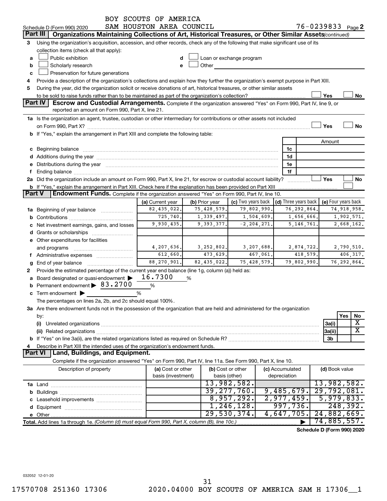|               |                                                                                                                                                                                                                                      | BOY SCOUTS OF AMERICA    |                |                                                                                                                                                                                                                                |          |                      |          |                            |     |                       |
|---------------|--------------------------------------------------------------------------------------------------------------------------------------------------------------------------------------------------------------------------------------|--------------------------|----------------|--------------------------------------------------------------------------------------------------------------------------------------------------------------------------------------------------------------------------------|----------|----------------------|----------|----------------------------|-----|-----------------------|
|               | Schedule D (Form 990) 2020                                                                                                                                                                                                           | SAM HOUSTON AREA COUNCIL |                |                                                                                                                                                                                                                                |          |                      |          | 76-0239833 Page 2          |     |                       |
|               | Part III<br>Organizations Maintaining Collections of Art, Historical Treasures, or Other Similar Assets (continued)                                                                                                                  |                          |                |                                                                                                                                                                                                                                |          |                      |          |                            |     |                       |
| 3             | Using the organization's acquisition, accession, and other records, check any of the following that make significant use of its                                                                                                      |                          |                |                                                                                                                                                                                                                                |          |                      |          |                            |     |                       |
|               | collection items (check all that apply):                                                                                                                                                                                             |                          |                |                                                                                                                                                                                                                                |          |                      |          |                            |     |                       |
| a             | Public exhibition                                                                                                                                                                                                                    | d                        |                | Loan or exchange program                                                                                                                                                                                                       |          |                      |          |                            |     |                       |
| b             | Scholarly research                                                                                                                                                                                                                   | e                        |                | Other and the control of the control of the control of the control of the control of the control of the control of the control of the control of the control of the control of the control of the control of the control of th |          |                      |          |                            |     |                       |
| c             | Preservation for future generations                                                                                                                                                                                                  |                          |                |                                                                                                                                                                                                                                |          |                      |          |                            |     |                       |
| 4             | Provide a description of the organization's collections and explain how they further the organization's exempt purpose in Part XIII.                                                                                                 |                          |                |                                                                                                                                                                                                                                |          |                      |          |                            |     |                       |
| 5             | During the year, did the organization solicit or receive donations of art, historical treasures, or other similar assets                                                                                                             |                          |                |                                                                                                                                                                                                                                |          |                      |          |                            |     |                       |
|               |                                                                                                                                                                                                                                      |                          |                |                                                                                                                                                                                                                                |          |                      |          | Yes                        |     | No                    |
|               | <b>Part IV</b><br>Escrow and Custodial Arrangements. Complete if the organization answered "Yes" on Form 990, Part IV, line 9, or                                                                                                    |                          |                |                                                                                                                                                                                                                                |          |                      |          |                            |     |                       |
|               | reported an amount on Form 990, Part X, line 21.                                                                                                                                                                                     |                          |                |                                                                                                                                                                                                                                |          |                      |          |                            |     |                       |
|               | 1a Is the organization an agent, trustee, custodian or other intermediary for contributions or other assets not included                                                                                                             |                          |                |                                                                                                                                                                                                                                |          |                      |          |                            |     |                       |
|               |                                                                                                                                                                                                                                      |                          |                |                                                                                                                                                                                                                                |          |                      |          | Yes                        |     | <b>No</b>             |
|               | b If "Yes," explain the arrangement in Part XIII and complete the following table:                                                                                                                                                   |                          |                |                                                                                                                                                                                                                                |          |                      |          |                            |     |                       |
|               |                                                                                                                                                                                                                                      |                          |                |                                                                                                                                                                                                                                |          |                      |          | Amount                     |     |                       |
|               | c Beginning balance <b>contract to the contract of the contract of the contract of the contract of the contract of the contract of the contract of the contract of the contract of the contract of the contract of the contract </b> |                          |                |                                                                                                                                                                                                                                |          | 1c                   |          |                            |     |                       |
|               | d Additions during the year manufactured and an account of the year manufactured and account of the year manufactured and account of the year manufactured and account of the year manufactured and account of the year manufa       |                          |                |                                                                                                                                                                                                                                |          | 1d                   |          |                            |     |                       |
|               | e Distributions during the year manufactured and an account of the year manufactured and account of the year manufactured and account of the state of the state of the state of the state of the state of the state of the sta       |                          |                |                                                                                                                                                                                                                                |          | 1e                   |          |                            |     |                       |
| f             |                                                                                                                                                                                                                                      |                          |                |                                                                                                                                                                                                                                |          | 1f                   |          |                            |     |                       |
|               | 2a Did the organization include an amount on Form 990, Part X, line 21, for escrow or custodial account liability?                                                                                                                   |                          |                |                                                                                                                                                                                                                                |          | .                    |          | Yes                        |     | No                    |
|               | b If "Yes," explain the arrangement in Part XIII. Check here if the explanation has been provided on Part XIII                                                                                                                       |                          |                |                                                                                                                                                                                                                                |          |                      |          |                            |     |                       |
| <b>Part V</b> | Endowment Funds. Complete if the organization answered "Yes" on Form 990, Part IV, line 10.                                                                                                                                          |                          |                |                                                                                                                                                                                                                                |          |                      |          |                            |     |                       |
|               |                                                                                                                                                                                                                                      | (a) Current year         | (b) Prior year | (c) Two years back                                                                                                                                                                                                             |          | (d) Three years back |          | (e) Four years back        |     |                       |
|               | <b>1a</b> Beginning of year balance                                                                                                                                                                                                  | 82,435,022.              | 75,428,579.    | 79,802,990.                                                                                                                                                                                                                    |          | 76,292,864.          |          |                            |     | 74,918,958.           |
|               |                                                                                                                                                                                                                                      | 725, 740.                | 1,339,497.     | 1,504,609.                                                                                                                                                                                                                     |          | 1,656,666.           |          |                            |     | 1,902,571.            |
|               | c Net investment earnings, gains, and losses                                                                                                                                                                                         | 9,930,435.               | 9,393,377.     | $-2, 204, 271.$                                                                                                                                                                                                                |          | 5,146,761.           |          |                            |     | 2,668,162.            |
|               |                                                                                                                                                                                                                                      |                          |                |                                                                                                                                                                                                                                |          |                      |          |                            |     |                       |
|               | e Other expenditures for facilities                                                                                                                                                                                                  |                          |                |                                                                                                                                                                                                                                |          |                      |          |                            |     |                       |
|               | and programs                                                                                                                                                                                                                         | 4,207,636.               | 3,252,802.     | 3,207,688.                                                                                                                                                                                                                     |          | 2,874,722.           |          |                            |     | 2,790,510.            |
|               | f Administrative expenses                                                                                                                                                                                                            | 612,660.                 | 473,629.       |                                                                                                                                                                                                                                | 467,061. |                      | 418,579. |                            |     | 406, 317.             |
| g             |                                                                                                                                                                                                                                      | 88, 270, 901.            | 82,435,022.    | 75,428,579.                                                                                                                                                                                                                    |          | 79,802,990.          |          |                            |     | 76,292,864.           |
| 2             | Provide the estimated percentage of the current year end balance (line 1g, column (a)) held as:                                                                                                                                      |                          |                |                                                                                                                                                                                                                                |          |                      |          |                            |     |                       |
|               | a Board designated or quasi-endowment                                                                                                                                                                                                | 16.7300                  | %              |                                                                                                                                                                                                                                |          |                      |          |                            |     |                       |
|               | Permanent endowment > 83.2700                                                                                                                                                                                                        | %                        |                |                                                                                                                                                                                                                                |          |                      |          |                            |     |                       |
|               | c Term endowment $\blacktriangleright$                                                                                                                                                                                               | %                        |                |                                                                                                                                                                                                                                |          |                      |          |                            |     |                       |
|               | The percentages on lines 2a, 2b, and 2c should equal 100%.                                                                                                                                                                           |                          |                |                                                                                                                                                                                                                                |          |                      |          |                            |     |                       |
|               | 3a Are there endowment funds not in the possession of the organization that are held and administered for the organization                                                                                                           |                          |                |                                                                                                                                                                                                                                |          |                      |          |                            |     |                       |
|               | by:                                                                                                                                                                                                                                  |                          |                |                                                                                                                                                                                                                                |          |                      |          |                            | Yes | No                    |
|               | (i)                                                                                                                                                                                                                                  |                          |                |                                                                                                                                                                                                                                |          |                      |          | 3a(i)                      |     | х                     |
|               |                                                                                                                                                                                                                                      |                          |                |                                                                                                                                                                                                                                |          |                      |          | 3a(ii)                     |     | $\overline{\text{X}}$ |
|               |                                                                                                                                                                                                                                      |                          |                |                                                                                                                                                                                                                                |          |                      |          | 3b                         |     |                       |
| 4             | Describe in Part XIII the intended uses of the organization's endowment funds.                                                                                                                                                       |                          |                |                                                                                                                                                                                                                                |          |                      |          |                            |     |                       |
|               | <b>Part VI</b><br>Land, Buildings, and Equipment.                                                                                                                                                                                    |                          |                |                                                                                                                                                                                                                                |          |                      |          |                            |     |                       |
|               | Complete if the organization answered "Yes" on Form 990, Part IV, line 11a. See Form 990, Part X, line 10.                                                                                                                           |                          |                |                                                                                                                                                                                                                                |          |                      |          |                            |     |                       |
|               | Description of property                                                                                                                                                                                                              | (a) Cost or other        |                | (b) Cost or other                                                                                                                                                                                                              |          | (c) Accumulated      |          | (d) Book value             |     |                       |
|               |                                                                                                                                                                                                                                      | basis (investment)       |                | basis (other)                                                                                                                                                                                                                  |          | depreciation         |          |                            |     |                       |
|               |                                                                                                                                                                                                                                      |                          |                | 13,982,582.                                                                                                                                                                                                                    |          |                      |          | 13,982,582.                |     |                       |
|               |                                                                                                                                                                                                                                      |                          |                | 39, 277, 760.                                                                                                                                                                                                                  |          | 9,485,679.           |          | 29,792,081.                |     |                       |
|               |                                                                                                                                                                                                                                      |                          |                | 8,957,292.                                                                                                                                                                                                                     |          | 2,977,459.           |          | 5,979,833.                 |     |                       |
|               |                                                                                                                                                                                                                                      |                          |                | 1,246,128.                                                                                                                                                                                                                     |          | 997,736.             |          | 248,392.                   |     |                       |
|               |                                                                                                                                                                                                                                      |                          |                | 29,530,374.                                                                                                                                                                                                                    |          | 4,647,705.           |          | 24,882,669.                |     |                       |
|               | Total. Add lines 1a through 1e. (Column (d) must equal Form 990, Part X, column (B), line 10c.)                                                                                                                                      |                          |                |                                                                                                                                                                                                                                |          |                      |          | 74,885,557.                |     |                       |
|               |                                                                                                                                                                                                                                      |                          |                |                                                                                                                                                                                                                                |          |                      |          | Schedule D (Form 990) 2020 |     |                       |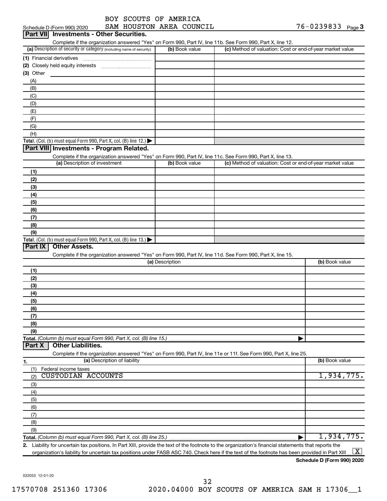| BOY SCOUTS OF AMERICA     |  |  |
|---------------------------|--|--|
| CAM UOIICMONI ADEA COIINC |  |  |

|                                                                                                                   |                 | Complete if the organization answered "Yes" on Form 990, Part IV, line 11b. See Form 990, Part X, line 12. |                          |
|-------------------------------------------------------------------------------------------------------------------|-----------------|------------------------------------------------------------------------------------------------------------|--------------------------|
| (a) Description of security or category (including name of security)                                              | (b) Book value  | (c) Method of valuation: Cost or end-of-year market value                                                  |                          |
| (1) Financial derivatives                                                                                         |                 |                                                                                                            |                          |
|                                                                                                                   |                 |                                                                                                            |                          |
| $(3)$ Other                                                                                                       |                 |                                                                                                            |                          |
| (A)                                                                                                               |                 |                                                                                                            |                          |
| (B)                                                                                                               |                 |                                                                                                            |                          |
| (C)                                                                                                               |                 |                                                                                                            |                          |
| (D)                                                                                                               |                 |                                                                                                            |                          |
| (E)                                                                                                               |                 |                                                                                                            |                          |
| (F)                                                                                                               |                 |                                                                                                            |                          |
| (G)                                                                                                               |                 |                                                                                                            |                          |
| (H)                                                                                                               |                 |                                                                                                            |                          |
| Total. (Col. (b) must equal Form 990, Part X, col. (B) line 12.) $\blacktriangleright$                            |                 |                                                                                                            |                          |
| Part VIII Investments - Program Related.                                                                          |                 |                                                                                                            |                          |
| Complete if the organization answered "Yes" on Form 990, Part IV, line 11c. See Form 990, Part X, line 13.        |                 |                                                                                                            |                          |
| (a) Description of investment                                                                                     | (b) Book value  | (c) Method of valuation: Cost or end-of-year market value                                                  |                          |
| (1)                                                                                                               |                 |                                                                                                            |                          |
| (2)                                                                                                               |                 |                                                                                                            |                          |
| (3)                                                                                                               |                 |                                                                                                            |                          |
| (4)                                                                                                               |                 |                                                                                                            |                          |
| (5)                                                                                                               |                 |                                                                                                            |                          |
| (6)                                                                                                               |                 |                                                                                                            |                          |
| (7)                                                                                                               |                 |                                                                                                            |                          |
| (8)                                                                                                               |                 |                                                                                                            |                          |
|                                                                                                                   |                 |                                                                                                            |                          |
|                                                                                                                   |                 |                                                                                                            |                          |
| (9)                                                                                                               |                 |                                                                                                            |                          |
|                                                                                                                   |                 |                                                                                                            |                          |
| Part IX<br><b>Other Assets.</b>                                                                                   |                 |                                                                                                            |                          |
| Complete if the organization answered "Yes" on Form 990, Part IV, line 11d. See Form 990, Part X, line 15.        |                 |                                                                                                            |                          |
|                                                                                                                   | (a) Description |                                                                                                            | (b) Book value           |
| (1)                                                                                                               |                 |                                                                                                            |                          |
| (2)                                                                                                               |                 |                                                                                                            |                          |
| (3)                                                                                                               |                 |                                                                                                            |                          |
| (4)                                                                                                               |                 |                                                                                                            |                          |
| (5)                                                                                                               |                 |                                                                                                            |                          |
| (6)                                                                                                               |                 |                                                                                                            |                          |
| (7)                                                                                                               |                 |                                                                                                            |                          |
| (8)                                                                                                               |                 |                                                                                                            |                          |
| Total. (Col. (b) must equal Form 990, Part X, col. (B) line 13.) $\blacktriangleright$<br>(9)                     |                 |                                                                                                            |                          |
| Total. (Column (b) must equal Form 990, Part X, col. (B) line 15.).                                               |                 |                                                                                                            |                          |
| <b>Other Liabilities.</b><br>Part X                                                                               |                 |                                                                                                            |                          |
| Complete if the organization answered "Yes" on Form 990, Part IV, line 11e or 11f. See Form 990, Part X, line 25. |                 |                                                                                                            |                          |
| (a) Description of liability                                                                                      |                 |                                                                                                            | (b) Book value           |
| 1.<br>Federal income taxes<br>(1)                                                                                 |                 |                                                                                                            |                          |
| <b>CUSTODIAN ACCOUNTS</b><br>(2)                                                                                  |                 |                                                                                                            |                          |
| (3)                                                                                                               |                 |                                                                                                            |                          |
| (4)                                                                                                               |                 |                                                                                                            |                          |
| (5)                                                                                                               |                 |                                                                                                            |                          |
| (6)                                                                                                               |                 |                                                                                                            |                          |
| (7)                                                                                                               |                 |                                                                                                            |                          |
| (8)                                                                                                               |                 |                                                                                                            |                          |
| (9)                                                                                                               |                 |                                                                                                            | 1,934,775.<br>1,934,775. |

**Schedule D (Form 990) 2020**

032053 12-01-20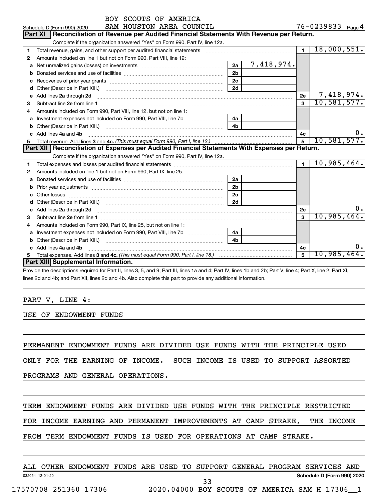|    | BOY SCOUTS OF AMERICA                                                                                                                                                                                                               |                |            |                |                     |
|----|-------------------------------------------------------------------------------------------------------------------------------------------------------------------------------------------------------------------------------------|----------------|------------|----------------|---------------------|
|    | SAM HOUSTON AREA COUNCIL<br>Schedule D (Form 990) 2020                                                                                                                                                                              |                |            |                | 76-0239833 Page 4   |
|    | Reconciliation of Revenue per Audited Financial Statements With Revenue per Return.<br>Part XI                                                                                                                                      |                |            |                |                     |
|    | Complete if the organization answered "Yes" on Form 990, Part IV, line 12a.                                                                                                                                                         |                |            |                |                     |
| 1  | Total revenue, gains, and other support per audited financial statements [111][11] Total revenue, gains, and other support per audited financial statements                                                                         |                |            | $\blacksquare$ | 18,000,551.         |
| 2  | Amounts included on line 1 but not on Form 990, Part VIII, line 12:                                                                                                                                                                 |                |            |                |                     |
| a  |                                                                                                                                                                                                                                     | 2a             | 7,418,974. |                |                     |
| b  |                                                                                                                                                                                                                                     | 2 <sub>b</sub> |            |                |                     |
|    | Recoveries of prior year grants [111] matter contracts and prior year grants [11] matter contracts and a recovering to the contract of the contracts of prior year grants [11] matter contracts and a recovering to the contra      | 2 <sub>c</sub> |            |                |                     |
| d  |                                                                                                                                                                                                                                     | 2d             |            |                |                     |
| e  | Add lines 2a through 2d                                                                                                                                                                                                             |                |            | 2e             | 7,418,974.          |
| 3  |                                                                                                                                                                                                                                     |                |            | 3              | 10,581,577.         |
| 4  | Amounts included on Form 990, Part VIII, line 12, but not on line 1:                                                                                                                                                                |                |            |                |                     |
| a  |                                                                                                                                                                                                                                     | 4a             |            |                |                     |
| b  |                                                                                                                                                                                                                                     | 4b             |            |                |                     |
| c. | Add lines 4a and 4b                                                                                                                                                                                                                 |                |            | 4c             | υ.                  |
|    |                                                                                                                                                                                                                                     |                |            | 5              | 10,581,577.         |
|    | Part XII Reconciliation of Expenses per Audited Financial Statements With Expenses per Return.                                                                                                                                      |                |            |                |                     |
|    | Complete if the organization answered "Yes" on Form 990, Part IV, line 12a.                                                                                                                                                         |                |            |                |                     |
| 1  |                                                                                                                                                                                                                                     |                |            | $\blacksquare$ | 10,985,464.         |
| 2  | Amounts included on line 1 but not on Form 990, Part IX, line 25:                                                                                                                                                                   |                |            |                |                     |
| a  |                                                                                                                                                                                                                                     | 2a             |            |                |                     |
| b  |                                                                                                                                                                                                                                     | 2 <sub>b</sub> |            |                |                     |
|    |                                                                                                                                                                                                                                     | 2 <sub>c</sub> |            |                |                     |
|    |                                                                                                                                                                                                                                     | 2d             |            |                |                     |
|    | e Add lines 2a through 2d <b>contract and a contract and a contract a</b> contract a contract and a contract a contract a contract a contract a contract a contract a contract a contract a contract a contract a contract a contra |                |            | 2е             | υ.                  |
| 3  |                                                                                                                                                                                                                                     |                |            | $\mathbf{a}$   | 10,985,464.         |
| 4  | Amounts included on Form 990, Part IX, line 25, but not on line 1:                                                                                                                                                                  |                |            |                |                     |
|    | Investment expenses not included on Form 990, Part VIII, line 7b [                                                                                                                                                                  | 4a             |            |                |                     |
|    |                                                                                                                                                                                                                                     | 4 <sub>b</sub> |            |                |                     |
|    | Add lines 4a and 4b                                                                                                                                                                                                                 |                |            | 4c             |                     |
|    |                                                                                                                                                                                                                                     |                |            | 5              | 10,985,464 <b>.</b> |
|    | Part XIII Supplemental Information.                                                                                                                                                                                                 |                |            |                |                     |
|    |                                                                                                                                                                                                                                     |                |            |                |                     |

Provide the descriptions required for Part II, lines 3, 5, and 9; Part III, lines 1a and 4; Part IV, lines 1b and 2b; Part V, line 4; Part X, line 2; Part XI, lines 2d and 4b; and Part XII, lines 2d and 4b. Also complete this part to provide any additional information.

#### PART V, LINE 4:

USE OF ENDOWMENT FUNDS

PERMANENT ENDOWMENT FUNDS ARE DIVIDED USE FUNDS WITH THE PRINCIPLE USED

ONLY FOR THE EARNING OF INCOME. SUCH INCOME IS USED TO SUPPORT ASSORTED

PROGRAMS AND GENERAL OPERATIONS.

## TERM ENDOWMENT FUNDS ARE DIVIDED USE FUNDS WITH THE PRINCIPLE RESTRICTED

FOR INCOME EARNING AND PERMANENT IMPROVEMENTS AT CAMP STRAKE, THE INCOME

## FROM TERM ENDOWMENT FUNDS IS USED FOR OPERATIONS AT CAMP STRAKE.

|                 | ALL OTHER | ENDOWMENT FUNDS ARE USED TO SUPPORT GENERAL PROGRAM SERVICES AND |  |  |  |                            |  |
|-----------------|-----------|------------------------------------------------------------------|--|--|--|----------------------------|--|
| 032054 12-01-20 |           |                                                                  |  |  |  | Schedule D (Form 990) 2020 |  |
|                 |           |                                                                  |  |  |  |                            |  |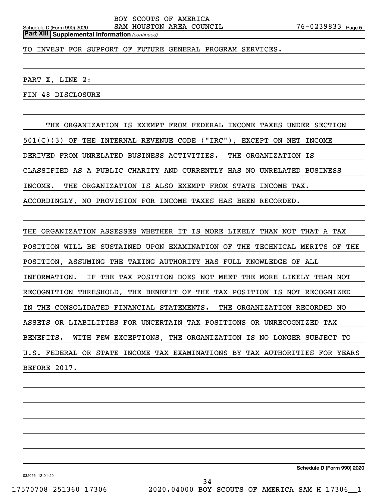*(continued)* **Part XIII Supplemental Information** 

TO INVEST FOR SUPPORT OF FUTURE GENERAL PROGRAM SERVICES.

PART X, LINE 2:

FIN 48 DISCLOSURE

THE ORGANIZATION IS EXEMPT FROM FEDERAL INCOME TAXES UNDER SECTION 501(C)(3) OF THE INTERNAL REVENUE CODE ("IRC"), EXCEPT ON NET INCOME DERIVED FROM UNRELATED BUSINESS ACTIVITIES. THE ORGANIZATION IS CLASSIFIED AS A PUBLIC CHARITY AND CURRENTLY HAS NO UNRELATED BUSINESS INCOME. THE ORGANIZATION IS ALSO EXEMPT FROM STATE INCOME TAX. ACCORDINGLY, NO PROVISION FOR INCOME TAXES HAS BEEN RECORDED.

 THE ORGANIZATION ASSESSES WHETHER IT IS MORE LIKELY THAN NOT THAT A TAX POSITION WILL BE SUSTAINED UPON EXAMINATION OF THE TECHNICAL MERITS OF THE POSITION, ASSUMING THE TAXING AUTHORITY HAS FULL KNOWLEDGE OF ALL INFORMATION. IF THE TAX POSITION DOES NOT MEET THE MORE LIKELY THAN NOT RECOGNITION THRESHOLD, THE BENEFIT OF THE TAX POSITION IS NOT RECOGNIZED IN THE CONSOLIDATED FINANCIAL STATEMENTS. THE ORGANIZATION RECORDED NO ASSETS OR LIABILITIES FOR UNCERTAIN TAX POSITIONS OR UNRECOGNIZED TAX BENEFITS. WITH FEW EXCEPTIONS, THE ORGANIZATION IS NO LONGER SUBJECT TO U.S. FEDERAL OR STATE INCOME TAX EXAMINATIONS BY TAX AUTHORITIES FOR YEARS BEFORE 2017.

**Schedule D (Form 990) 2020**

032055 12-01-20

17570708 251360 17306 2020.04000 BOY SCOUTS OF AMERICA SAM H 17306\_\_1 34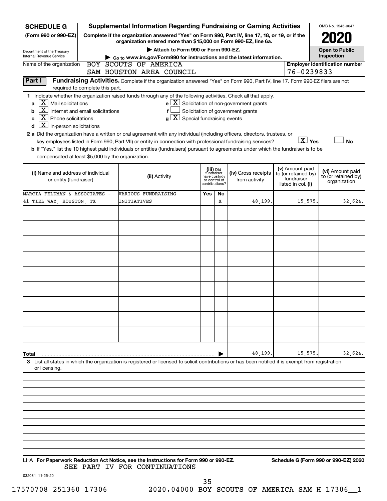| <b>SCHEDULE G</b>                                            | <b>Supplemental Information Regarding Fundraising or Gaming Activities</b>                                                                                          |     |                               |                                                              |                                        | OMB No. 1545-0047                     |
|--------------------------------------------------------------|---------------------------------------------------------------------------------------------------------------------------------------------------------------------|-----|-------------------------------|--------------------------------------------------------------|----------------------------------------|---------------------------------------|
| (Form 990 or 990-EZ)                                         | Complete if the organization answered "Yes" on Form 990, Part IV, line 17, 18, or 19, or if the<br>organization entered more than \$15,000 on Form 990-EZ, line 6a. |     |                               |                                                              |                                        |                                       |
| Department of the Treasury                                   | Attach to Form 990 or Form 990-EZ.                                                                                                                                  |     |                               |                                                              |                                        | <b>Open to Public</b>                 |
| Internal Revenue Service                                     | $\triangleright$ Go to www.irs.gov/Form990 for instructions and the latest information.                                                                             |     |                               |                                                              |                                        | Inspection                            |
| Name of the organization                                     | BOY SCOUTS OF AMERICA                                                                                                                                               |     |                               |                                                              |                                        | <b>Employer identification number</b> |
|                                                              | SAM HOUSTON AREA COUNCIL                                                                                                                                            |     |                               |                                                              |                                        | 76-0239833                            |
| Part I                                                       | Fundraising Activities. Complete if the organization answered "Yes" on Form 990, Part IV, line 17. Form 990-EZ filers are not                                       |     |                               |                                                              |                                        |                                       |
| required to complete this part.                              |                                                                                                                                                                     |     |                               |                                                              |                                        |                                       |
| $X$ Mail solicitations<br>a                                  | 1 Indicate whether the organization raised funds through any of the following activities. Check all that apply.                                                     |     |                               | $e$ $\boxed{\text{X}}$ Solicitation of non-government grants |                                        |                                       |
| $\lfloor x \rfloor$<br>Internet and email solicitations<br>b |                                                                                                                                                                     |     |                               | Solicitation of government grants                            |                                        |                                       |
| $\lfloor \underline{X} \rfloor$ Phone solicitations<br>C     | $g\left[\overline{X}\right]$ Special fundraising events                                                                                                             |     |                               |                                                              |                                        |                                       |
| $\lfloor \underline{x} \rfloor$ In-person solicitations<br>d |                                                                                                                                                                     |     |                               |                                                              |                                        |                                       |
|                                                              | 2 a Did the organization have a written or oral agreement with any individual (including officers, directors, trustees, or                                          |     |                               |                                                              |                                        |                                       |
|                                                              | key employees listed in Form 990, Part VII) or entity in connection with professional fundraising services?                                                         |     |                               |                                                              |                                        | $\boxed{\text{X}}$ Yes<br><b>No</b>   |
|                                                              | b If "Yes," list the 10 highest paid individuals or entities (fundraisers) pursuant to agreements under which the fundraiser is to be                               |     |                               |                                                              |                                        |                                       |
| compensated at least \$5,000 by the organization.            |                                                                                                                                                                     |     |                               |                                                              |                                        |                                       |
|                                                              |                                                                                                                                                                     |     |                               |                                                              |                                        |                                       |
| (i) Name and address of individual                           |                                                                                                                                                                     |     | (iii) Did<br>fundraiser       | (iv) Gross receipts                                          | (v) Amount paid<br>to (or retained by) | (vi) Amount paid                      |
| or entity (fundraiser)                                       | (ii) Activity                                                                                                                                                       |     | have custody<br>or control of | from activity                                                | fundraiser                             | to (or retained by)<br>organization   |
|                                                              |                                                                                                                                                                     |     | contributions?                |                                                              | listed in col. (i)                     |                                       |
| MARCIA FELDMAN & ASSOCIATES -                                | VARIOUS FUNDRAISING                                                                                                                                                 | Yes | No                            |                                                              |                                        |                                       |
| 41 TIEL WAY, HOUSTON, TX                                     | INITIATIVES                                                                                                                                                         |     | x                             | 48,199                                                       | 15,575.                                | 32,624.                               |
|                                                              |                                                                                                                                                                     |     |                               |                                                              |                                        |                                       |
|                                                              |                                                                                                                                                                     |     |                               |                                                              |                                        |                                       |
|                                                              |                                                                                                                                                                     |     |                               |                                                              |                                        |                                       |
|                                                              |                                                                                                                                                                     |     |                               |                                                              |                                        |                                       |
|                                                              |                                                                                                                                                                     |     |                               |                                                              |                                        |                                       |
|                                                              |                                                                                                                                                                     |     |                               |                                                              |                                        |                                       |
|                                                              |                                                                                                                                                                     |     |                               |                                                              |                                        |                                       |
|                                                              |                                                                                                                                                                     |     |                               |                                                              |                                        |                                       |
|                                                              |                                                                                                                                                                     |     |                               |                                                              |                                        |                                       |
|                                                              |                                                                                                                                                                     |     |                               |                                                              |                                        |                                       |
|                                                              |                                                                                                                                                                     |     |                               |                                                              |                                        |                                       |
|                                                              |                                                                                                                                                                     |     |                               |                                                              |                                        |                                       |
|                                                              |                                                                                                                                                                     |     |                               |                                                              |                                        |                                       |
|                                                              |                                                                                                                                                                     |     |                               |                                                              |                                        |                                       |
|                                                              |                                                                                                                                                                     |     |                               |                                                              |                                        |                                       |
|                                                              |                                                                                                                                                                     |     |                               |                                                              |                                        |                                       |
|                                                              |                                                                                                                                                                     |     |                               |                                                              |                                        |                                       |
|                                                              |                                                                                                                                                                     |     |                               |                                                              |                                        |                                       |
| Total                                                        |                                                                                                                                                                     |     |                               | 48,199                                                       | 15,575.                                | 32,624.                               |
|                                                              | 3 List all states in which the organization is registered or licensed to solicit contributions or has been notified it is exempt from registration                  |     |                               |                                                              |                                        |                                       |
| or licensing.                                                |                                                                                                                                                                     |     |                               |                                                              |                                        |                                       |
|                                                              |                                                                                                                                                                     |     |                               |                                                              |                                        |                                       |
|                                                              |                                                                                                                                                                     |     |                               |                                                              |                                        |                                       |
|                                                              |                                                                                                                                                                     |     |                               |                                                              |                                        |                                       |
|                                                              |                                                                                                                                                                     |     |                               |                                                              |                                        |                                       |
|                                                              |                                                                                                                                                                     |     |                               |                                                              |                                        |                                       |

**For Paperwork Reduction Act Notice, see the Instructions for Form 990 or 990-EZ. Schedule G (Form 990 or 990-EZ) 2020** LHA SEE PART IV FOR CONTINUATIONS

032081 11-25-20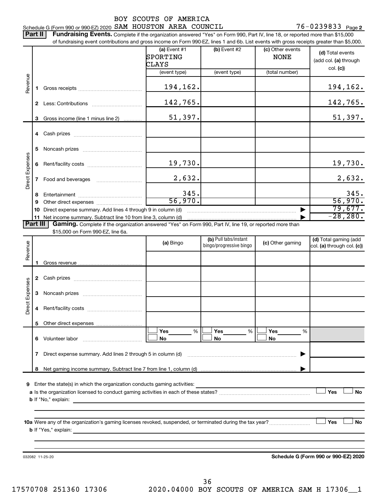76-0239833 Page 2 Schedule G (Form 990 or 990-EZ) 2020 SAM HOUSTON AREA COUNCIL  $76-0239833$  Page

|                 | Part II  | <b>Fundraising Events.</b> Complete if the organization answered "Yes" on Form 990, Part IV, line 18, or reported more than \$15,000          |                                     |                                                  |                                 |                                                     |
|-----------------|----------|-----------------------------------------------------------------------------------------------------------------------------------------------|-------------------------------------|--------------------------------------------------|---------------------------------|-----------------------------------------------------|
|                 |          | of fundraising event contributions and gross income on Form 990-EZ, lines 1 and 6b. List events with gross receipts greater than \$5,000.     | (a) Event $#1$<br>SPORTING<br>CLAYS | (b) Event #2                                     | (c) Other events<br><b>NONE</b> | (d) Total events<br>(add col. (a) through           |
|                 |          |                                                                                                                                               | (event type)                        | (event type)                                     | (total number)                  | col. (c)                                            |
| Revenue         | 1.       |                                                                                                                                               | 194,162.                            |                                                  |                                 | 194,162.                                            |
|                 |          |                                                                                                                                               | 142,765.                            |                                                  |                                 | 142,765.                                            |
|                 | 3        | Gross income (line 1 minus line 2)                                                                                                            | 51,397.                             |                                                  |                                 | 51,397.                                             |
|                 |          |                                                                                                                                               |                                     |                                                  |                                 |                                                     |
|                 | 5        |                                                                                                                                               |                                     |                                                  |                                 |                                                     |
|                 | 6        |                                                                                                                                               | 19,730.                             |                                                  |                                 | 19,730.                                             |
| Direct Expenses | 7        |                                                                                                                                               | 2,632.                              |                                                  |                                 | 2,632.                                              |
|                 | 8<br>9   |                                                                                                                                               | 345.<br>56,970.                     |                                                  |                                 | 345.<br>56,970.                                     |
|                 | 10       | Direct expense summary. Add lines 4 through 9 in column (d)                                                                                   |                                     |                                                  |                                 | 79,677.                                             |
|                 | 11       | Net income summary. Subtract line 10 from line 3, column (d)                                                                                  |                                     |                                                  |                                 | $-28, 280.$                                         |
|                 | Part III | Gaming. Complete if the organization answered "Yes" on Form 990, Part IV, line 19, or reported more than<br>\$15,000 on Form 990-EZ, line 6a. |                                     |                                                  |                                 |                                                     |
| Revenue         |          |                                                                                                                                               | (a) Bingo                           | (b) Pull tabs/instant<br>bingo/progressive bingo | (c) Other gaming                | (d) Total gaming (add<br>col. (a) through col. (c)) |
|                 |          |                                                                                                                                               |                                     |                                                  |                                 |                                                     |
|                 |          |                                                                                                                                               |                                     |                                                  |                                 |                                                     |
|                 |          |                                                                                                                                               |                                     |                                                  |                                 |                                                     |
| Direct Expenses | 3        |                                                                                                                                               |                                     |                                                  |                                 |                                                     |
|                 | 4        |                                                                                                                                               |                                     |                                                  |                                 |                                                     |
|                 | 5.       |                                                                                                                                               |                                     |                                                  |                                 |                                                     |
|                 |          | 6 Volunteer labor                                                                                                                             | Yes<br>%<br>No.                     | Yes<br>%<br>No                                   | Yes<br>%<br>No                  |                                                     |
|                 | 7        |                                                                                                                                               |                                     |                                                  |                                 |                                                     |
|                 | 8        |                                                                                                                                               |                                     |                                                  |                                 |                                                     |
|                 |          |                                                                                                                                               |                                     |                                                  |                                 | Yes<br><b>No</b>                                    |
|                 |          | 10a Were any of the organization's gaming licenses revoked, suspended, or terminated during the tax year?                                     |                                     |                                                  |                                 | Yes<br>No                                           |
|                 |          | 032082 11-25-20                                                                                                                               |                                     |                                                  |                                 | Schedule G (Form 990 or 990-EZ) 2020                |
|                 |          |                                                                                                                                               |                                     |                                                  |                                 |                                                     |

17570708 251360 17306 2020.04000 BOY SCOUTS OF AMERICA SAM H 17306\_\_1 36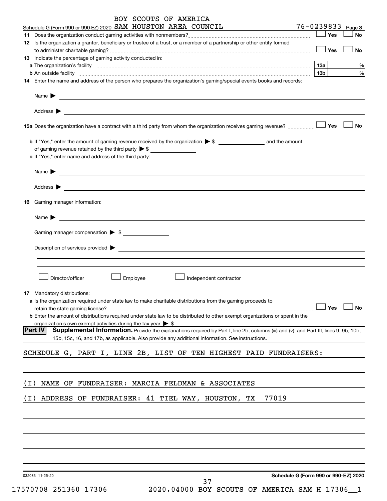| BOY SCOUTS OF AMERICA                                                                                                                                                   |                                      |
|-------------------------------------------------------------------------------------------------------------------------------------------------------------------------|--------------------------------------|
| Schedule G (Form 990 or 990-EZ) 2020 SAM HOUSTON AREA COUNCIL<br><u> 1980 - Johann Barnett, fransk politik (</u>                                                        | 76-0239833 Page 3                    |
|                                                                                                                                                                         | Yes<br><b>No</b>                     |
| 12 Is the organization a grantor, beneficiary or trustee of a trust, or a member of a partnership or other entity formed                                                |                                      |
| 13 Indicate the percentage of gaming activity conducted in:                                                                                                             | $\Box$ Yes<br>No                     |
|                                                                                                                                                                         | 1За<br>%                             |
| b An outside facility www.communications.com/news/communications.com/news/communications.com/news/communicatio                                                          | $\%$<br>13b l                        |
| 14 Enter the name and address of the person who prepares the organization's gaming/special events books and records:                                                    |                                      |
| Name $\blacktriangleright$<br><u>some started and the started and the started and the started and the started and the started and the started and</u>                   |                                      |
| Address $\blacktriangleright$<br><u>some started and the started and the started and the started and the started and the started and the started and</u>                |                                      |
|                                                                                                                                                                         | <b>No</b>                            |
|                                                                                                                                                                         |                                      |
| of gaming revenue retained by the third party $\triangleright$ \$                                                                                                       |                                      |
| c If "Yes," enter name and address of the third party:                                                                                                                  |                                      |
| Name $\blacktriangleright$<br><u> 1989 - Johann John Stein, markin fan it ferstjer fan de ferstjer fan it ferstjer fan it ferstjer fan it fers</u>                      |                                      |
| Address $\blacktriangleright$<br>and the control of the control of the control of the control of the control of the control of the control of the                       |                                      |
| <b>16</b> Gaming manager information:                                                                                                                                   |                                      |
| Name $\blacktriangleright$                                                                                                                                              |                                      |
| Gaming manager compensation > \$                                                                                                                                        |                                      |
| Description of services provided > example and the contract of the contract of the contract of the contract of                                                          |                                      |
| Director/officer<br>Employee<br>Independent contractor                                                                                                                  |                                      |
| <b>17</b> Mandatory distributions:                                                                                                                                      |                                      |
| a Is the organization required under state law to make charitable distributions from the gaming proceeds to                                                             |                                      |
| retain the state gaming license?<br><b>b</b> Enter the amount of distributions required under state law to be distributed to other exempt organizations or spent in the | Yes<br><b>No</b>                     |
| organization's own exempt activities during the tax year $\blacktriangleright$ \$                                                                                       |                                      |
| Part IV<br>Supplemental Information. Provide the explanations required by Part I, line 2b, columns (iii) and (v); and Part III, lines 9, 9b, 10b,                       |                                      |
| 15b, 15c, 16, and 17b, as applicable. Also provide any additional information. See instructions.                                                                        |                                      |
| SCHEDULE G, PART I, LINE 2B, LIST OF TEN HIGHEST PAID FUNDRAISERS:                                                                                                      |                                      |
| NAME OF FUNDRAISER: MARCIA FELDMAN & ASSOCIATES<br>( I )                                                                                                                |                                      |
| 77019<br>ADDRESS OF FUNDRAISER: 41 TIEL WAY, HOUSTON, TX<br>( I )                                                                                                       |                                      |
|                                                                                                                                                                         |                                      |
|                                                                                                                                                                         |                                      |
|                                                                                                                                                                         |                                      |
|                                                                                                                                                                         |                                      |
| 032083 11-25-20                                                                                                                                                         | Schedule G (Form 990 or 990-EZ) 2020 |

**Schedule G (Form 990 or 990-EZ) 2020**

37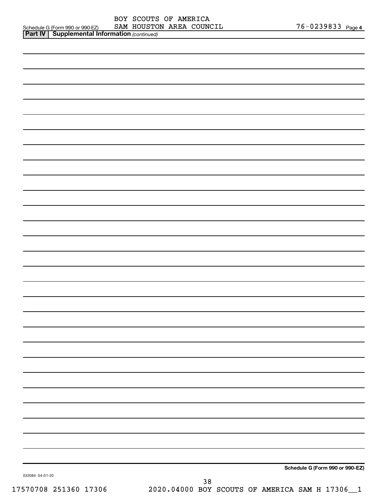| <b>Part IV   Supplemental Information (continued)</b> |  | OCHEQUIE Q (LOIIII AAD OL AAD-ET) | <b>DAT'L ILOUD LUL</b> |
|-------------------------------------------------------|--|-----------------------------------|------------------------|
|                                                       |  |                                   |                        |

| 032084 04-01-20 | Schedule G (Form 990 or 990-EZ) |
|-----------------|---------------------------------|
|                 |                                 |

17570708 251360 17306 2020.04000 BOY SCOUTS OF AMERICA SAM H 17306\_\_1 38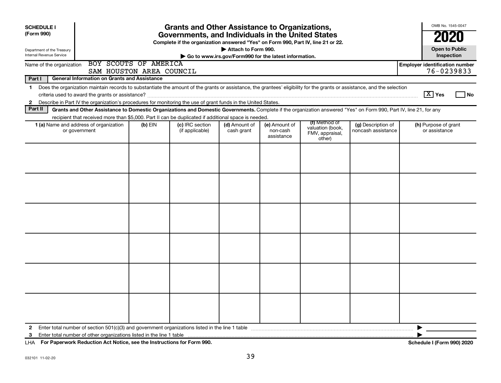| <b>SCHEDULE I</b><br>(Form 990)                                                                                        |                                                                                                                                                                                                                                                                                     |           | <b>Grants and Other Assistance to Organizations,</b><br>Governments, and Individuals in the United States<br>Complete if the organization answered "Yes" on Form 990, Part IV, line 21 or 22. |                                                                              |                                         |                                                                |                                          | OMB No. 1545-0047<br>2020             |  |
|------------------------------------------------------------------------------------------------------------------------|-------------------------------------------------------------------------------------------------------------------------------------------------------------------------------------------------------------------------------------------------------------------------------------|-----------|-----------------------------------------------------------------------------------------------------------------------------------------------------------------------------------------------|------------------------------------------------------------------------------|-----------------------------------------|----------------------------------------------------------------|------------------------------------------|---------------------------------------|--|
| Department of the Treasury<br>Internal Revenue Service                                                                 |                                                                                                                                                                                                                                                                                     |           |                                                                                                                                                                                               | Attach to Form 990.<br>Go to www.irs.gov/Form990 for the latest information. |                                         |                                                                |                                          | <b>Open to Public</b><br>Inspection   |  |
| BOY SCOUTS OF AMERICA<br><b>Employer identification number</b><br>Name of the organization<br>SAM HOUSTON AREA COUNCIL |                                                                                                                                                                                                                                                                                     |           |                                                                                                                                                                                               |                                                                              |                                         |                                                                |                                          |                                       |  |
| Part I                                                                                                                 | <b>General Information on Grants and Assistance</b>                                                                                                                                                                                                                                 |           |                                                                                                                                                                                               |                                                                              |                                         |                                                                |                                          |                                       |  |
| $\mathbf 1$                                                                                                            | Does the organization maintain records to substantiate the amount of the grants or assistance, the grantees' eligibility for the grants or assistance, and the selection                                                                                                            |           |                                                                                                                                                                                               |                                                                              |                                         |                                                                |                                          |                                       |  |
|                                                                                                                        |                                                                                                                                                                                                                                                                                     |           |                                                                                                                                                                                               |                                                                              |                                         |                                                                |                                          | $\boxed{\text{X}}$ Yes<br>  No        |  |
| $\mathbf{2}$<br>Part II                                                                                                | Describe in Part IV the organization's procedures for monitoring the use of grant funds in the United States.<br>Grants and Other Assistance to Domestic Organizations and Domestic Governments. Complete if the organization answered "Yes" on Form 990, Part IV, line 21, for any |           |                                                                                                                                                                                               |                                                                              |                                         |                                                                |                                          |                                       |  |
|                                                                                                                        | recipient that received more than \$5,000. Part II can be duplicated if additional space is needed.                                                                                                                                                                                 |           |                                                                                                                                                                                               |                                                                              |                                         |                                                                |                                          |                                       |  |
|                                                                                                                        | 1 (a) Name and address of organization<br>or government                                                                                                                                                                                                                             | $(b)$ EIN | (c) IRC section<br>(if applicable)                                                                                                                                                            | (d) Amount of<br>cash grant                                                  | (e) Amount of<br>non-cash<br>assistance | (f) Method of<br>valuation (book,<br>FMV, appraisal,<br>other) | (g) Description of<br>noncash assistance | (h) Purpose of grant<br>or assistance |  |
|                                                                                                                        |                                                                                                                                                                                                                                                                                     |           |                                                                                                                                                                                               |                                                                              |                                         |                                                                |                                          |                                       |  |
|                                                                                                                        |                                                                                                                                                                                                                                                                                     |           |                                                                                                                                                                                               |                                                                              |                                         |                                                                |                                          |                                       |  |
|                                                                                                                        |                                                                                                                                                                                                                                                                                     |           |                                                                                                                                                                                               |                                                                              |                                         |                                                                |                                          |                                       |  |
|                                                                                                                        |                                                                                                                                                                                                                                                                                     |           |                                                                                                                                                                                               |                                                                              |                                         |                                                                |                                          |                                       |  |
|                                                                                                                        |                                                                                                                                                                                                                                                                                     |           |                                                                                                                                                                                               |                                                                              |                                         |                                                                |                                          |                                       |  |
|                                                                                                                        |                                                                                                                                                                                                                                                                                     |           |                                                                                                                                                                                               |                                                                              |                                         |                                                                |                                          |                                       |  |
| $\mathbf{2}$                                                                                                           |                                                                                                                                                                                                                                                                                     |           |                                                                                                                                                                                               |                                                                              |                                         |                                                                |                                          | ▶                                     |  |
| 3                                                                                                                      |                                                                                                                                                                                                                                                                                     |           |                                                                                                                                                                                               |                                                                              |                                         |                                                                |                                          |                                       |  |

**For Paperwork Reduction Act Notice, see the Instructions for Form 990. Schedule I (Form 990) 2020** LHA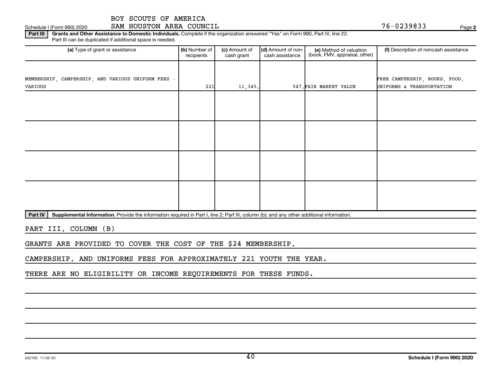#### Part III | Grants and Other Assistance to Domestic Individuals. Complete if the organization answered "Yes" on Form 990, Part IV, line 22. Schedule I (Form 990) 2020 SAM HOUSTON AREA COUNCIL **Form 300 COUNCIL** Page 2014

Part III can be duplicated if additional space is needed.

| (a) Type of grant or assistance                    | (b) Number of<br>recipients | (c) Amount of<br>cash grant | (d) Amount of non-<br>cash assistance | (e) Method of valuation<br>(book, FMV, appraisal, other) | (f) Description of noncash assistance |
|----------------------------------------------------|-----------------------------|-----------------------------|---------------------------------------|----------------------------------------------------------|---------------------------------------|
|                                                    |                             |                             |                                       |                                                          |                                       |
| MEMBERSHIP, CAMPERSHIP, AND VARIOUS UNIFORM FEES - |                             |                             |                                       |                                                          | FREE CAMPERSHIP, BOOKS, FOOD,         |
| VARIOUS                                            | 221                         | 11,345.                     |                                       | 547. FAIR MARKET VALUE                                   | UNIFORMS & TRANSPORTATION             |
|                                                    |                             |                             |                                       |                                                          |                                       |
|                                                    |                             |                             |                                       |                                                          |                                       |
|                                                    |                             |                             |                                       |                                                          |                                       |
|                                                    |                             |                             |                                       |                                                          |                                       |
|                                                    |                             |                             |                                       |                                                          |                                       |
|                                                    |                             |                             |                                       |                                                          |                                       |
|                                                    |                             |                             |                                       |                                                          |                                       |
|                                                    |                             |                             |                                       |                                                          |                                       |
|                                                    |                             |                             |                                       |                                                          |                                       |
|                                                    |                             |                             |                                       |                                                          |                                       |
|                                                    |                             |                             |                                       |                                                          |                                       |
|                                                    |                             |                             |                                       |                                                          |                                       |
|                                                    |                             |                             |                                       |                                                          |                                       |
|                                                    |                             |                             |                                       |                                                          |                                       |

Part IV | Supplemental Information. Provide the information required in Part I, line 2; Part III, column (b); and any other additional information.

PART III, COLUMN (B)

GRANTS ARE PROVIDED TO COVER THE COST OF THE \$24 MEMBERSHIP,

CAMPERSHIP, AND UNIFORMS FEES FOR APPROXIMATELY 221 YOUTH THE YEAR.

THERE ARE NO ELIGIBILITY OR INCOME REQUIREMENTS FOR THESE FUNDS.

**2**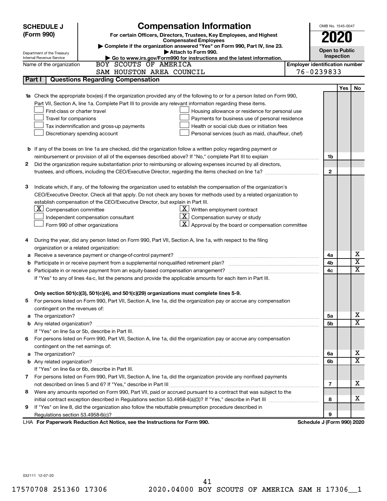|        | <b>Compensation Information</b><br><b>SCHEDULE J</b>                                                                                                                                                                                |                                       | OMB No. 1545-0047     |            |                         |
|--------|-------------------------------------------------------------------------------------------------------------------------------------------------------------------------------------------------------------------------------------|---------------------------------------|-----------------------|------------|-------------------------|
|        | (Form 990)<br>For certain Officers, Directors, Trustees, Key Employees, and Highest                                                                                                                                                 |                                       |                       |            |                         |
|        | <b>Compensated Employees</b>                                                                                                                                                                                                        |                                       |                       |            |                         |
|        | Complete if the organization answered "Yes" on Form 990, Part IV, line 23.                                                                                                                                                          |                                       | <b>Open to Public</b> |            |                         |
|        | Attach to Form 990.<br>Department of the Treasury<br>Go to www.irs.gov/Form990 for instructions and the latest information.<br>Internal Revenue Service                                                                             |                                       | Inspection            |            |                         |
|        | BOY SCOUTS OF AMERICA<br>Name of the organization                                                                                                                                                                                   | <b>Employer identification number</b> |                       |            |                         |
|        | SAM HOUSTON AREA COUNCIL                                                                                                                                                                                                            | 76-0239833                            |                       |            |                         |
| Part I | <b>Questions Regarding Compensation</b>                                                                                                                                                                                             |                                       |                       |            |                         |
|        |                                                                                                                                                                                                                                     |                                       |                       | <b>Yes</b> | No                      |
|        | 1a Check the appropriate box(es) if the organization provided any of the following to or for a person listed on Form 990,                                                                                                           |                                       |                       |            |                         |
|        | Part VII, Section A, line 1a. Complete Part III to provide any relevant information regarding these items.                                                                                                                          |                                       |                       |            |                         |
|        | First-class or charter travel<br>Housing allowance or residence for personal use                                                                                                                                                    |                                       |                       |            |                         |
|        | Travel for companions<br>Payments for business use of personal residence                                                                                                                                                            |                                       |                       |            |                         |
|        | Tax indemnification and gross-up payments<br>Health or social club dues or initiation fees                                                                                                                                          |                                       |                       |            |                         |
|        | Discretionary spending account<br>Personal services (such as maid, chauffeur, chef)                                                                                                                                                 |                                       |                       |            |                         |
|        |                                                                                                                                                                                                                                     |                                       |                       |            |                         |
|        | <b>b</b> If any of the boxes on line 1a are checked, did the organization follow a written policy regarding payment or                                                                                                              |                                       |                       |            |                         |
|        | reimbursement or provision of all of the expenses described above? If "No," complete Part III to explain                                                                                                                            |                                       | 1b                    |            |                         |
| 2      | Did the organization require substantiation prior to reimbursing or allowing expenses incurred by all directors,                                                                                                                    |                                       |                       |            |                         |
|        | trustees, and officers, including the CEO/Executive Director, regarding the items checked on line 1a?                                                                                                                               |                                       | $\mathbf{2}$          |            |                         |
|        |                                                                                                                                                                                                                                     |                                       |                       |            |                         |
| з      | Indicate which, if any, of the following the organization used to establish the compensation of the organization's                                                                                                                  |                                       |                       |            |                         |
|        | CEO/Executive Director. Check all that apply. Do not check any boxes for methods used by a related organization to                                                                                                                  |                                       |                       |            |                         |
|        | establish compensation of the CEO/Executive Director, but explain in Part III.                                                                                                                                                      |                                       |                       |            |                         |
|        | $ \mathbf{X} $ Compensation committee<br>$X$ Written employment contract                                                                                                                                                            |                                       |                       |            |                         |
|        | Compensation survey or study<br>Independent compensation consultant                                                                                                                                                                 |                                       |                       |            |                         |
|        | Approval by the board or compensation committee<br>Form 990 of other organizations                                                                                                                                                  |                                       |                       |            |                         |
|        |                                                                                                                                                                                                                                     |                                       |                       |            |                         |
|        | During the year, did any person listed on Form 990, Part VII, Section A, line 1a, with respect to the filing                                                                                                                        |                                       |                       |            |                         |
|        | organization or a related organization:                                                                                                                                                                                             |                                       |                       |            |                         |
| а      | Receive a severance payment or change-of-control payment?                                                                                                                                                                           |                                       | 4a                    |            | х                       |
| b      |                                                                                                                                                                                                                                     |                                       | 4b                    |            | $\overline{\texttt{x}}$ |
| c      | Participate in or receive payment from an equity-based compensation arrangement?                                                                                                                                                    |                                       | 4c                    |            | $\overline{\text{x}}$   |
|        | If "Yes" to any of lines 4a-c, list the persons and provide the applicable amounts for each item in Part III.                                                                                                                       |                                       |                       |            |                         |
|        |                                                                                                                                                                                                                                     |                                       |                       |            |                         |
|        | Only section 501(c)(3), 501(c)(4), and 501(c)(29) organizations must complete lines 5-9.                                                                                                                                            |                                       |                       |            |                         |
|        | For persons listed on Form 990, Part VII, Section A, line 1a, did the organization pay or accrue any compensation                                                                                                                   |                                       |                       |            |                         |
|        | contingent on the revenues of:                                                                                                                                                                                                      |                                       |                       |            | x.                      |
|        | a The organization? <b>contracts</b> and contracts are contracted and contract and contract and contract and contract and contract and contract and contract and contract and contract and contract and contract and contract and c |                                       | 5a                    |            | $\overline{\mathbf{X}}$ |
|        |                                                                                                                                                                                                                                     |                                       | 5b                    |            |                         |
|        | If "Yes" on line 5a or 5b, describe in Part III.                                                                                                                                                                                    |                                       |                       |            |                         |
| 6      | For persons listed on Form 990, Part VII, Section A, line 1a, did the organization pay or accrue any compensation<br>contingent on the net earnings of:                                                                             |                                       |                       |            |                         |
|        |                                                                                                                                                                                                                                     |                                       |                       |            | x.                      |
|        |                                                                                                                                                                                                                                     |                                       | 6а<br>6b              |            | $\overline{\mathbf{X}}$ |
|        | If "Yes" on line 6a or 6b, describe in Part III.                                                                                                                                                                                    |                                       |                       |            |                         |
|        | 7 For persons listed on Form 990, Part VII, Section A, line 1a, did the organization provide any nonfixed payments                                                                                                                  |                                       |                       |            |                         |
|        |                                                                                                                                                                                                                                     |                                       | 7                     |            | x.                      |
| 8      | Were any amounts reported on Form 990, Part VII, paid or accrued pursuant to a contract that was subject to the                                                                                                                     |                                       |                       |            |                         |
|        |                                                                                                                                                                                                                                     |                                       | 8                     |            | x.                      |
| 9      | If "Yes" on line 8, did the organization also follow the rebuttable presumption procedure described in                                                                                                                              |                                       |                       |            |                         |
|        |                                                                                                                                                                                                                                     |                                       | 9                     |            |                         |
|        | LHA For Paperwork Reduction Act Notice, see the Instructions for Form 990.                                                                                                                                                          | Schedule J (Form 990) 2020            |                       |            |                         |

032111 12-07-20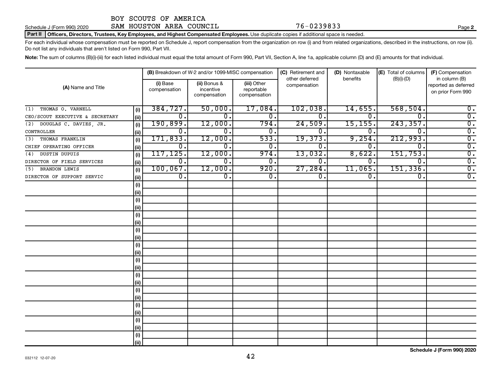### Schedule J (Form 990) 2020 **SAM HOUSTON AREA COUNCIL** 12000 76-0239833

#### Part II | Officers, Directors, Trustees, Key Employees, and Highest Compensated Employees. Use duplicate copies if additional space is needed.

For each individual whose compensation must be reported on Schedule J, report compensation from the organization on row (i) and from related organizations, described in the instructions, on row (ii). Do not list any individuals that aren't listed on Form 990, Part VII.

Note: The sum of columns (B)(i)-(iii) for each listed individual must equal the total amount of Form 990, Part VII, Section A, line 1a, applicable column (D) and (E) amounts for that individual.

|                                 | (B) Breakdown of W-2 and/or 1099-MISC compensation |                          |                                           | (C) Retirement and<br>other deferred      | (D) Nontaxable<br>benefits | (E) Total of columns | (F) Compensation |                                                            |
|---------------------------------|----------------------------------------------------|--------------------------|-------------------------------------------|-------------------------------------------|----------------------------|----------------------|------------------|------------------------------------------------------------|
| (A) Name and Title              |                                                    | (i) Base<br>compensation | (ii) Bonus &<br>incentive<br>compensation | (iii) Other<br>reportable<br>compensation | compensation               |                      | $(B)(i)-(D)$     | in column (B)<br>reported as deferred<br>on prior Form 990 |
| THOMAS O. VARNELL<br>(1)        | (i)                                                | 384, 727.                | 50,000.                                   | 17,084.                                   | 102,038.                   | 14,655               | 568, 504.        | $0$ .                                                      |
| CEO/SCOUT EXECUTIVE & SECRETARY | (ii)                                               | 0.                       | 0.                                        | 0.                                        | $\mathbf 0$ .              | 0.                   | $\Omega$         | $\overline{0}$ .                                           |
| DOUGLAS C. DAVIES, JR.<br>(2)   | (i)                                                | 190, 899.                | 12,000.                                   | 794.                                      | 24,509.                    | 15, 155.             | 243, 357.        | $\overline{0}$ .                                           |
| CONTROLLER                      | (ii)                                               | 0.                       | 0.                                        | 0.                                        | 0.                         | 0                    | 0                | $\overline{0}$ .                                           |
| THOMAS FRANKLIN<br>(3)          | (i)                                                | 171,833.                 | 12,000.                                   | 533.                                      | 19,373.                    | 9,254.               | 212,993.         | $\overline{0}$ .                                           |
| CHIEF OPERATING OFFICER         | (ii)                                               | О.                       | 0.                                        | Ο.                                        | 0.                         | 0.                   | $\mathbf{0}$ .   | $\overline{0}$ .                                           |
| DUSTIN DUPUIS<br>(4)            | (i)                                                | 117, 125.                | 12,000.                                   | 974.                                      | 13,032.                    | 8,622.               | 151,753.         | $\overline{0}$ .                                           |
| DIRECTOR OF FIELD SERVICES      | (ii)                                               | 0.                       | 0.                                        | 0.                                        | $\Omega$ .                 | 0.                   | $\Omega$ .       | $\overline{0}$ .                                           |
| <b>BRANDON LEWIS</b><br>(5)     | (i)                                                | 100,067.                 | 12,000.                                   | 920.                                      | 27, 284.                   | 11,065.              | 151, 336.        | $\overline{0}$ .                                           |
| DIRECTOR OF SUPPORT SERVIC      | (ii)                                               | $\overline{0}$ .         | 0.                                        | 0.                                        | 0.                         | 0.                   | $^{\rm o}$ .     | $\overline{0}$ .                                           |
|                                 | (i)                                                |                          |                                           |                                           |                            |                      |                  |                                                            |
|                                 | (ii)                                               |                          |                                           |                                           |                            |                      |                  |                                                            |
|                                 | (i)                                                |                          |                                           |                                           |                            |                      |                  |                                                            |
|                                 | (ii)                                               |                          |                                           |                                           |                            |                      |                  |                                                            |
|                                 | (i)                                                |                          |                                           |                                           |                            |                      |                  |                                                            |
|                                 | (ii)                                               |                          |                                           |                                           |                            |                      |                  |                                                            |
|                                 | (i)                                                |                          |                                           |                                           |                            |                      |                  |                                                            |
|                                 | (ii)                                               |                          |                                           |                                           |                            |                      |                  |                                                            |
|                                 | (i)                                                |                          |                                           |                                           |                            |                      |                  |                                                            |
|                                 | (ii)                                               |                          |                                           |                                           |                            |                      |                  |                                                            |
|                                 | (i)                                                |                          |                                           |                                           |                            |                      |                  |                                                            |
|                                 | (ii)                                               |                          |                                           |                                           |                            |                      |                  |                                                            |
|                                 | (i)                                                |                          |                                           |                                           |                            |                      |                  |                                                            |
|                                 | (ii)                                               |                          |                                           |                                           |                            |                      |                  |                                                            |
|                                 | (i)                                                |                          |                                           |                                           |                            |                      |                  |                                                            |
|                                 | (ii)                                               |                          |                                           |                                           |                            |                      |                  |                                                            |
|                                 | (i)                                                |                          |                                           |                                           |                            |                      |                  |                                                            |
|                                 | (ii)                                               |                          |                                           |                                           |                            |                      |                  |                                                            |
|                                 | (i)                                                |                          |                                           |                                           |                            |                      |                  |                                                            |
|                                 | (ii)                                               |                          |                                           |                                           |                            |                      |                  |                                                            |
|                                 | (i)                                                |                          |                                           |                                           |                            |                      |                  |                                                            |
|                                 | (ii)                                               |                          |                                           |                                           |                            |                      |                  |                                                            |

**2**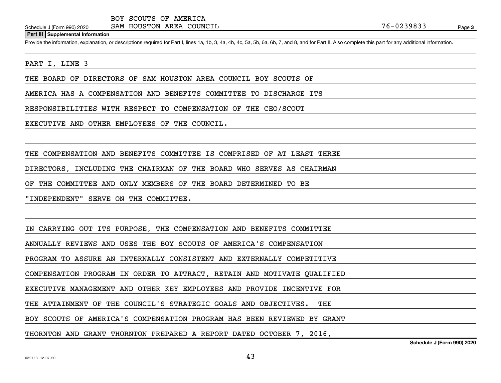**Part III Supplemental Information**

Provide the information, explanation, or descriptions required for Part I, lines 1a, 1b, 3, 4a, 4b, 4c, 5a, 5b, 6a, 6b, 7, and 8, and for Part II. Also complete this part for any additional information.

PART I, LINE 3

THE BOARD OF DIRECTORS OF SAM HOUSTON AREA COUNCIL BOY SCOUTS OF

AMERICA HAS A COMPENSATION AND BENEFITS COMMITTEE TO DISCHARGE ITS

RESPONSIBILITIES WITH RESPECT TO COMPENSATION OF THE CEO/SCOUT

EXECUTIVE AND OTHER EMPLOYEES OF THE COUNCIL.

THE COMPENSATION AND BENEFITS COMMITTEE IS COMPRISED OF AT LEAST THREE

DIRECTORS, INCLUDING THE CHAIRMAN OF THE BOARD WHO SERVES AS CHAIRMAN

OF THE COMMITTEE AND ONLY MEMBERS OF THE BOARD DETERMINED TO BE

"INDEPENDENT" SERVE ON THE COMMITTEE.

IN CARRYING OUT ITS PURPOSE, THE COMPENSATION AND BENEFITS COMMITTEE

ANNUALLY REVIEWS AND USES THE BOY SCOUTS OF AMERICA'S COMPENSATION

PROGRAM TO ASSURE AN INTERNALLY CONSISTENT AND EXTERNALLY COMPETITIVE

COMPENSATION PROGRAM IN ORDER TO ATTRACT, RETAIN AND MOTIVATE QUALIFIED

EXECUTIVE MANAGEMENT AND OTHER KEY EMPLOYEES AND PROVIDE INCENTIVE FOR

THE ATTAINMENT OF THE COUNCIL'S STRATEGIC GOALS AND OBJECTIVES. THE

BOY SCOUTS OF AMERICA'S COMPENSATION PROGRAM HAS BEEN REVIEWED BY GRANT

THORNTON AND GRANT THORNTON PREPARED A REPORT DATED OCTOBER 7, 2016,

**Schedule J (Form 990) 2020**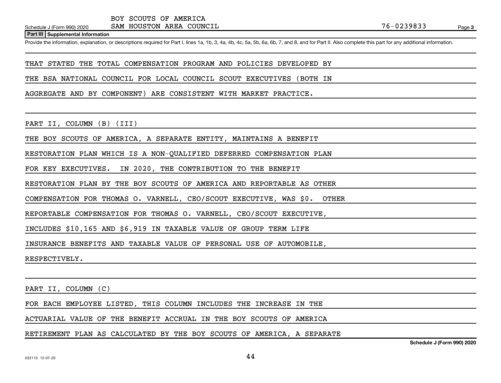**Part III Supplemental Information**

Provide the information, explanation, or descriptions required for Part I, lines 1a, 1b, 3, 4a, 4b, 4c, 5a, 5b, 6a, 6b, 7, and 8, and for Part II. Also complete this part for any additional information.

THAT STATED THE TOTAL COMPENSATION PROGRAM AND POLICIES DEVELOPED BY

THE BSA NATIONAL COUNCIL FOR LOCAL COUNCIL SCOUT EXECUTIVES (BOTH IN

AGGREGATE AND BY COMPONENT) ARE CONSISTENT WITH MARKET PRACTICE.

PART II, COLUMN (B) (III)

THE BOY SCOUTS OF AMERICA, A SEPARATE ENTITY, MAINTAINS A BENEFIT

RESTORATION PLAN WHICH IS A NON-QUALIFIED DEFERRED COMPENSATION PLAN

FOR KEY EXECUTIVES. IN 2020, THE CONTRIBUTION TO THE BENEFIT

RESTORATION PLAN BY THE BOY SCOUTS OF AMERICA AND REPORTABLE AS OTHER

COMPENSATION FOR THOMAS O. VARNELL, CEO/SCOUT EXECUTIVE, WAS \$0. OTHER

REPORTABLE COMPENSATION FOR THOMAS O. VARNELL, CEO/SCOUT EXECUTIVE,

INCLUDES \$10,165 AND \$6,919 IN TAXABLE VALUE OF GROUP TERM LIFE

INSURANCE BENEFITS AND TAXABLE VALUE OF PERSONAL USE OF AUTOMOBILE,

RESPECTIVELY.

PART II, COLUMN (C)

FOR EACH EMPLOYEE LISTED, THIS COLUMN INCLUDES THE INCREASE IN THE

ACTUARIAL VALUE OF THE BENEFIT ACCRUAL IN THE BOY SCOUTS OF AMERICA

RETIREMENT PLAN AS CALCULATED BY THE BOY SCOUTS OF AMERICA, A SEPARATE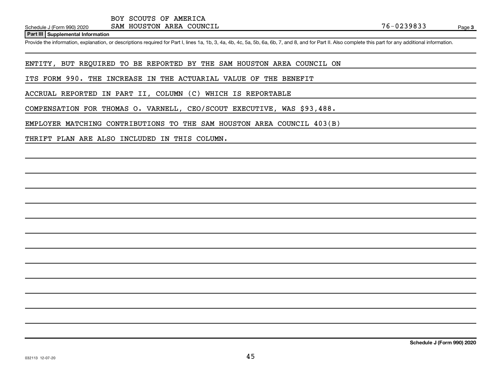**Part III Supplemental Information**

Provide the information, explanation, or descriptions required for Part I, lines 1a, 1b, 3, 4a, 4b, 4c, 5a, 5b, 6a, 6b, 7, and 8, and for Part II. Also complete this part for any additional information.

ENTITY, BUT REQUIRED TO BE REPORTED BY THE SAM HOUSTON AREA COUNCIL ON

ITS FORM 990. THE INCREASE IN THE ACTUARIAL VALUE OF THE BENEFIT

ACCRUAL REPORTED IN PART II, COLUMN (C) WHICH IS REPORTABLE

COMPENSATION FOR THOMAS O. VARNELL, CEO/SCOUT EXECUTIVE, WAS \$93,488.

EMPLOYER MATCHING CONTRIBUTIONS TO THE SAM HOUSTON AREA COUNCIL 403(B)

THRIFT PLAN ARE ALSO INCLUDED IN THIS COLUMN.

**Schedule J (Form 990) 2020**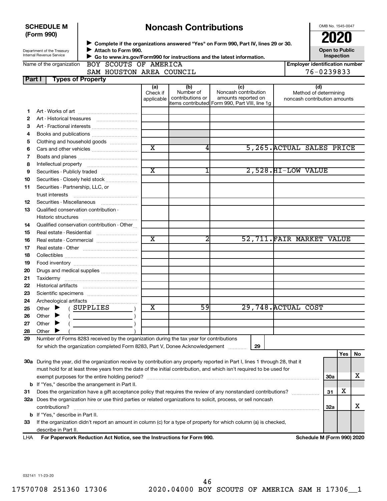|        | <b>SCHEDULE M</b><br>(Form 990)                        |                                                                                                                                                                                                                                                         |                         | <b>Noncash Contributions</b>  |                                                                                               |                                                       | OMB No. 1545-0047<br><b>2020</b>    |     |    |
|--------|--------------------------------------------------------|---------------------------------------------------------------------------------------------------------------------------------------------------------------------------------------------------------------------------------------------------------|-------------------------|-------------------------------|-----------------------------------------------------------------------------------------------|-------------------------------------------------------|-------------------------------------|-----|----|
|        |                                                        |                                                                                                                                                                                                                                                         |                         |                               | ▶ Complete if the organizations answered "Yes" on Form 990, Part IV, lines 29 or 30.          |                                                       |                                     |     |    |
|        | Department of the Treasury<br>Internal Revenue Service | Attach to Form 990.                                                                                                                                                                                                                                     |                         |                               |                                                                                               |                                                       | <b>Open to Public</b><br>Inspection |     |    |
|        | Name of the organization                               | BOY SCOUTS OF AMERICA                                                                                                                                                                                                                                   |                         |                               | Go to www.irs.gov/Form990 for instructions and the latest information.                        | <b>Employer identification number</b>                 |                                     |     |    |
|        |                                                        | SAM HOUSTON AREA COUNCIL                                                                                                                                                                                                                                |                         |                               |                                                                                               | 76-0239833                                            |                                     |     |    |
| Part I |                                                        | <b>Types of Property</b>                                                                                                                                                                                                                                |                         |                               |                                                                                               |                                                       |                                     |     |    |
|        |                                                        |                                                                                                                                                                                                                                                         | (a)                     | (b)                           | (c)                                                                                           | (d)                                                   |                                     |     |    |
|        |                                                        |                                                                                                                                                                                                                                                         | Check if<br>applicable  | Number of<br>contributions or | Noncash contribution<br>amounts reported on<br>items contributed Form 990, Part VIII, line 1g | Method of determining<br>noncash contribution amounts |                                     |     |    |
| 1      |                                                        |                                                                                                                                                                                                                                                         |                         |                               |                                                                                               |                                                       |                                     |     |    |
| 2      |                                                        |                                                                                                                                                                                                                                                         |                         |                               |                                                                                               |                                                       |                                     |     |    |
| 3      |                                                        | Art - Fractional interests                                                                                                                                                                                                                              |                         |                               |                                                                                               |                                                       |                                     |     |    |
| 4      |                                                        |                                                                                                                                                                                                                                                         |                         |                               |                                                                                               |                                                       |                                     |     |    |
| 5      |                                                        | Clothing and household goods                                                                                                                                                                                                                            | $\overline{\text{x}}$   | 4                             | 5,265. ACTUAL SALES PRICE                                                                     |                                                       |                                     |     |    |
| 6      |                                                        |                                                                                                                                                                                                                                                         |                         |                               |                                                                                               |                                                       |                                     |     |    |
| 7      |                                                        |                                                                                                                                                                                                                                                         |                         |                               |                                                                                               |                                                       |                                     |     |    |
| 8      |                                                        |                                                                                                                                                                                                                                                         | $\overline{\text{x}}$   |                               | 2,528.HI-LOW VALUE                                                                            |                                                       |                                     |     |    |
| 9      |                                                        | Securities - Publicly traded                                                                                                                                                                                                                            |                         |                               |                                                                                               |                                                       |                                     |     |    |
| 10     |                                                        | Securities - Closely held stock                                                                                                                                                                                                                         |                         |                               |                                                                                               |                                                       |                                     |     |    |
| 11     | Securities - Partnership, LLC, or                      |                                                                                                                                                                                                                                                         |                         |                               |                                                                                               |                                                       |                                     |     |    |
| 12     |                                                        | Securities - Miscellaneous                                                                                                                                                                                                                              |                         |                               |                                                                                               |                                                       |                                     |     |    |
| 13     | Qualified conservation contribution -                  |                                                                                                                                                                                                                                                         |                         |                               |                                                                                               |                                                       |                                     |     |    |
|        |                                                        |                                                                                                                                                                                                                                                         |                         |                               |                                                                                               |                                                       |                                     |     |    |
| 14     |                                                        | Qualified conservation contribution - Other                                                                                                                                                                                                             |                         |                               |                                                                                               |                                                       |                                     |     |    |
| 15     |                                                        |                                                                                                                                                                                                                                                         |                         |                               |                                                                                               |                                                       |                                     |     |    |
| 16     |                                                        | Real estate - Commercial                                                                                                                                                                                                                                | $\overline{\text{x}}$   | 2                             | 52,711. FAIR MARKET VALUE                                                                     |                                                       |                                     |     |    |
| 17     |                                                        |                                                                                                                                                                                                                                                         |                         |                               |                                                                                               |                                                       |                                     |     |    |
| 18     |                                                        |                                                                                                                                                                                                                                                         |                         |                               |                                                                                               |                                                       |                                     |     |    |
| 19     |                                                        |                                                                                                                                                                                                                                                         |                         |                               |                                                                                               |                                                       |                                     |     |    |
| 20     |                                                        | Drugs and medical supplies                                                                                                                                                                                                                              |                         |                               |                                                                                               |                                                       |                                     |     |    |
| 21     |                                                        |                                                                                                                                                                                                                                                         |                         |                               |                                                                                               |                                                       |                                     |     |    |
| 22     |                                                        |                                                                                                                                                                                                                                                         |                         |                               |                                                                                               |                                                       |                                     |     |    |
| 23     |                                                        |                                                                                                                                                                                                                                                         |                         |                               |                                                                                               |                                                       |                                     |     |    |
| 24     |                                                        |                                                                                                                                                                                                                                                         |                         |                               |                                                                                               |                                                       |                                     |     |    |
| 25     | Other $\blacktriangleright$                            | SUPPLIES                                                                                                                                                                                                                                                | $\overline{\texttt{x}}$ | 59                            | 29,748. ACTUAL COST                                                                           |                                                       |                                     |     |    |
| 26     | Other                                                  |                                                                                                                                                                                                                                                         |                         |                               |                                                                                               |                                                       |                                     |     |    |
| 27     | Other<br>▶                                             |                                                                                                                                                                                                                                                         |                         |                               |                                                                                               |                                                       |                                     |     |    |
| 28     | Other                                                  |                                                                                                                                                                                                                                                         |                         |                               |                                                                                               |                                                       |                                     |     |    |
| 29     |                                                        | Number of Forms 8283 received by the organization during the tax year for contributions                                                                                                                                                                 |                         |                               |                                                                                               |                                                       |                                     |     |    |
|        |                                                        | for which the organization completed Form 8283, Part V, Donee Acknowledgement                                                                                                                                                                           |                         |                               | 29                                                                                            |                                                       |                                     |     |    |
|        |                                                        |                                                                                                                                                                                                                                                         |                         |                               |                                                                                               |                                                       |                                     | Yes | No |
|        |                                                        | 30a During the year, did the organization receive by contribution any property reported in Part I, lines 1 through 28, that it<br>must hold for at least three years from the date of the initial contribution, and which isn't required to be used for |                         |                               |                                                                                               |                                                       |                                     |     |    |
|        |                                                        |                                                                                                                                                                                                                                                         |                         |                               |                                                                                               |                                                       | 30a                                 |     | x  |
|        |                                                        | <b>b</b> If "Yes," describe the arrangement in Part II.                                                                                                                                                                                                 |                         |                               |                                                                                               |                                                       |                                     |     |    |
| 31     |                                                        | Does the organization have a gift acceptance policy that requires the review of any nonstandard contributions?                                                                                                                                          |                         |                               |                                                                                               |                                                       | 31                                  | х   |    |
|        |                                                        | 32a Does the organization hire or use third parties or related organizations to solicit, process, or sell noncash                                                                                                                                       |                         |                               |                                                                                               |                                                       |                                     |     |    |
|        | contributions?                                         |                                                                                                                                                                                                                                                         |                         |                               |                                                                                               |                                                       | 32a                                 |     | x  |
|        | <b>b</b> If "Yes," describe in Part II.                |                                                                                                                                                                                                                                                         |                         |                               |                                                                                               |                                                       |                                     |     |    |
| 33     |                                                        | If the organization didn't report an amount in column (c) for a type of property for which column (a) is checked,                                                                                                                                       |                         |                               |                                                                                               |                                                       |                                     |     |    |
|        | describe in Part II.                                   |                                                                                                                                                                                                                                                         |                         |                               |                                                                                               |                                                       |                                     |     |    |
| LHA    |                                                        | For Paperwork Reduction Act Notice, see the Instructions for Form 990.                                                                                                                                                                                  |                         |                               |                                                                                               | Schedule M (Form 990) 2020                            |                                     |     |    |
|        |                                                        |                                                                                                                                                                                                                                                         |                         |                               |                                                                                               |                                                       |                                     |     |    |

032141 11-23-20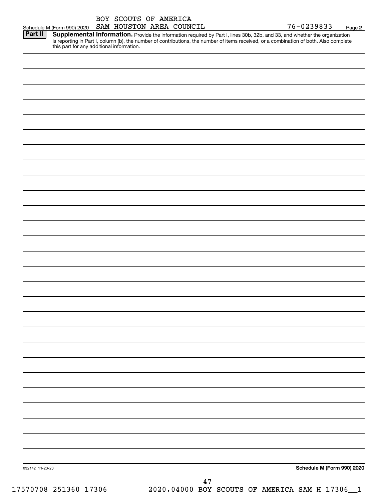| BOY SCOUTS OF AMERICA  |  |  |
|------------------------|--|--|
| SAM HOUSTON AREA COUNC |  |  |

76-0239833 Page 2 Schedule M (Form 990) 2020 SAM HOUSTON AREA COUNCIL  $76-0239833$  Page

| <b>Part II</b> | . Supplemental Information. Provide the information required by Part I, lines 30b, 32b, and 33, and whether the organization           |
|----------------|----------------------------------------------------------------------------------------------------------------------------------------|
|                | is reporting in Part I, column (b), the number of contributions, the number of items received, or a combination of both. Also complete |
|                | this part for any additional information.                                                                                              |

| 032142 11-23-20       | Schedule M (Form 990) 2020                     |
|-----------------------|------------------------------------------------|
|                       | 47                                             |
| 17570708 251360 17306 | 2020.04000 BOY SCOUTS OF AMERICA SAM H 17306_1 |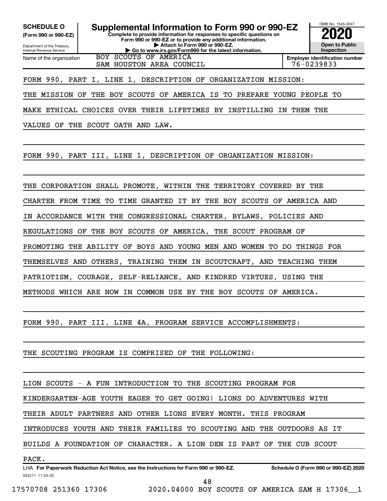**(Form 990 or 990-EZ)**

Department of the Treasury Internal Revenue Service Name of the organization

**Complete to provide information for responses to specific questions on Form 990 or 990-EZ or to provide any additional information. | Attach to Form 990 or 990-EZ. | Go to www.irs.gov/Form990 for the latest information. SCHEDULE O Supplemental Information to Form 990 or 990-EZ 2020**<br>(Form 990 or 990-EZ) Complete to provide information for responses to specific questions on BOY SCOUTS OF AMERICA



**Employer identification number**

FORM 990, PART I, LINE 1, DESCRIPTION OF ORGANIZATION MISSION:

SAM HOUSTON AREA COUNCIL

THE MISSION OF THE BOY SCOUTS OF AMERICA IS TO PREPARE YOUNG PEOPLE TO

MAKE ETHICAL CHOICES OVER THEIR LIFETIMES BY INSTILLING IN THEM THE

VALUES OF THE SCOUT OATH AND LAW.

FORM 990, PART III, LINE 1, DESCRIPTION OF ORGANIZATION MISSION:

THE CORPORATION SHALL PROMOTE, WITHIN THE TERRITORY COVERED BY THE

CHARTER FROM TIME TO TIME GRANTED IT BY THE BOY SCOUTS OF AMERICA AND

IN ACCORDANCE WITH THE CONGRESSIONAL CHARTER, BYLAWS, POLICIES AND

REGULATIONS OF THE BOY SCOUTS OF AMERICA, THE SCOUT PROGRAM OF

PROMOTING THE ABILITY OF BOYS AND YOUNG MEN AND WOMEN TO DO THINGS FOR

THEMSELVES AND OTHERS, TRAINING THEM IN SCOUTCRAFT, AND TEACHING THEM

PATRIOTISM, COURAGE, SELF-RELIANCE, AND KINDRED VIRTUES, USING THE

METHODS WHICH ARE NOW IN COMMON USE BY THE BOY SCOUTS OF AMERICA.

FORM 990, PART III, LINE 4A, PROGRAM SERVICE ACCOMPLISHMENTS:

THE SCOUTING PROGRAM IS COMPRISED OF THE FOLLOWING:

LION SCOUTS - A FUN INTRODUCTION TO THE SCOUTING PROGRAM FOR

KINDERGARTEN-AGE YOUTH EAGER TO GET GOING! LIONS DO ADVENTURES WITH

THEIR ADULT PARTNERS AND OTHER LIONS EVERY MONTH. THIS PROGRAM

INTRODUCES YOUTH AND THEIR FAMILIES TO SCOUTING AND THE OUTDOORS AS IT

BUILDS A FOUNDATION OF CHARACTER. A LION DEN IS PART OF THE CUB SCOUT

### PACK.

032211 11-20-20 **For Paperwork Reduction Act Notice, see the Instructions for Form 990 or 990-EZ. Schedule O (Form 990 or 990-EZ) 2020** LHA

48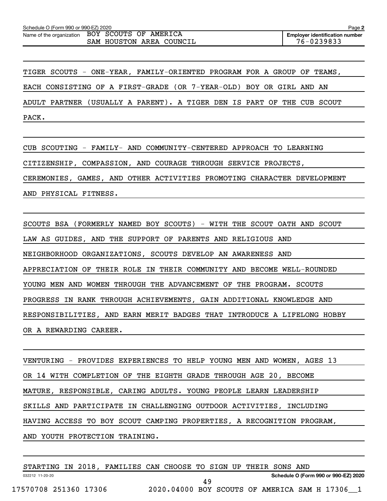TIGER SCOUTS - ONE-YEAR, FAMILY-ORIENTED PROGRAM FOR A GROUP OF TEAMS, EACH CONSISTING OF A FIRST-GRADE (OR 7-YEAR-OLD) BOY OR GIRL AND AN ADULT PARTNER (USUALLY A PARENT). A TIGER DEN IS PART OF THE CUB SCOUT PACK.

CUB SCOUTING - FAMILY- AND COMMUNITY-CENTERED APPROACH TO LEARNING CITIZENSHIP, COMPASSION, AND COURAGE THROUGH SERVICE PROJECTS, CEREMONIES, GAMES, AND OTHER ACTIVITIES PROMOTING CHARACTER DEVELOPMENT AND PHYSICAL FITNESS.

SCOUTS BSA (FORMERLY NAMED BOY SCOUTS) - WITH THE SCOUT OATH AND SCOUT LAW AS GUIDES, AND THE SUPPORT OF PARENTS AND RELIGIOUS AND NEIGHBORHOOD ORGANIZATIONS, SCOUTS DEVELOP AN AWARENESS AND APPRECIATION OF THEIR ROLE IN THEIR COMMUNITY AND BECOME WELL-ROUNDED YOUNG MEN AND WOMEN THROUGH THE ADVANCEMENT OF THE PROGRAM. SCOUTS PROGRESS IN RANK THROUGH ACHIEVEMENTS, GAIN ADDITIONAL KNOWLEDGE AND RESPONSIBILITIES, AND EARN MERIT BADGES THAT INTRODUCE A LIFELONG HOBBY OR A REWARDING CAREER.

VENTURING - PROVIDES EXPERIENCES TO HELP YOUNG MEN AND WOMEN, AGES 13 OR 14 WITH COMPLETION OF THE EIGHTH GRADE THROUGH AGE 20, BECOME MATURE, RESPONSIBLE, CARING ADULTS. YOUNG PEOPLE LEARN LEADERSHIP SKILLS AND PARTICIPATE IN CHALLENGING OUTDOOR ACTIVITIES, INCLUDING HAVING ACCESS TO BOY SCOUT CAMPING PROPERTIES, A RECOGNITION PROGRAM, AND YOUTH PROTECTION TRAINING.

|                       |  | STARTING IN 2018, FAMILIES CAN CHOOSE TO SIGN UP THEIR SONS AND |                                                |     |  |  |  |                                      |  |
|-----------------------|--|-----------------------------------------------------------------|------------------------------------------------|-----|--|--|--|--------------------------------------|--|
| 032212 11-20-20       |  |                                                                 |                                                |     |  |  |  | Schedule O (Form 990 or 990-EZ) 2020 |  |
| 17570708 251360 17306 |  |                                                                 | 2020.04000 BOY SCOUTS OF AMERICA SAM H 17306 1 | 49. |  |  |  |                                      |  |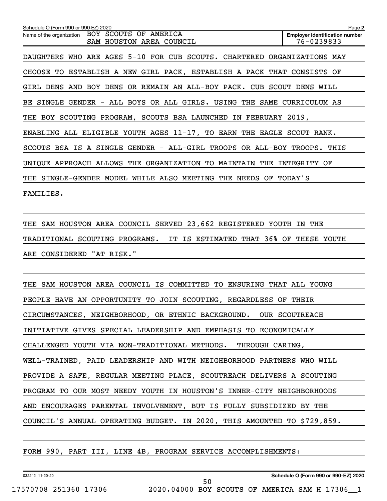| Schedule O (Form 990 or 990-EZ) 2020                                       | Page 2                                              |
|----------------------------------------------------------------------------|-----------------------------------------------------|
| Name of the organization BOY SCOUTS OF AMERICA<br>SAM HOUSTON AREA COUNCIL | <b>Employer identification number</b><br>76-0239833 |
| DAUGHTERS WHO ARE AGES 5-10 FOR CUB SCOUTS. CHARTERED ORGANIZATIONS MAY    |                                                     |
| CHOOSE TO ESTABLISH A NEW GIRL PACK, ESTABLISH A PACK THAT CONSISTS OF     |                                                     |
| GIRL DENS AND BOY DENS OR REMAIN AN ALL-BOY PACK. CUB SCOUT DENS WILL      |                                                     |
| BE SINGLE GENDER - ALL BOYS OR ALL GIRLS. USING THE SAME CURRICULUM AS     |                                                     |
| THE BOY SCOUTING PROGRAM, SCOUTS BSA LAUNCHED IN FEBRUARY 2019,            |                                                     |
| ENABLING ALL ELIGIBLE YOUTH AGES 11-17, TO EARN THE EAGLE SCOUT RANK.      |                                                     |
| SCOUTS BSA IS A SINGLE GENDER - ALL-GIRL TROOPS OR ALL-BOY TROOPS. THIS    |                                                     |
| UNIQUE APPROACH ALLOWS THE ORGANIZATION TO MAINTAIN<br>THE                 | INTEGRITY OF                                        |
| THE SINGLE-GENDER MODEL WHILE ALSO MEETING THE NEEDS OF                    | TODAY'S                                             |
| FAMILIES.                                                                  |                                                     |

THE SAM HOUSTON AREA COUNCIL SERVED 23,662 REGISTERED YOUTH IN THE TRADITIONAL SCOUTING PROGRAMS. IT IS ESTIMATED THAT 36% OF THESE YOUTH ARE CONSIDERED "AT RISK."

THE SAM HOUSTON AREA COUNCIL IS COMMITTED TO ENSURING THAT ALL YOUNG PEOPLE HAVE AN OPPORTUNITY TO JOIN SCOUTING, REGARDLESS OF THEIR CIRCUMSTANCES, NEIGHBORHOOD, OR ETHNIC BACKGROUND. OUR SCOUTREACH INITIATIVE GIVES SPECIAL LEADERSHIP AND EMPHASIS TO ECONOMICALLY CHALLENGED YOUTH VIA NON-TRADITIONAL METHODS. THROUGH CARING, WELL-TRAINED, PAID LEADERSHIP AND WITH NEIGHBORHOOD PARTNERS WHO WILL PROVIDE A SAFE, REGULAR MEETING PLACE, SCOUTREACH DELIVERS A SCOUTING PROGRAM TO OUR MOST NEEDY YOUTH IN HOUSTON'S INNER-CITY NEIGHBORHOODS AND ENCOURAGES PARENTAL INVOLVEMENT, BUT IS FULLY SUBSIDIZED BY THE COUNCIL'S ANNUAL OPERATING BUDGET. IN 2020, THIS AMOUNTED TO \$729,859.

50

FORM 990, PART III, LINE 4B, PROGRAM SERVICE ACCOMPLISHMENTS: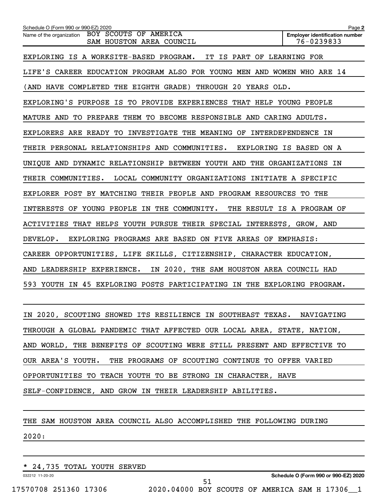| Schedule O (Form 990 or 990-EZ) 2020                                       | Page 2                                              |
|----------------------------------------------------------------------------|-----------------------------------------------------|
| Name of the organization BOY SCOUTS OF AMERICA<br>SAM HOUSTON AREA COUNCIL | <b>Employer identification number</b><br>76-0239833 |
| EXPLORING IS A WORKSITE-BASED PROGRAM. IT IS PART OF LEARNING FOR          |                                                     |
| LIFE'S CAREER EDUCATION PROGRAM ALSO FOR YOUNG MEN AND WOMEN WHO ARE 14    |                                                     |
| (AND HAVE COMPLETED THE EIGHTH GRADE) THROUGH 20 YEARS OLD.                |                                                     |
| EXPLORING'S PURPOSE IS TO PROVIDE EXPERIENCES THAT HELP YOUNG PEOPLE       |                                                     |
| MATURE AND TO PREPARE THEM TO BECOME RESPONSIBLE AND CARING ADULTS.        |                                                     |
| EXPLORERS ARE READY TO INVESTIGATE THE MEANING OF INTERDEPENDENCE IN       |                                                     |
| THEIR PERSONAL RELATIONSHIPS AND COMMUNITIES. EXPLORING IS BASED ON A      |                                                     |
| UNIQUE AND DYNAMIC RELATIONSHIP BETWEEN YOUTH AND THE ORGANIZATIONS IN     |                                                     |
| THEIR COMMUNITIES.<br>LOCAL COMMUNITY ORGANIZATIONS INITIATE A SPECIFIC    |                                                     |
| EXPLORER POST BY MATCHING THEIR PEOPLE AND PROGRAM RESOURCES TO THE        |                                                     |
| INTERESTS OF YOUNG PEOPLE IN THE COMMUNITY.                                | THE RESULT IS A PROGRAM OF                          |
| ACTIVITIES THAT HELPS YOUTH PURSUE THEIR SPECIAL INTERESTS, GROW, AND      |                                                     |
| EXPLORING PROGRAMS ARE BASED ON FIVE AREAS OF EMPHASIS:<br>DEVELOP.        |                                                     |
| CAREER OPPORTUNITIES, LIFE SKILLS, CITIZENSHIP, CHARACTER EDUCATION,       |                                                     |
| IN 2020, THE SAM HOUSTON AREA COUNCIL HAD<br>AND LEADERSHIP EXPERIENCE.    |                                                     |
| 593 YOUTH IN 45 EXPLORING POSTS PARTICIPATING IN THE EXPLORING PROGRAM.    |                                                     |
|                                                                            |                                                     |

IN 2020, SCOUTING SHOWED ITS RESILIENCE IN SOUTHEAST TEXAS. NAVIGATING THROUGH A GLOBAL PANDEMIC THAT AFFECTED OUR LOCAL AREA, STATE, NATION, AND WORLD, THE BENEFITS OF SCOUTING WERE STILL PRESENT AND EFFECTIVE TO OUR AREA'S YOUTH. THE PROGRAMS OF SCOUTING CONTINUE TO OFFER VARIED OPPORTUNITIES TO TEACH YOUTH TO BE STRONG IN CHARACTER, HAVE SELF-CONFIDENCE, AND GROW IN THEIR LEADERSHIP ABILITIES.

51

THE SAM HOUSTON AREA COUNCIL ALSO ACCOMPLISHED THE FOLLOWING DURING

2020:

\* 24,735 TOTAL YOUTH SERVED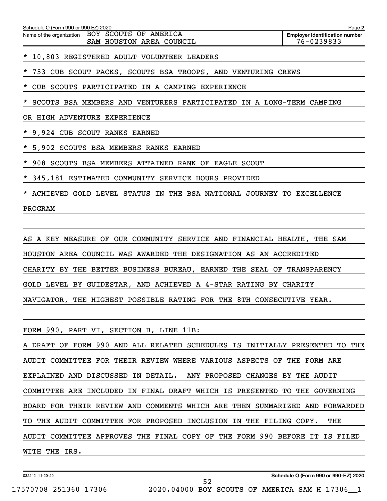| Schedule<br>990<br>r (Form ∩ | or 990-EZ)<br>Z) 2020 | Page |
|------------------------------|-----------------------|------|
|                              |                       |      |

Name of the organization BOY SCOUTS OF AMERICA SAM HOUSTON AREA COUNCIL 76-0239833

\* 10,803 REGISTERED ADULT VOLUNTEER LEADERS

753 CUB SCOUT PACKS, SCOUTS BSA TROOPS, AND VENTURING CREWS

CUB SCOUTS PARTICIPATED IN A CAMPING EXPERIENCE

SCOUTS BSA MEMBERS AND VENTURERS PARTICIPATED IN A LONG-TERM CAMPING

OR HIGH ADVENTURE EXPERIENCE

\* 9,924 CUB SCOUT RANKS EARNED

\* 5,902 SCOUTS BSA MEMBERS RANKS EARNED

\* 908 SCOUTS BSA MEMBERS ATTAINED RANK OF EAGLE SCOUT

\* 345,181 ESTIMATED COMMUNITY SERVICE HOURS PROVIDED

\* ACHIEVED GOLD LEVEL STATUS IN THE BSA NATIONAL JOURNEY TO EXCELLENCE

PROGRAM

AS A KEY MEASURE OF OUR COMMUNITY SERVICE AND FINANCIAL HEALTH, THE SAM HOUSTON AREA COUNCIL WAS AWARDED THE DESIGNATION AS AN ACCREDITED CHARITY BY THE BETTER BUSINESS BUREAU, EARNED THE SEAL OF TRANSPARENCY GOLD LEVEL BY GUIDESTAR, AND ACHIEVED A 4-STAR RATING BY CHARITY NAVIGATOR, THE HIGHEST POSSIBLE RATING FOR THE 8TH CONSECUTIVE YEAR.

FORM 990, PART VI, SECTION B, LINE 11B:

A DRAFT OF FORM 990 AND ALL RELATED SCHEDULES IS INITIALLY PRESENTED TO THE AUDIT COMMITTEE FOR THEIR REVIEW WHERE VARIOUS ASPECTS OF THE FORM ARE EXPLAINED AND DISCUSSED IN DETAIL. ANY PROPOSED CHANGES BY THE AUDIT COMMITTEE ARE INCLUDED IN FINAL DRAFT WHICH IS PRESENTED TO THE GOVERNING BOARD FOR THEIR REVIEW AND COMMENTS WHICH ARE THEN SUMMARIZED AND FORWARDED TO THE AUDIT COMMITTEE FOR PROPOSED INCLUSION IN THE FILING COPY. THE AUDIT COMMITTEE APPROVES THE FINAL COPY OF THE FORM 990 BEFORE IT IS FILED WITH THE IRS.

52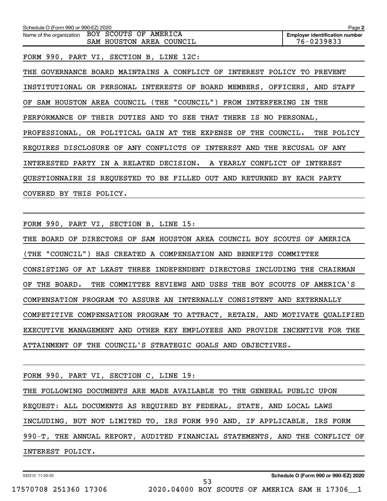**2 Employer identification number** Schedule O (Form 990 or 990-EZ) 2020 Name of the organization BOY SCOUTS OF AMERICA SAM HOUSTON AREA COUNCIL 76-0239833 FORM 990, PART VI, SECTION B, LINE 12C: THE GOVERNANCE BOARD MAINTAINS A CONFLICT OF INTEREST POLICY TO PREVENT INSTITUTIONAL OR PERSONAL INTERESTS OF BOARD MEMBERS, OFFICERS, AND STAFF OF SAM HOUSTON AREA COUNCIL (THE "COUNCIL") FROM INTERFERING IN THE PERFORMANCE OF THEIR DUTIES AND TO SEE THAT THERE IS NO PERSONAL, PROFESSIONAL, OR POLITICAL GAIN AT THE EXPENSE OF THE COUNCIL. THE POLICY REQUIRES DISCLOSURE OF ANY CONFLICTS OF INTEREST AND THE RECUSAL OF ANY INTERESTED PARTY IN A RELATED DECISION. A YEARLY CONFLICT OF INTEREST QUESTIONNAIRE IS REQUESTED TO BE FILLED OUT AND RETURNED BY EACH PARTY COVERED BY THIS POLICY.

FORM 990, PART VI, SECTION B, LINE 15:

THE BOARD OF DIRECTORS OF SAM HOUSTON AREA COUNCIL BOY SCOUTS OF AMERICA (THE "COUNCIL") HAS CREATED A COMPENSATION AND BENEFITS COMMITTEE CONSISTING OF AT LEAST THREE INDEPENDENT DIRECTORS INCLUDING THE CHAIRMAN OF THE BOARD. THE COMMITTEE REVIEWS AND USES THE BOY SCOUTS OF AMERICA'S COMPENSATION PROGRAM TO ASSURE AN INTERNALLY CONSISTENT AND EXTERNALLY COMPETITIVE COMPENSATION PROGRAM TO ATTRACT, RETAIN, AND MOTIVATE QUALIFIED EXECUTIVE MANAGEMENT AND OTHER KEY EMPLOYEES AND PROVIDE INCENTIVE FOR THE ATTAINMENT OF THE COUNCIL'S STRATEGIC GOALS AND OBJECTIVES.

| FORM 990, PART VI, SECTION C, LINE 19:                                      |
|-----------------------------------------------------------------------------|
| THE FOLLOWING DOCUMENTS ARE MADE AVAILABLE TO THE GENERAL PUBLIC UPON       |
| REQUEST: ALL DOCUMENTS AS REQUIRED BY FEDERAL, STATE, AND LOCAL LAWS        |
| INCLUDING, BUT NOT LIMITED TO, IRS FORM 990 AND, IF APPLICABLE, IRS FORM    |
| 990-T, THE ANNUAL REPORT, AUDITED FINANCIAL STATEMENTS, AND THE CONFLICT OF |
| INTEREST POLICY.                                                            |

53